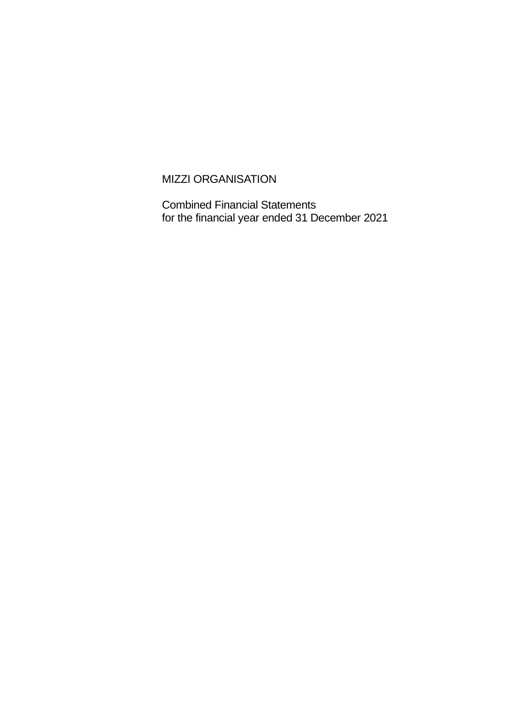MIZZI ORGANISATION

Combined Financial Statements for the financial year ended 31 December 2021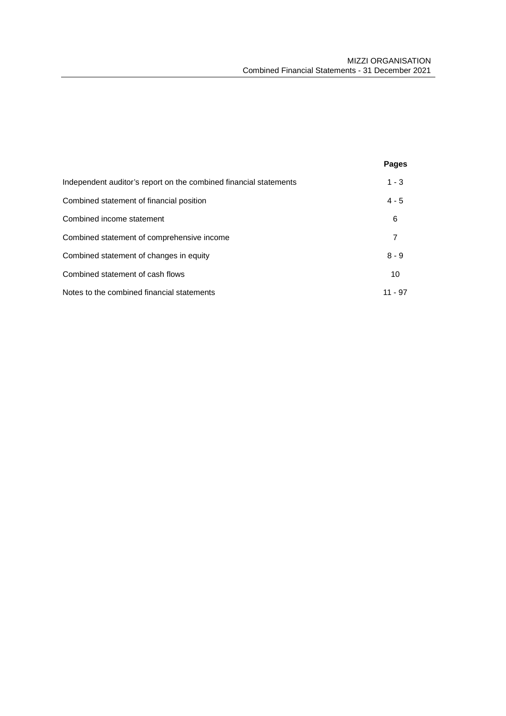|                                                                   | Pages          |
|-------------------------------------------------------------------|----------------|
| Independent auditor's report on the combined financial statements | $1 - 3$        |
| Combined statement of financial position                          | $4 - 5$        |
| Combined income statement                                         | 6              |
| Combined statement of comprehensive income                        | $\overline{7}$ |
| Combined statement of changes in equity                           | $8 - 9$        |
| Combined statement of cash flows                                  | 10             |
| Notes to the combined financial statements                        | 11 - 97        |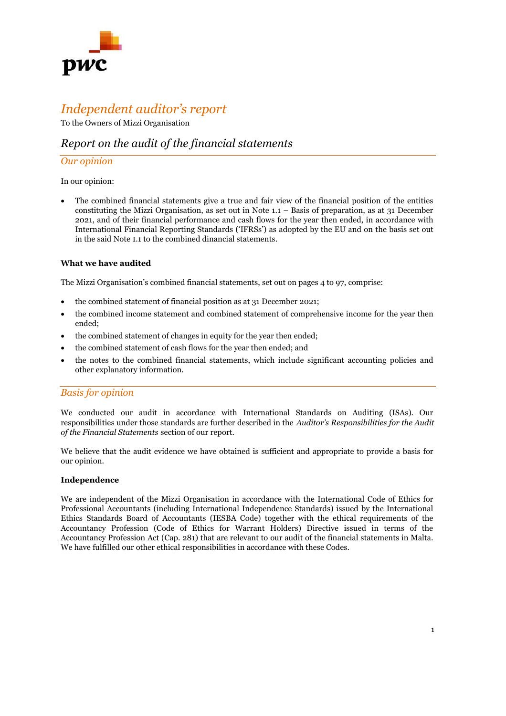

# *Independent auditor's report*

To the Owners of Mizzi Organisation

# *Report on the audit of the financial statements*

### *Our opinion*

In our opinion:

 The combined financial statements give a true and fair view of the financial position of the entities constituting the Mizzi Organisation, as set out in Note 1.1 – Basis of preparation, as at 31 December 2021, and of their financial performance and cash flows for the year then ended, in accordance with International Financial Reporting Standards ('IFRSs') as adopted by the EU and on the basis set out in the said Note 1.1 to the combined dinancial statements.

#### **What we have audited**

The Mizzi Organisation's combined financial statements, set out on pages 4 to 97, comprise:

- the combined statement of financial position as at 31 December 2021;
- the combined income statement and combined statement of comprehensive income for the year then ended;
- the combined statement of changes in equity for the year then ended;
- the combined statement of cash flows for the year then ended; and
- the notes to the combined financial statements, which include significant accounting policies and other explanatory information.

### *Basis for opinion*

We conducted our audit in accordance with International Standards on Auditing (ISAs). Our responsibilities under those standards are further described in the *Auditor's Responsibilities for the Audit of the Financial Statements* section of our report.

We believe that the audit evidence we have obtained is sufficient and appropriate to provide a basis for our opinion.

#### **Independence**

We are independent of the Mizzi Organisation in accordance with the International Code of Ethics for Professional Accountants (including International Independence Standards) issued by the International Ethics Standards Board of Accountants (IESBA Code) together with the ethical requirements of the Accountancy Profession (Code of Ethics for Warrant Holders) Directive issued in terms of the Accountancy Profession Act (Cap. 281) that are relevant to our audit of the financial statements in Malta. We have fulfilled our other ethical responsibilities in accordance with these Codes.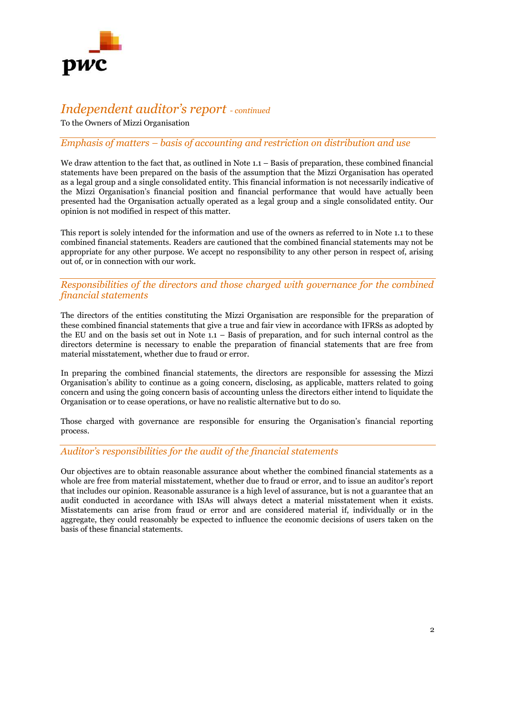

# *Independent auditor's report - continued*

To the Owners of Mizzi Organisation

### *Emphasis of matters – basis of accounting and restriction on distribution and use*

We draw attention to the fact that, as outlined in Note 1.1 – Basis of preparation, these combined financial statements have been prepared on the basis of the assumption that the Mizzi Organisation has operated as a legal group and a single consolidated entity. This financial information is not necessarily indicative of the Mizzi Organisation's financial position and financial performance that would have actually been presented had the Organisation actually operated as a legal group and a single consolidated entity. Our opinion is not modified in respect of this matter.

This report is solely intended for the information and use of the owners as referred to in Note 1.1 to these combined financial statements. Readers are cautioned that the combined financial statements may not be appropriate for any other purpose. We accept no responsibility to any other person in respect of, arising out of, or in connection with our work.

## *Responsibilities of the directors and those charged with governance for the combined financial statements*

The directors of the entities constituting the Mizzi Organisation are responsible for the preparation of these combined financial statements that give a true and fair view in accordance with IFRSs as adopted by the EU and on the basis set out in Note 1.1 – Basis of preparation, and for such internal control as the directors determine is necessary to enable the preparation of financial statements that are free from material misstatement, whether due to fraud or error.

In preparing the combined financial statements, the directors are responsible for assessing the Mizzi Organisation's ability to continue as a going concern, disclosing, as applicable, matters related to going concern and using the going concern basis of accounting unless the directors either intend to liquidate the Organisation or to cease operations, or have no realistic alternative but to do so.

Those charged with governance are responsible for ensuring the Organisation's financial reporting process.

### *Auditor's responsibilities for the audit of the financial statements*

Our objectives are to obtain reasonable assurance about whether the combined financial statements as a whole are free from material misstatement, whether due to fraud or error, and to issue an auditor's report that includes our opinion. Reasonable assurance is a high level of assurance, but is not a guarantee that an audit conducted in accordance with ISAs will always detect a material misstatement when it exists. Misstatements can arise from fraud or error and are considered material if, individually or in the aggregate, they could reasonably be expected to influence the economic decisions of users taken on the basis of these financial statements.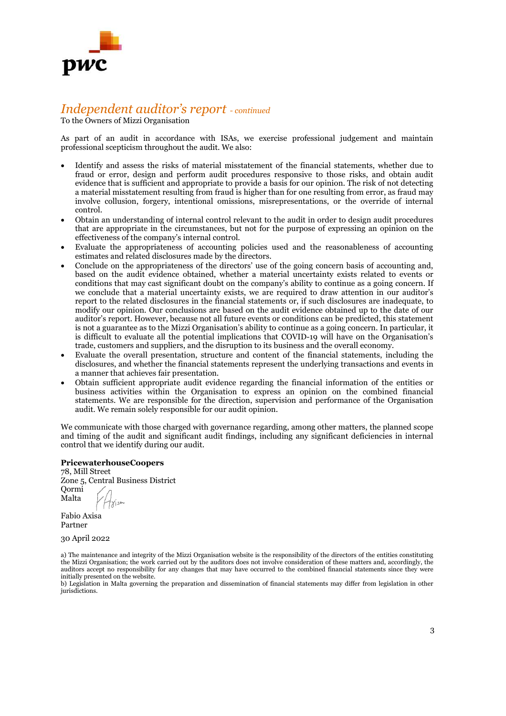

# *Independent auditor's report - continued*

To the Owners of Mizzi Organisation

As part of an audit in accordance with ISAs, we exercise professional judgement and maintain professional scepticism throughout the audit. We also:

- Identify and assess the risks of material misstatement of the financial statements, whether due to fraud or error, design and perform audit procedures responsive to those risks, and obtain audit evidence that is sufficient and appropriate to provide a basis for our opinion. The risk of not detecting a material misstatement resulting from fraud is higher than for one resulting from error, as fraud may involve collusion, forgery, intentional omissions, misrepresentations, or the override of internal control.
- Obtain an understanding of internal control relevant to the audit in order to design audit procedures that are appropriate in the circumstances, but not for the purpose of expressing an opinion on the effectiveness of the company's internal control.
- Evaluate the appropriateness of accounting policies used and the reasonableness of accounting estimates and related disclosures made by the directors.
- Conclude on the appropriateness of the directors' use of the going concern basis of accounting and, based on the audit evidence obtained, whether a material uncertainty exists related to events or conditions that may cast significant doubt on the company's ability to continue as a going concern. If we conclude that a material uncertainty exists, we are required to draw attention in our auditor's report to the related disclosures in the financial statements or, if such disclosures are inadequate, to modify our opinion. Our conclusions are based on the audit evidence obtained up to the date of our auditor's report. However, because not all future events or conditions can be predicted, this statement is not a guarantee as to the Mizzi Organisation's ability to continue as a going concern. In particular, it is difficult to evaluate all the potential implications that COVID-19 will have on the Organisation's trade, customers and suppliers, and the disruption to its business and the overall economy.
- Evaluate the overall presentation, structure and content of the financial statements, including the disclosures, and whether the financial statements represent the underlying transactions and events in a manner that achieves fair presentation.
- Obtain sufficient appropriate audit evidence regarding the financial information of the entities or business activities within the Organisation to express an opinion on the combined financial statements. We are responsible for the direction, supervision and performance of the Organisation audit. We remain solely responsible for our audit opinion.

We communicate with those charged with governance regarding, among other matters, the planned scope and timing of the audit and significant audit findings, including any significant deficiencies in internal control that we identify during our audit.

#### **PricewaterhouseCoopers**

78, Mill Street Zone 5, Central Business District Qormi Malta

Fabio Axisa Partner

30 April 2022

a) The maintenance and integrity of the Mizzi Organisation website is the responsibility of the directors of the entities constituting the Mizzi Organisation; the work carried out by the auditors does not involve consideration of these matters and, accordingly, the auditors accept no responsibility for any changes that may have occurred to the combined financial statements since they were initially presented on the website.

b) Legislation in Malta governing the preparation and dissemination of financial statements may differ from legislation in other jurisdictions.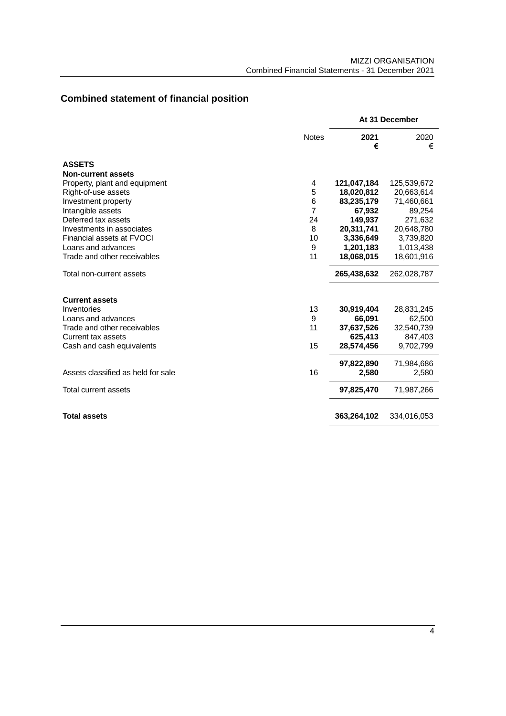|                                    |              | At 31 December |             |  |
|------------------------------------|--------------|----------------|-------------|--|
|                                    | <b>Notes</b> | 2021<br>€      | 2020<br>€   |  |
| <b>ASSETS</b>                      |              |                |             |  |
| <b>Non-current assets</b>          |              |                |             |  |
| Property, plant and equipment      | 4            | 121,047,184    | 125,539,672 |  |
| Right-of-use assets                | 5            | 18,020,812     | 20,663,614  |  |
| Investment property                | 6            | 83,235,179     | 71,460,661  |  |
| Intangible assets                  | 7            | 67,932         | 89,254      |  |
| Deferred tax assets                | 24           | 149,937        | 271,632     |  |
| Investments in associates          | 8            | 20,311,741     | 20,648,780  |  |
| Financial assets at FVOCI          | 10           | 3,336,649      | 3,739,820   |  |
| Loans and advances                 | 9            | 1,201,183      | 1,013,438   |  |
| Trade and other receivables        | 11           | 18,068,015     | 18,601,916  |  |
| Total non-current assets           |              | 265,438,632    | 262,028,787 |  |
| <b>Current assets</b>              |              |                |             |  |
| Inventories                        | 13           | 30,919,404     | 28,831,245  |  |
| Loans and advances                 | 9            | 66,091         | 62,500      |  |
| Trade and other receivables        | 11           | 37,637,526     | 32,540,739  |  |
| Current tax assets                 |              | 625,413        | 847,403     |  |
| Cash and cash equivalents          | 15           | 28,574,456     | 9,702,799   |  |
|                                    |              | 97,822,890     | 71,984,686  |  |
| Assets classified as held for sale | 16           | 2,580          | 2,580       |  |
| Total current assets               |              | 97,825,470     | 71,987,266  |  |
| <b>Total assets</b>                |              | 363,264,102    | 334,016,053 |  |

# **Combined statement of financial position**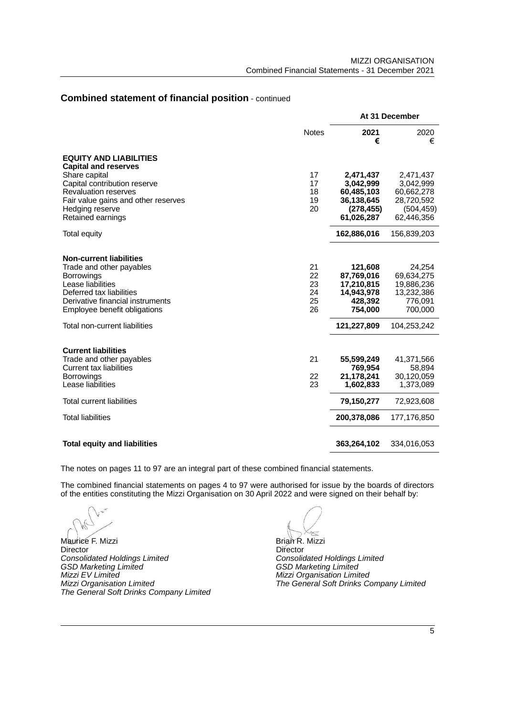## **Combined statement of financial position** - continued

|                                                                                                                                                                                                                                       |                                  |                                                                                        | At 31 December                                                                        |
|---------------------------------------------------------------------------------------------------------------------------------------------------------------------------------------------------------------------------------------|----------------------------------|----------------------------------------------------------------------------------------|---------------------------------------------------------------------------------------|
|                                                                                                                                                                                                                                       | <b>Notes</b>                     | 2021<br>€                                                                              | 2020<br>€                                                                             |
| <b>EQUITY AND LIABILITIES</b><br><b>Capital and reserves</b><br>Share capital<br>Capital contribution reserve<br><b>Revaluation reserves</b><br>Fair value gains and other reserves<br>Hedging reserve<br>Retained earnings           | 17<br>17<br>18<br>19<br>20       | 2,471,437<br>3,042,999<br>60.485.103<br>36,138,645<br>(278, 455)<br>61,026,287         | 2,471,437<br>3,042,999<br>60,662,278<br>28,720,592<br>(504, 459)<br>62,446,356        |
| Total equity                                                                                                                                                                                                                          |                                  | 162,886,016                                                                            | 156,839,203                                                                           |
| <b>Non-current liabilities</b><br>Trade and other payables<br><b>Borrowings</b><br>Lease liabilities<br>Deferred tax liabilities<br>Derivative financial instruments<br>Employee benefit obligations<br>Total non-current liabilities | 21<br>22<br>23<br>24<br>25<br>26 | 121,608<br>87,769,016<br>17,210,815<br>14,943,978<br>428,392<br>754,000<br>121,227,809 | 24,254<br>69,634,275<br>19,886,236<br>13,232,386<br>776,091<br>700,000<br>104,253,242 |
| <b>Current liabilities</b><br>Trade and other payables<br><b>Current tax liabilities</b><br><b>Borrowings</b><br>Lease liabilities<br><b>Total current liabilities</b>                                                                | 21<br>22<br>23                   | 55,599,249<br>769,954<br>21,178,241<br>1,602,833                                       | 41,371,566<br>58,894<br>30,120,059<br>1,373,089                                       |
|                                                                                                                                                                                                                                       |                                  | 79,150,277                                                                             | 72,923,608                                                                            |
| <b>Total liabilities</b>                                                                                                                                                                                                              |                                  | 200,378,086                                                                            | 177,176,850                                                                           |
| <b>Total equity and liabilities</b>                                                                                                                                                                                                   |                                  | 363,264,102                                                                            | 334,016,053                                                                           |

The notes on pages 11 to 97 are an integral part of these combined financial statements.

The combined financial statements on pages 4 to 97 were authorised for issue by the boards of directors of the entities constituting the Mizzi Organisation on 30 April 2022 and were signed on their behalf by:

Maurice F. Mizzi Brian R. Mizzi Brian R. Mizzi Brian R. Mizzi Director<br>
Consolidated Holdings Limited<br>
Consolidated Holdings Limited<br>
Consolidated Holdings Limited *Consolidated Holdings Limited Consolidated Holdings Limited GSD Marketing Limited GSD Marketing Limited Mizzi EV Limited Mizzi Organisation Limited The General Soft Drinks Company Limited*

*Mizzi Organisation Limited The General Soft Drinks Company Limited*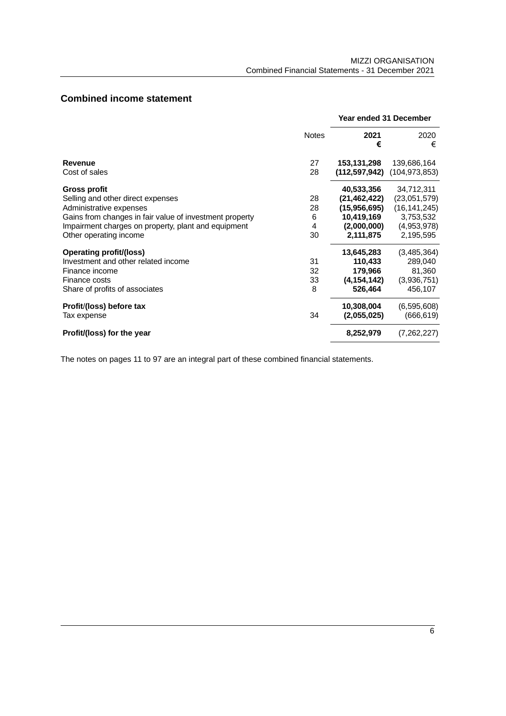# **Combined income statement**

|                                                         | <b>Notes</b> | <b>Year ended 31 December</b> |                 |  |  |
|---------------------------------------------------------|--------------|-------------------------------|-----------------|--|--|
|                                                         |              | 2021<br>€                     | 2020<br>€       |  |  |
| Revenue                                                 | 27           | 153,131,298                   | 139,686,164     |  |  |
| Cost of sales                                           | 28           | (112,597,942)                 | (104, 973, 853) |  |  |
| Gross profit                                            |              | 40,533,356                    | 34,712,311      |  |  |
| Selling and other direct expenses                       | 28           | (21,462,422)                  | (23,051,579)    |  |  |
| Administrative expenses                                 | 28           | (15,956,695)                  | (16, 141, 245)  |  |  |
| Gains from changes in fair value of investment property | 6            | 10,419,169                    | 3,753,532       |  |  |
| Impairment charges on property, plant and equipment     | 4            | (2,000,000)                   | (4,953,978)     |  |  |
| Other operating income                                  | 30           | 2,111,875                     | 2,195,595       |  |  |
| <b>Operating profit/(loss)</b>                          |              | 13,645,283                    | (3,485,364)     |  |  |
| Investment and other related income                     | 31           | 110,433                       | 289,040         |  |  |
| Finance income                                          | 32           | 179,966                       | 81,360          |  |  |
| Finance costs                                           | 33           | (4, 154, 142)                 | (3,936,751)     |  |  |
| Share of profits of associates                          | 8            | 526,464                       | 456,107         |  |  |
| Profit/(loss) before tax                                |              | 10,308,004                    | (6,595,608)     |  |  |
| Tax expense                                             | 34           | (2,055,025)                   | (666, 619)      |  |  |
| Profit/(loss) for the year                              |              | 8,252,979                     | (7,262,227)     |  |  |

The notes on pages 11 to 97 are an integral part of these combined financial statements.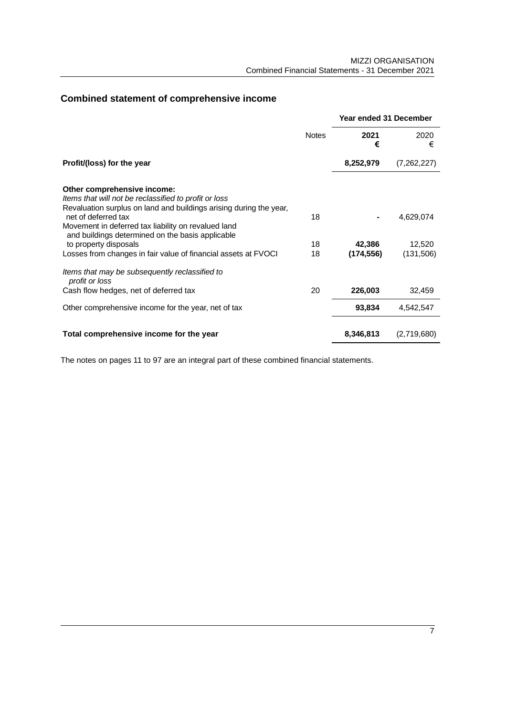# **Combined statement of comprehensive income**

|                                                                                                                                                            |              | Year ended 31 December |             |  |  |
|------------------------------------------------------------------------------------------------------------------------------------------------------------|--------------|------------------------|-------------|--|--|
|                                                                                                                                                            | <b>Notes</b> | 2021<br>€              | 2020<br>€   |  |  |
| Profit/(loss) for the year                                                                                                                                 |              | 8,252,979              | (7,262,227) |  |  |
| Other comprehensive income:<br>Items that will not be reclassified to profit or loss<br>Revaluation surplus on land and buildings arising during the year, |              |                        |             |  |  |
| net of deferred tax<br>Movement in deferred tax liability on revalued land<br>and buildings determined on the basis applicable                             | 18           |                        | 4,629,074   |  |  |
| to property disposals                                                                                                                                      | 18           | 42,386                 | 12,520      |  |  |
| Losses from changes in fair value of financial assets at FVOCI                                                                                             | 18           | (174, 556)             | (131,506)   |  |  |
| Items that may be subsequently reclassified to<br>profit or loss                                                                                           |              |                        |             |  |  |
| Cash flow hedges, net of deferred tax                                                                                                                      | 20           | 226,003                | 32,459      |  |  |
| Other comprehensive income for the year, net of tax                                                                                                        |              | 93,834                 | 4,542,547   |  |  |
| Total comprehensive income for the year                                                                                                                    |              | 8,346,813              | (2,719,680) |  |  |

The notes on pages 11 to 97 are an integral part of these combined financial statements.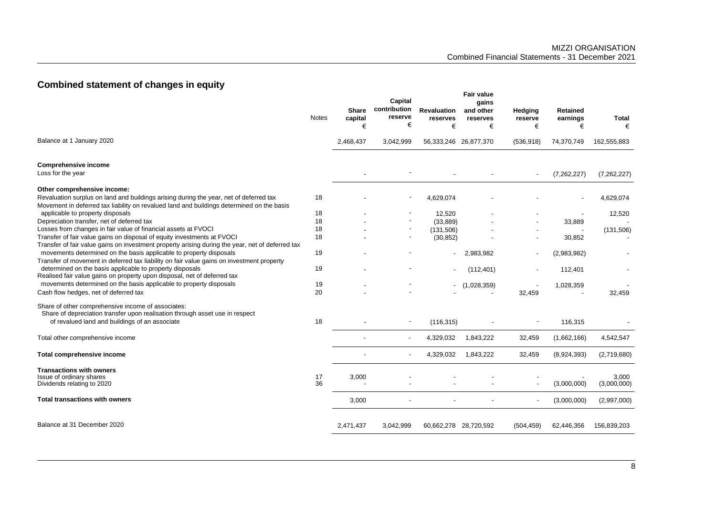# **Combined statement of changes in equity**

|                                                                                                                                                                                                                                                   | <b>Notes</b>   | Share<br>capital<br>€    | Capital<br>contribution<br>reserve<br>€ | <b>Revaluation</b><br>reserves<br>€ | <b>Fair value</b><br>gains<br>and other<br>reserves<br>€ | Hedging<br>reserve<br>€ | <b>Retained</b><br>earnings<br>€ | Total<br>€           |
|---------------------------------------------------------------------------------------------------------------------------------------------------------------------------------------------------------------------------------------------------|----------------|--------------------------|-----------------------------------------|-------------------------------------|----------------------------------------------------------|-------------------------|----------------------------------|----------------------|
| Balance at 1 January 2020                                                                                                                                                                                                                         |                | 2,468,437                | 3,042,999                               | 56,333,246 26,877,370               |                                                          | (536, 918)              | 74,370,749                       | 162,555,883          |
| <b>Comprehensive income</b><br>Loss for the year                                                                                                                                                                                                  |                | $\overline{\phantom{a}}$ |                                         |                                     |                                                          |                         | (7, 262, 227)                    | (7, 262, 227)        |
| Other comprehensive income:<br>Revaluation surplus on land and buildings arising during the year, net of deferred tax<br>Movement in deferred tax liability on revalued land and buildings determined on the basis                                | 18             |                          |                                         | 4,629,074                           |                                                          |                         |                                  | 4,629,074            |
| applicable to property disposals<br>Depreciation transfer, net of deferred tax<br>Losses from changes in fair value of financial assets at FVOCI                                                                                                  | 18<br>18<br>18 |                          |                                         | 12,520<br>(33, 889)<br>(131,506)    |                                                          |                         | 33,889<br>$\blacksquare$         | 12,520<br>(131,506)  |
| Transfer of fair value gains on disposal of equity investments at FVOCI<br>Transfer of fair value gains on investment property arising during the year, net of deferred tax<br>movements determined on the basis applicable to property disposals | 18<br>19       |                          |                                         | (30, 852)                           | 2,983,982                                                |                         | 30,852<br>(2,983,982)            |                      |
| Transfer of movement in deferred tax liability on fair value gains on investment property<br>determined on the basis applicable to property disposals                                                                                             | 19             |                          |                                         |                                     | (112, 401)                                               |                         | 112,401                          |                      |
| Realised fair value gains on property upon disposal, net of deferred tax<br>movements determined on the basis applicable to property disposals<br>Cash flow hedges, net of deferred tax                                                           | 19<br>20       |                          |                                         |                                     | (1,028,359)                                              | 32,459                  | 1,028,359                        | 32,459               |
| Share of other comprehensive income of associates:<br>Share of depreciation transfer upon realisation through asset use in respect<br>of revalued land and buildings of an associate                                                              | 18             |                          |                                         | (116, 315)                          |                                                          |                         | 116,315                          |                      |
| Total other comprehensive income                                                                                                                                                                                                                  |                |                          | $\blacksquare$                          | 4,329,032                           | 1,843,222                                                | 32,459                  | (1,662,166)                      | 4,542,547            |
| Total comprehensive income                                                                                                                                                                                                                        |                |                          |                                         | 4,329,032                           | 1,843,222                                                | 32,459                  | (8,924,393)                      | (2,719,680)          |
| <b>Transactions with owners</b><br>Issue of ordinary shares<br>Dividends relating to 2020                                                                                                                                                         | 17<br>36       | 3,000                    |                                         |                                     |                                                          |                         | (3,000,000)                      | 3,000<br>(3,000,000) |
| <b>Total transactions with owners</b>                                                                                                                                                                                                             |                | 3,000                    |                                         |                                     |                                                          |                         | (3,000,000)                      | (2,997,000)          |
| Balance at 31 December 2020                                                                                                                                                                                                                       |                | 2,471,437                | 3,042,999                               | 60,662,278 28,720,592               |                                                          | (504, 459)              | 62,446,356                       | 156,839,203          |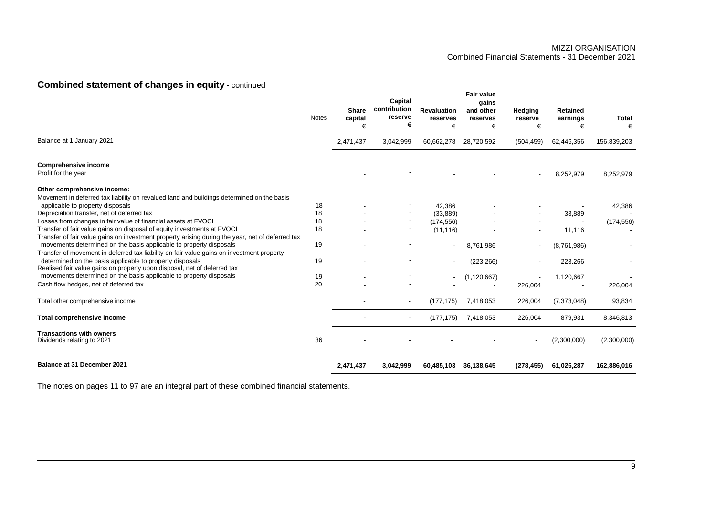# **Combined statement of changes in equity** - continued

|                                                                                                                                                                                                                                                                     | <b>Notes</b> | <b>Share</b><br>capital | Capital<br>contribution<br>reserve<br>€ | <b>Revaluation</b><br>reserves<br>€ | <b>Fair value</b><br>gains<br>and other<br>reserves<br>€ | Hedging<br>reserve<br>€  | Retained<br>earnings     | Total       |
|---------------------------------------------------------------------------------------------------------------------------------------------------------------------------------------------------------------------------------------------------------------------|--------------|-------------------------|-----------------------------------------|-------------------------------------|----------------------------------------------------------|--------------------------|--------------------------|-------------|
| Balance at 1 January 2021                                                                                                                                                                                                                                           |              | 2,471,437               | 3,042,999                               | 60,662,278                          | 28,720,592                                               | (504, 459)               | 62,446,356               | 156,839,203 |
| Comprehensive income                                                                                                                                                                                                                                                |              |                         |                                         |                                     |                                                          |                          |                          |             |
| Profit for the year                                                                                                                                                                                                                                                 |              |                         |                                         |                                     |                                                          | $\overline{\phantom{a}}$ | 8,252,979                | 8,252,979   |
| Other comprehensive income:                                                                                                                                                                                                                                         |              |                         |                                         |                                     |                                                          |                          |                          |             |
| Movement in deferred tax liability on revalued land and buildings determined on the basis                                                                                                                                                                           |              |                         |                                         |                                     |                                                          |                          |                          |             |
| applicable to property disposals                                                                                                                                                                                                                                    | 18           |                         |                                         | 42,386                              |                                                          |                          |                          | 42,386      |
| Depreciation transfer, net of deferred tax                                                                                                                                                                                                                          | 18           |                         |                                         | (33, 889)                           |                                                          |                          | 33,889                   |             |
| Losses from changes in fair value of financial assets at FVOCI                                                                                                                                                                                                      | 18           |                         |                                         | (174, 556)                          |                                                          |                          | $\overline{\phantom{a}}$ | (174, 556)  |
| Transfer of fair value gains on disposal of equity investments at FVOCI                                                                                                                                                                                             | 18           |                         |                                         | (11, 116)                           |                                                          |                          | 11,116                   |             |
| Transfer of fair value gains on investment property arising during the year, net of deferred tax<br>movements determined on the basis applicable to property disposals<br>Transfer of movement in deferred tax liability on fair value gains on investment property | 19           |                         |                                         |                                     | 8,761,986                                                |                          | (8,761,986)              |             |
| determined on the basis applicable to property disposals<br>Realised fair value gains on property upon disposal, net of deferred tax                                                                                                                                | 19           |                         |                                         |                                     | (223, 266)                                               |                          | 223,266                  |             |
| movements determined on the basis applicable to property disposals                                                                                                                                                                                                  | 19           |                         |                                         |                                     | (1, 120, 667)                                            |                          | 1,120,667                |             |
| Cash flow hedges, net of deferred tax                                                                                                                                                                                                                               | 20           |                         |                                         |                                     | $\overline{\phantom{a}}$                                 | 226,004                  |                          | 226,004     |
| Total other comprehensive income                                                                                                                                                                                                                                    |              |                         | $\overline{\phantom{a}}$                | (177, 175)                          | 7,418,053                                                | 226,004                  | (7, 373, 048)            | 93,834      |
| Total comprehensive income                                                                                                                                                                                                                                          |              |                         | $\blacksquare$                          | (177, 175)                          | 7,418,053                                                | 226,004                  | 879,931                  | 8,346,813   |
| <b>Transactions with owners</b><br>Dividends relating to 2021                                                                                                                                                                                                       | 36           |                         |                                         |                                     |                                                          |                          | (2,300,000)              | (2,300,000) |
| Balance at 31 December 2021                                                                                                                                                                                                                                         |              | 2,471,437               | 3,042,999                               | 60,485,103                          | 36,138,645                                               | (278, 455)               | 61,026,287               | 162,886,016 |

The notes on pages 11 to 97 are an integral part of these combined financial statements.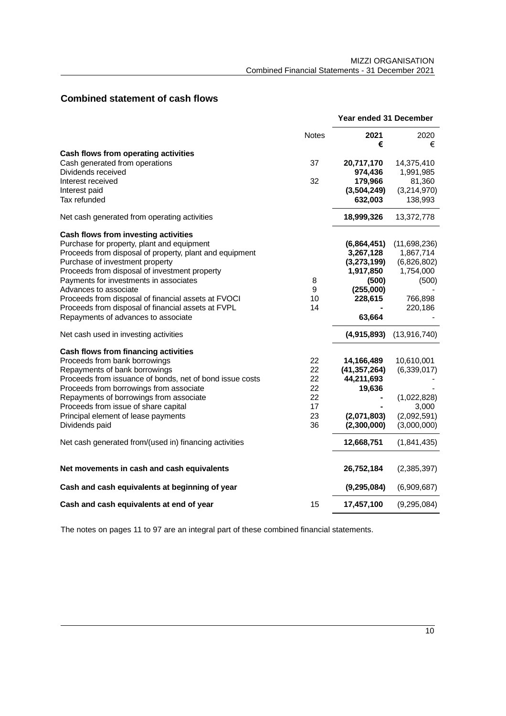|                                                          |              | Year ended 31 December |              |  |  |
|----------------------------------------------------------|--------------|------------------------|--------------|--|--|
|                                                          | <b>Notes</b> | 2021<br>€              | 2020<br>€    |  |  |
| Cash flows from operating activities                     |              |                        |              |  |  |
| Cash generated from operations                           | 37           | 20,717,170             | 14,375,410   |  |  |
| Dividends received                                       |              | 974,436                | 1,991,985    |  |  |
| Interest received                                        | 32           | 179,966                | 81,360       |  |  |
| Interest paid                                            |              | (3,504,249)            | (3,214,970)  |  |  |
| Tax refunded                                             |              | 632,003                | 138,993      |  |  |
| Net cash generated from operating activities             |              | 18,999,326             | 13,372,778   |  |  |
| Cash flows from investing activities                     |              |                        |              |  |  |
| Purchase for property, plant and equipment               |              | (6,864,451)            | (11,698,236) |  |  |
| Proceeds from disposal of property, plant and equipment  |              | 3,267,128              | 1,867,714    |  |  |
| Purchase of investment property                          |              | (3,273,199)            | (6,826,802)  |  |  |
| Proceeds from disposal of investment property            |              | 1,917,850              | 1,754,000    |  |  |
| Payments for investments in associates                   | 8            | (500)                  | (500)        |  |  |
| Advances to associate                                    | 9            | (255,000)              |              |  |  |
| Proceeds from disposal of financial assets at FVOCI      | 10           | 228,615                | 766,898      |  |  |
| Proceeds from disposal of financial assets at FVPL       | 14           |                        | 220,186      |  |  |
| Repayments of advances to associate                      |              | 63,664                 |              |  |  |
| Net cash used in investing activities                    |              | (4,915,893)            | (13,916,740) |  |  |
| Cash flows from financing activities                     |              |                        |              |  |  |
| Proceeds from bank borrowings                            | 22           | 14,166,489             | 10,610,001   |  |  |
| Repayments of bank borrowings                            | 22           | (41, 357, 264)         | (6,339,017)  |  |  |
| Proceeds from issuance of bonds, net of bond issue costs | 22           | 44,211,693             |              |  |  |
| Proceeds from borrowings from associate                  | 22           | 19,636                 |              |  |  |
| Repayments of borrowings from associate                  | 22           |                        | (1,022,828)  |  |  |
| Proceeds from issue of share capital                     | 17           |                        | 3,000        |  |  |
| Principal element of lease payments                      | 23           | (2,071,803)            | (2,092,591)  |  |  |
| Dividends paid                                           | 36           | (2,300,000)            | (3,000,000)  |  |  |
| Net cash generated from/(used in) financing activities   |              | 12,668,751             | (1,841,435)  |  |  |
| Net movements in cash and cash equivalents               |              | 26,752,184             | (2,385,397)  |  |  |
| Cash and cash equivalents at beginning of year           |              | (9, 295, 084)          | (6,909,687)  |  |  |
| Cash and cash equivalents at end of year                 | 15           | 17,457,100             | (9,295,084)  |  |  |

# **Combined statement of cash flows**

The notes on pages 11 to 97 are an integral part of these combined financial statements.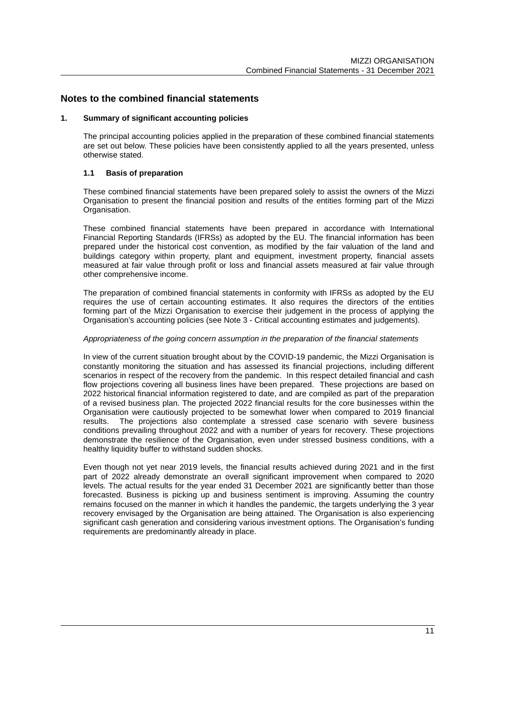### **Notes to the combined financial statements**

### **1. Summary of significant accounting policies**

The principal accounting policies applied in the preparation of these combined financial statements are set out below. These policies have been consistently applied to all the years presented, unless otherwise stated.

#### **1.1 Basis of preparation**

These combined financial statements have been prepared solely to assist the owners of the Mizzi Organisation to present the financial position and results of the entities forming part of the Mizzi Organisation.

These combined financial statements have been prepared in accordance with International Financial Reporting Standards (IFRSs) as adopted by the EU. The financial information has been prepared under the historical cost convention, as modified by the fair valuation of the land and buildings category within property, plant and equipment, investment property, financial assets measured at fair value through profit or loss and financial assets measured at fair value through other comprehensive income.

The preparation of combined financial statements in conformity with IFRSs as adopted by the EU requires the use of certain accounting estimates. It also requires the directors of the entities forming part of the Mizzi Organisation to exercise their judgement in the process of applying the Organisation's accounting policies (see Note 3 - Critical accounting estimates and judgements).

#### *Appropriateness of the going concern assumption in the preparation of the financial statements*

In view of the current situation brought about by the COVID-19 pandemic, the Mizzi Organisation is constantly monitoring the situation and has assessed its financial projections, including different scenarios in respect of the recovery from the pandemic. In this respect detailed financial and cash flow projections covering all business lines have been prepared. These projections are based on 2022 historical financial information registered to date, and are compiled as part of the preparation of a revised business plan. The projected 2022 financial results for the core businesses within the Organisation were cautiously projected to be somewhat lower when compared to 2019 financial results. The projections also contemplate a stressed case scenario with severe business conditions prevailing throughout 2022 and with a number of years for recovery. These projections demonstrate the resilience of the Organisation, even under stressed business conditions, with a healthy liquidity buffer to withstand sudden shocks.

Even though not yet near 2019 levels, the financial results achieved during 2021 and in the first part of 2022 already demonstrate an overall significant improvement when compared to 2020 levels. The actual results for the year ended 31 December 2021 are significantly better than those forecasted. Business is picking up and business sentiment is improving. Assuming the country remains focused on the manner in which it handles the pandemic, the targets underlying the 3 year recovery envisaged by the Organisation are being attained. The Organisation is also experiencing significant cash generation and considering various investment options. The Organisation's funding requirements are predominantly already in place.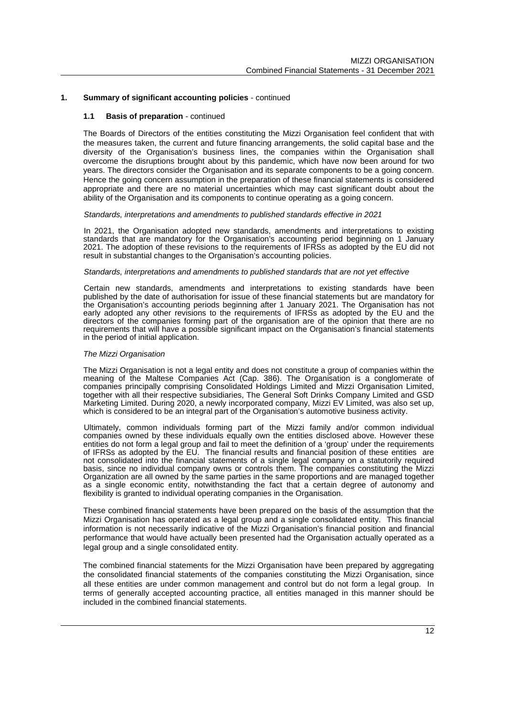#### **1.1 Basis of preparation** - continued

The Boards of Directors of the entities constituting the Mizzi Organisation feel confident that with the measures taken, the current and future financing arrangements, the solid capital base and the diversity of the Organisation's business lines, the companies within the Organisation shall overcome the disruptions brought about by this pandemic, which have now been around for two years. The directors consider the Organisation and its separate components to be a going concern. Hence the going concern assumption in the preparation of these financial statements is considered appropriate and there are no material uncertainties which may cast significant doubt about the ability of the Organisation and its components to continue operating as a going concern.

#### *Standards, interpretations and amendments to published standards effective in 2021*

In 2021, the Organisation adopted new standards, amendments and interpretations to existing standards that are mandatory for the Organisation's accounting period beginning on 1 January 2021. The adoption of these revisions to the requirements of IFRSs as adopted by the EU did not result in substantial changes to the Organisation's accounting policies.

#### *Standards, interpretations and amendments to published standards that are not yet effective*

Certain new standards, amendments and interpretations to existing standards have been published by the date of authorisation for issue of these financial statements but are mandatory for the Organisation's accounting periods beginning after 1 January 2021. The Organisation has not early adopted any other revisions to the requirements of IFRSs as adopted by the EU and the directors of the companies forming part of the organisation are of the opinion that there are no requirements that will have a possible significant impact on the Organisation's financial statements in the period of initial application.

#### *The Mizzi Organisation*

The Mizzi Organisation is not a legal entity and does not constitute a group of companies within the meaning of the Maltese Companies Act (Cap. 386). The Organisation is a conglomerate of companies principally comprising Consolidated Holdings Limited and Mizzi Organisation Limited, together with all their respective subsidiaries, The General Soft Drinks Company Limited and GSD Marketing Limited. During 2020, a newly incorporated company, Mizzi EV Limited, was also set up, which is considered to be an integral part of the Organisation's automotive business activity.

Ultimately, common individuals forming part of the Mizzi family and/or common individual companies owned by these individuals equally own the entities disclosed above. However these entities do not form a legal group and fail to meet the definition of a 'group' under the requirements of IFRSs as adopted by the EU. The financial results and financial position of these entities are not consolidated into the financial statements of a single legal company on a statutorily required basis, since no individual company owns or controls them. The companies constituting the Mizzi Organization are all owned by the same parties in the same proportions and are managed together as a single economic entity, notwithstanding the fact that a certain degree of autonomy and flexibility is granted to individual operating companies in the Organisation.

These combined financial statements have been prepared on the basis of the assumption that the Mizzi Organisation has operated as a legal group and a single consolidated entity. This financial information is not necessarily indicative of the Mizzi Organisation's financial position and financial performance that would have actually been presented had the Organisation actually operated as a legal group and a single consolidated entity.

The combined financial statements for the Mizzi Organisation have been prepared by aggregating the consolidated financial statements of the companies constituting the Mizzi Organisation, since all these entities are under common management and control but do not form a legal group. In terms of generally accepted accounting practice, all entities managed in this manner should be included in the combined financial statements.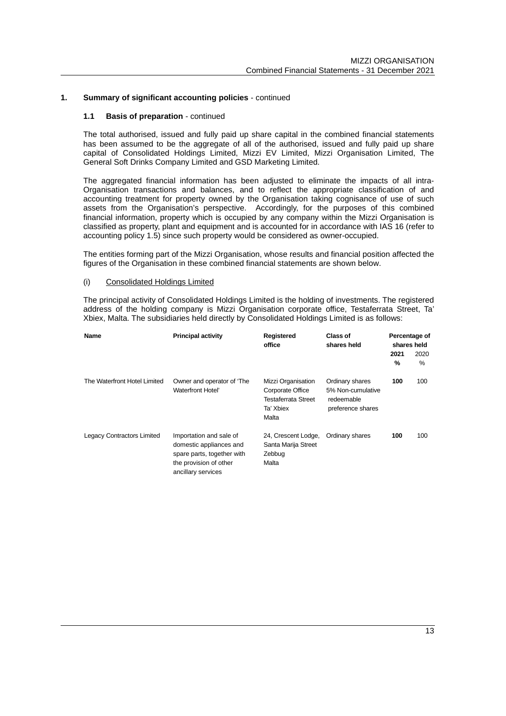#### **1.1 Basis of preparation** - continued

The total authorised, issued and fully paid up share capital in the combined financial statements has been assumed to be the aggregate of all of the authorised, issued and fully paid up share capital of Consolidated Holdings Limited, Mizzi EV Limited, Mizzi Organisation Limited, The General Soft Drinks Company Limited and GSD Marketing Limited.

The aggregated financial information has been adjusted to eliminate the impacts of all intra-Organisation transactions and balances, and to reflect the appropriate classification of and accounting treatment for property owned by the Organisation taking cognisance of use of such assets from the Organisation's perspective. Accordingly, for the purposes of this combined financial information, property which is occupied by any company within the Mizzi Organisation is classified as property, plant and equipment and is accounted for in accordance with IAS 16 (refer to accounting policy 1.5) since such property would be considered as owner-occupied.

The entities forming part of the Mizzi Organisation, whose results and financial position affected the figures of the Organisation in these combined financial statements are shown below.

#### (i) Consolidated Holdings Limited

The principal activity of Consolidated Holdings Limited is the holding of investments. The registered address of the holding company is Mizzi Organisation corporate office, Testaferrata Street, Ta' Xbiex, Malta. The subsidiaries held directly by Consolidated Holdings Limited is as follows:

| <b>Name</b>                       | <b>Principal activity</b>                                                                                                        | Registered<br>office                                                                | Class of<br>shares held                                                 | Percentage of<br>shares held<br>2021<br>% | 2020<br>% |
|-----------------------------------|----------------------------------------------------------------------------------------------------------------------------------|-------------------------------------------------------------------------------------|-------------------------------------------------------------------------|-------------------------------------------|-----------|
| The Waterfront Hotel Limited      | Owner and operator of 'The<br>Waterfront Hotel'                                                                                  | Mizzi Organisation<br>Corporate Office<br>Testaferrata Street<br>Ta' Xbiex<br>Malta | Ordinary shares<br>5% Non-cumulative<br>redeemable<br>preference shares | 100                                       | 100       |
| <b>Legacy Contractors Limited</b> | Importation and sale of<br>domestic appliances and<br>spare parts, together with<br>the provision of other<br>ancillary services | 24, Crescent Lodge,<br>Santa Marija Street<br>Zebbug<br>Malta                       | Ordinary shares                                                         | 100                                       | 100       |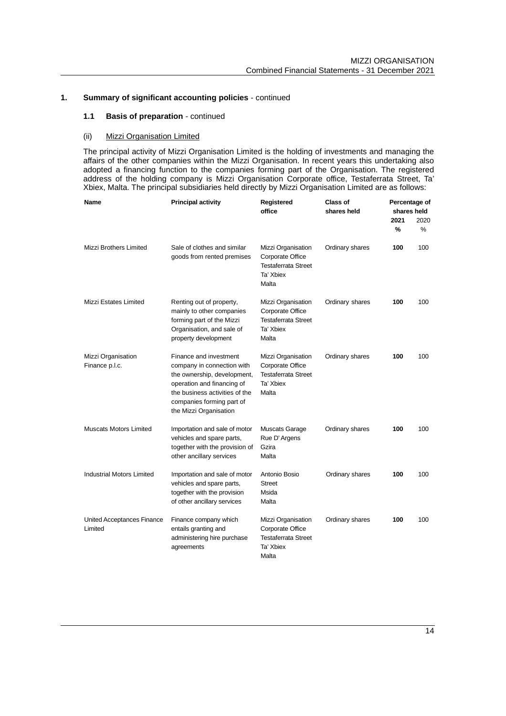#### **1.1 Basis of preparation** - continued

#### (ii) Mizzi Organisation Limited

The principal activity of Mizzi Organisation Limited is the holding of investments and managing the affairs of the other companies within the Mizzi Organisation. In recent years this undertaking also adopted a financing function to the companies forming part of the Organisation. The registered address of the holding company is Mizzi Organisation Corporate office, Testaferrata Street, Ta' Xbiex, Malta. The principal subsidiaries held directly by Mizzi Organisation Limited are as follows:

| Name                                  | <b>Principal activity</b>                                                                                                                                                                                  | Registered<br>office                                                                       | <b>Class of</b><br>shares held | Percentage of<br>shares held<br>2021<br>% | 2020<br>% |
|---------------------------------------|------------------------------------------------------------------------------------------------------------------------------------------------------------------------------------------------------------|--------------------------------------------------------------------------------------------|--------------------------------|-------------------------------------------|-----------|
| Mizzi Brothers Limited                | Sale of clothes and similar<br>goods from rented premises                                                                                                                                                  | Mizzi Organisation<br>Corporate Office<br><b>Testaferrata Street</b><br>Ta' Xbiex<br>Malta | Ordinary shares                | 100                                       | 100       |
| Mizzi Estates Limited                 | Renting out of property,<br>mainly to other companies<br>forming part of the Mizzi<br>Organisation, and sale of<br>property development                                                                    | Mizzi Organisation<br>Corporate Office<br><b>Testaferrata Street</b><br>Ta' Xbiex<br>Malta | Ordinary shares                | 100                                       | 100       |
| Mizzi Organisation<br>Finance p.l.c.  | Finance and investment<br>company in connection with<br>the ownership, development,<br>operation and financing of<br>the business activities of the<br>companies forming part of<br>the Mizzi Organisation | Mizzi Organisation<br>Corporate Office<br><b>Testaferrata Street</b><br>Ta' Xbiex<br>Malta | Ordinary shares                | 100                                       | 100       |
| <b>Muscats Motors Limited</b>         | Importation and sale of motor<br>vehicles and spare parts,<br>together with the provision of<br>other ancillary services                                                                                   | Muscats Garage<br>Rue D'Argens<br>Gzira<br>Malta                                           | Ordinary shares                | 100                                       | 100       |
| Industrial Motors Limited             | Importation and sale of motor<br>vehicles and spare parts,<br>together with the provision<br>of other ancillary services                                                                                   | Antonio Bosio<br>Street<br>Msida<br>Malta                                                  | Ordinary shares                | 100                                       | 100       |
| United Acceptances Finance<br>Limited | Finance company which<br>entails granting and<br>administering hire purchase<br>agreements                                                                                                                 | Mizzi Organisation<br>Corporate Office<br><b>Testaferrata Street</b><br>Ta' Xbiex<br>Malta | Ordinary shares                | 100                                       | 100       |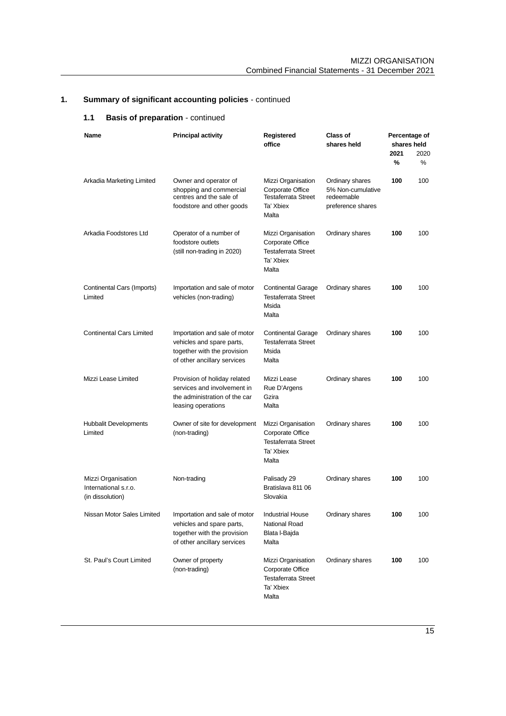### **1.1 Basis of preparation** - continued

| Name                                                           | <b>Principal activity</b>                                                                                                | Registered<br><b>Class of</b><br>office<br>shares held                                            |                                                                         |     |     | Percentage of<br>shares held<br>2021 | 2020 |
|----------------------------------------------------------------|--------------------------------------------------------------------------------------------------------------------------|---------------------------------------------------------------------------------------------------|-------------------------------------------------------------------------|-----|-----|--------------------------------------|------|
|                                                                |                                                                                                                          |                                                                                                   |                                                                         | %   | %   |                                      |      |
| Arkadia Marketing Limited                                      | Owner and operator of<br>shopping and commercial<br>centres and the sale of<br>foodstore and other goods                 | Mizzi Organisation<br>Corporate Office<br><b>Testaferrata Street</b><br>Ta' Xbiex<br>Malta        | Ordinary shares<br>5% Non-cumulative<br>redeemable<br>preference shares | 100 | 100 |                                      |      |
| Arkadia Foodstores Ltd                                         | Operator of a number of<br>foodstore outlets<br>(still non-trading in 2020)                                              | Mizzi Organisation<br>Corporate Office<br><b>Testaferrata Street</b><br>Ta' Xbiex<br>Malta        | Ordinary shares                                                         | 100 | 100 |                                      |      |
| Continental Cars (Imports)<br>Limited                          | Importation and sale of motor<br>vehicles (non-trading)                                                                  | <b>Continental Garage</b><br><b>Testaferrata Street</b><br>Msida<br>Malta                         | Ordinary shares                                                         | 100 | 100 |                                      |      |
| <b>Continental Cars Limited</b>                                | Importation and sale of motor<br>vehicles and spare parts,<br>together with the provision<br>of other ancillary services | <b>Continental Garage</b><br><b>Testaferrata Street</b><br>Msida<br>Malta                         | Ordinary shares                                                         | 100 | 100 |                                      |      |
| Mizzi Lease Limited                                            | Provision of holiday related<br>services and involvement in<br>the administration of the car<br>leasing operations       | Mizzi Lease<br>Rue D'Argens<br>Gzira<br>Malta                                                     | Ordinary shares                                                         | 100 | 100 |                                      |      |
| <b>Hubbalit Developments</b><br>Limited                        | Owner of site for development<br>(non-trading)                                                                           | Mizzi Organisation<br><b>Corporate Office</b><br><b>Testaferrata Street</b><br>Ta' Xbiex<br>Malta | Ordinary shares                                                         | 100 | 100 |                                      |      |
| Mizzi Organisation<br>International s.r.o.<br>(in dissolution) | Non-trading                                                                                                              | Palisady 29<br>Bratislava 811 06<br>Slovakia                                                      | Ordinary shares                                                         | 100 | 100 |                                      |      |
| Nissan Motor Sales Limited                                     | Importation and sale of motor<br>vehicles and spare parts,<br>together with the provision<br>of other ancillary services | <b>Industrial House</b><br>National Road<br>Blata I-Bajda<br>Malta                                | Ordinary shares                                                         | 100 | 100 |                                      |      |
| St. Paul's Court Limited                                       | Owner of property<br>(non-trading)                                                                                       | Mizzi Organisation<br>Corporate Office<br><b>Testaferrata Street</b><br>Ta' Xbiex<br>Malta        | Ordinary shares                                                         | 100 | 100 |                                      |      |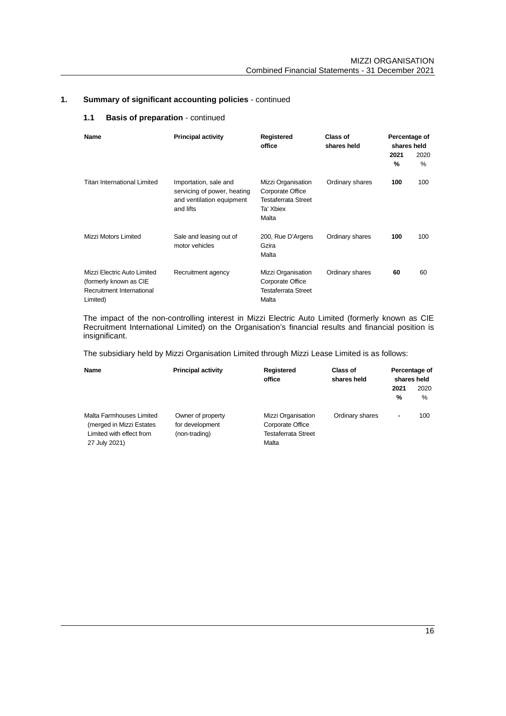#### **1.1 Basis of preparation** - continued

| <b>Name</b>                                                                                    | <b>Principal activity</b>                                                                      | Registered<br>office                                                                | Class of<br>shares held | Percentage of<br>shares held<br>2021<br>$\frac{0}{0}$ | 2020<br>$\frac{0}{0}$ |
|------------------------------------------------------------------------------------------------|------------------------------------------------------------------------------------------------|-------------------------------------------------------------------------------------|-------------------------|-------------------------------------------------------|-----------------------|
| <b>Titan International Limited</b>                                                             | Importation, sale and<br>servicing of power, heating<br>and ventilation equipment<br>and lifts | Mizzi Organisation<br>Corporate Office<br>Testaferrata Street<br>Ta' Xbiex<br>Malta | Ordinary shares         | 100                                                   | 100                   |
| Mizzi Motors Limited                                                                           | Sale and leasing out of<br>motor vehicles                                                      | 200, Rue D'Argens<br>Gzira<br>Malta                                                 | Ordinary shares         | 100                                                   | 100                   |
| Mizzi Electric Auto Limited<br>(formerly known as CIE<br>Recruitment International<br>Limited) | Recruitment agency                                                                             | Mizzi Organisation<br>Corporate Office<br><b>Testaferrata Street</b><br>Malta       | Ordinary shares         | 60                                                    | 60                    |

The impact of the non-controlling interest in Mizzi Electric Auto Limited (formerly known as CIE Recruitment International Limited) on the Organisation's financial results and financial position is insignificant.

The subsidiary held by Mizzi Organisation Limited through Mizzi Lease Limited is as follows:

| Name                                                                                              | <b>Principal activity</b>                             | Registered<br>office                                                   | Class of<br>shares held | Percentage of<br>shares held |      |
|---------------------------------------------------------------------------------------------------|-------------------------------------------------------|------------------------------------------------------------------------|-------------------------|------------------------------|------|
|                                                                                                   |                                                       |                                                                        |                         | 2021                         | 2020 |
|                                                                                                   |                                                       |                                                                        |                         | %                            | %    |
| Malta Farmhouses Limited<br>(merged in Mizzi Estates<br>Limited with effect from<br>27 July 2021) | Owner of property<br>for development<br>(non-trading) | Mizzi Organisation<br>Corporate Office<br>Testaferrata Street<br>Malta | Ordinary shares         | $\blacksquare$               | 100  |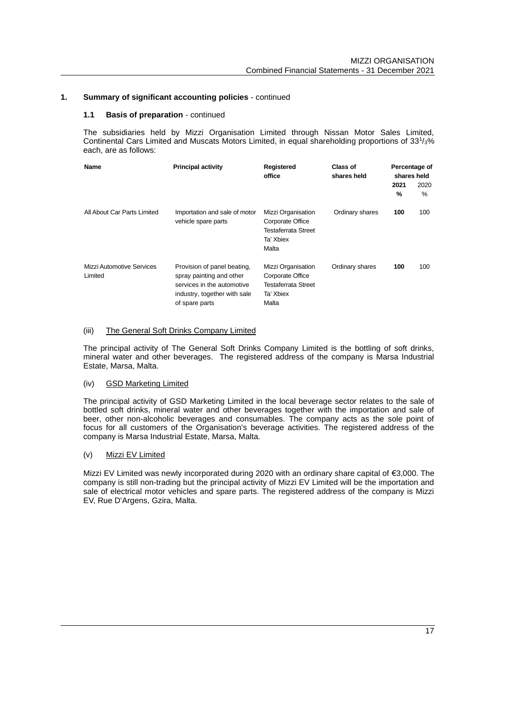#### **1.1 Basis of preparation** - continued

The subsidiaries held by Mizzi Organisation Limited through Nissan Motor Sales Limited, Continental Cars Limited and Muscats Motors Limited, in equal shareholding proportions of 331/3% each, are as follows:

| <b>Name</b>                          | <b>Principal activity</b>                                                                                                               | Registered<br>office                                                                       | <b>Class of</b><br>shares held | Percentage of<br>shares held<br>2021<br>% | 2020<br>% |
|--------------------------------------|-----------------------------------------------------------------------------------------------------------------------------------------|--------------------------------------------------------------------------------------------|--------------------------------|-------------------------------------------|-----------|
| All About Car Parts Limited          | Importation and sale of motor<br>vehicle spare parts                                                                                    | Mizzi Organisation<br>Corporate Office<br><b>Testaferrata Street</b><br>Ta' Xbiex<br>Malta | Ordinary shares                | 100                                       | 100       |
| Mizzi Automotive Services<br>Limited | Provision of panel beating,<br>spray painting and other<br>services in the automotive<br>industry, together with sale<br>of spare parts | Mizzi Organisation<br>Corporate Office<br><b>Testaferrata Street</b><br>Ta' Xbiex<br>Malta | Ordinary shares                | 100                                       | 100       |

#### (iii) The General Soft Drinks Company Limited

The principal activity of The General Soft Drinks Company Limited is the bottling of soft drinks, mineral water and other beverages. The registered address of the company is Marsa Industrial Estate, Marsa, Malta.

#### (iv) GSD Marketing Limited

The principal activity of GSD Marketing Limited in the local beverage sector relates to the sale of bottled soft drinks, mineral water and other beverages together with the importation and sale of beer, other non-alcoholic beverages and consumables. The company acts as the sole point of focus for all customers of the Organisation's beverage activities. The registered address of the company is Marsa Industrial Estate, Marsa, Malta.

#### (v) Mizzi EV Limited

Mizzi EV Limited was newly incorporated during 2020 with an ordinary share capital of €3,000. The company is still non-trading but the principal activity of Mizzi EV Limited will be the importation and sale of electrical motor vehicles and spare parts. The registered address of the company is Mizzi EV, Rue D'Argens, Gzira, Malta.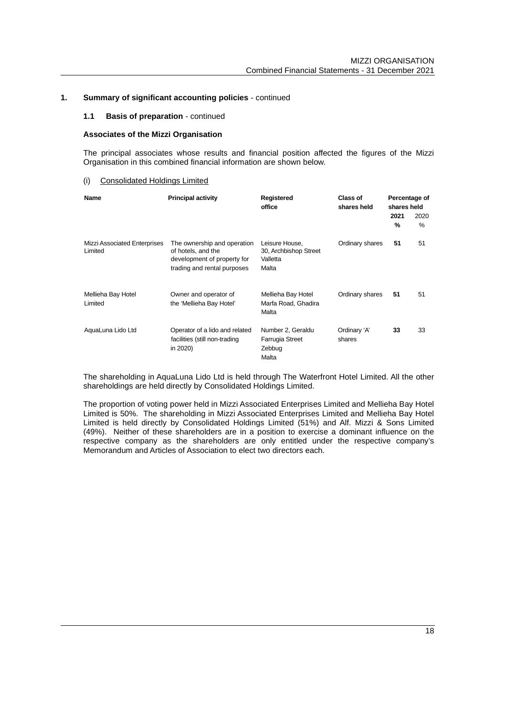#### **1.1 Basis of preparation** - continued

#### **Associates of the Mizzi Organisation**

The principal associates whose results and financial position affected the figures of the Mizzi Organisation in this combined financial information are shown below.

#### (i) Consolidated Holdings Limited

| <b>Name</b>                                    | <b>Principal activity</b>                                                                                       | Registered<br>office                                         | Class of<br>shares held | Percentage of<br>shares held<br>2021<br>$\%$ | 2020<br>$\%$ |
|------------------------------------------------|-----------------------------------------------------------------------------------------------------------------|--------------------------------------------------------------|-------------------------|----------------------------------------------|--------------|
| <b>Mizzi Associated Enterprises</b><br>Limited | The ownership and operation<br>of hotels, and the<br>development of property for<br>trading and rental purposes | Leisure House.<br>30, Archbishop Street<br>Valletta<br>Malta | Ordinary shares         | 51                                           | 51           |
| Mellieha Bay Hotel<br>Limited                  | Owner and operator of<br>the 'Mellieha Bay Hotel'                                                               | Mellieha Bay Hotel<br>Marfa Road, Ghadira<br>Malta           | Ordinary shares         | 51                                           | 51           |
| AquaLuna Lido Ltd                              | Operator of a lido and related<br>facilities (still non-trading<br>in 2020)                                     | Number 2, Geraldu<br>Farrugia Street<br>Zebbug<br>Malta      | Ordinary 'A'<br>shares  | 33                                           | 33           |

The shareholding in AquaLuna Lido Ltd is held through The Waterfront Hotel Limited. All the other shareholdings are held directly by Consolidated Holdings Limited.

The proportion of voting power held in Mizzi Associated Enterprises Limited and Mellieha Bay Hotel Limited is 50%. The shareholding in Mizzi Associated Enterprises Limited and Mellieha Bay Hotel Limited is held directly by Consolidated Holdings Limited (51%) and Alf. Mizzi & Sons Limited (49%). Neither of these shareholders are in a position to exercise a dominant influence on the respective company as the shareholders are only entitled under the respective company's Memorandum and Articles of Association to elect two directors each.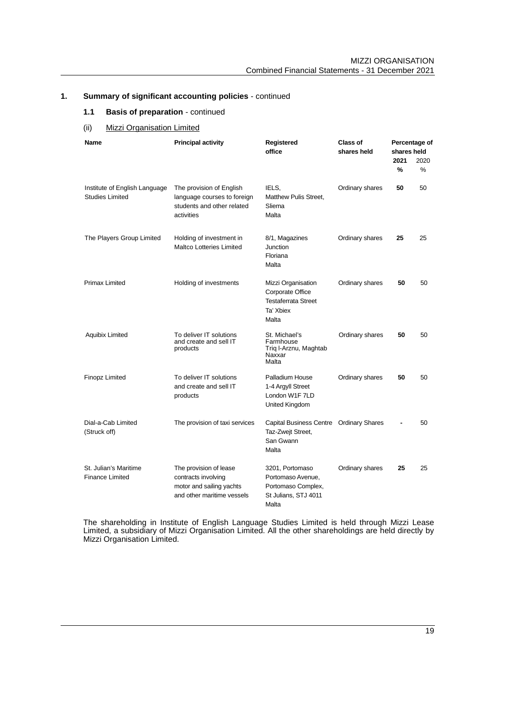#### **1.1 Basis of preparation** - continued

#### (ii) Mizzi Organisation Limited

| Name                                                    | <b>Principal activity</b>                                                                               | Registered<br>office                                                                              | <b>Class of</b><br>shares held | Percentage of<br>shares held<br>2021<br>% | 2020<br>$\%$ |
|---------------------------------------------------------|---------------------------------------------------------------------------------------------------------|---------------------------------------------------------------------------------------------------|--------------------------------|-------------------------------------------|--------------|
| Institute of English Language<br><b>Studies Limited</b> | The provision of English<br>language courses to foreign<br>students and other related<br>activities     | IELS,<br>Matthew Pulis Street,<br>Sliema<br>Malta                                                 | Ordinary shares                | 50                                        | 50           |
| The Players Group Limited                               | Holding of investment in<br><b>Maltco Lotteries Limited</b>                                             | 8/1, Magazines<br>Junction<br>Floriana<br>Malta                                                   | Ordinary shares                | 25                                        | 25           |
| <b>Primax Limited</b>                                   | Holding of investments                                                                                  | Mizzi Organisation<br><b>Corporate Office</b><br><b>Testaferrata Street</b><br>Ta' Xbiex<br>Malta | Ordinary shares                | 50                                        | 50           |
| Aquibix Limited                                         | To deliver IT solutions<br>and create and sell IT<br>products                                           | St. Michael's<br>Farmhouse<br>Triq I-Arznu, Maghtab<br>Naxxar<br>Malta                            | Ordinary shares                | 50                                        | 50           |
| <b>Finopz Limited</b>                                   | To deliver IT solutions<br>and create and sell IT<br>products                                           | Palladium House<br>1-4 Argyll Street<br>London W1F 7LD<br>United Kingdom                          | Ordinary shares                | 50                                        | 50           |
| Dial-a-Cab Limited<br>(Struck off)                      | The provision of taxi services                                                                          | Capital Business Centre Ordinary Shares<br>Taz-Zwejt Street,<br>San Gwann<br>Malta                |                                |                                           | 50           |
| St. Julian's Maritime<br><b>Finance Limited</b>         | The provision of lease<br>contracts involving<br>motor and sailing yachts<br>and other maritime vessels | 3201, Portomaso<br>Portomaso Avenue,<br>Portomaso Complex,<br>St Julians, STJ 4011<br>Malta       | Ordinary shares                | 25                                        | 25           |

The shareholding in Institute of English Language Studies Limited is held through Mizzi Lease Limited, a subsidiary of Mizzi Organisation Limited. All the other shareholdings are held directly by Mizzi Organisation Limited.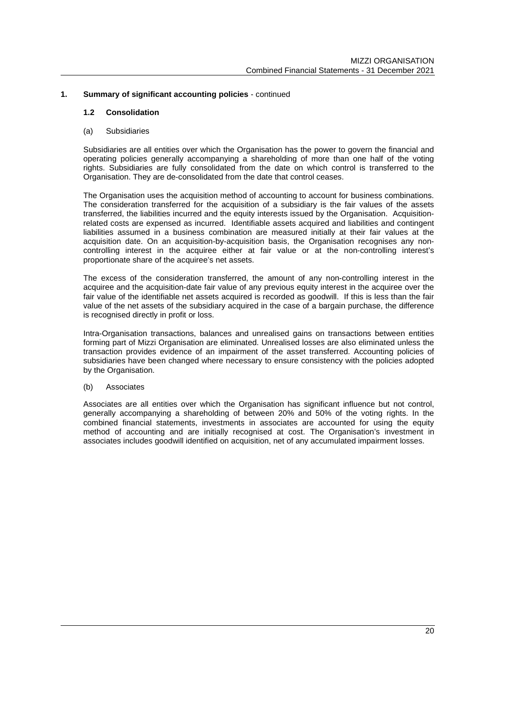#### **1.2 Consolidation**

#### (a) Subsidiaries

Subsidiaries are all entities over which the Organisation has the power to govern the financial and operating policies generally accompanying a shareholding of more than one half of the voting rights. Subsidiaries are fully consolidated from the date on which control is transferred to the Organisation. They are de-consolidated from the date that control ceases.

The Organisation uses the acquisition method of accounting to account for business combinations. The consideration transferred for the acquisition of a subsidiary is the fair values of the assets transferred, the liabilities incurred and the equity interests issued by the Organisation. Acquisitionrelated costs are expensed as incurred. Identifiable assets acquired and liabilities and contingent liabilities assumed in a business combination are measured initially at their fair values at the acquisition date. On an acquisition-by-acquisition basis, the Organisation recognises any noncontrolling interest in the acquiree either at fair value or at the non-controlling interest's proportionate share of the acquiree's net assets.

The excess of the consideration transferred, the amount of any non-controlling interest in the acquiree and the acquisition-date fair value of any previous equity interest in the acquiree over the fair value of the identifiable net assets acquired is recorded as goodwill. If this is less than the fair value of the net assets of the subsidiary acquired in the case of a bargain purchase, the difference is recognised directly in profit or loss.

Intra-Organisation transactions, balances and unrealised gains on transactions between entities forming part of Mizzi Organisation are eliminated. Unrealised losses are also eliminated unless the transaction provides evidence of an impairment of the asset transferred. Accounting policies of subsidiaries have been changed where necessary to ensure consistency with the policies adopted by the Organisation.

#### (b) Associates

Associates are all entities over which the Organisation has significant influence but not control, generally accompanying a shareholding of between 20% and 50% of the voting rights. In the combined financial statements, investments in associates are accounted for using the equity method of accounting and are initially recognised at cost. The Organisation's investment in associates includes goodwill identified on acquisition, net of any accumulated impairment losses.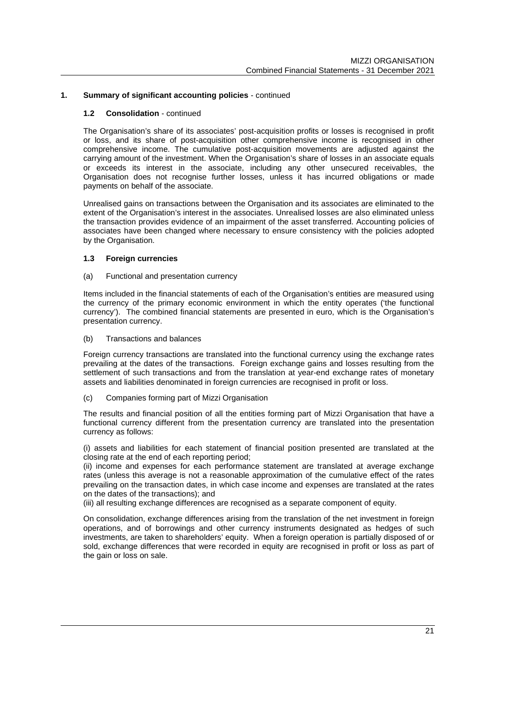#### **1.2 Consolidation** - continued

The Organisation's share of its associates' post-acquisition profits or losses is recognised in profit or loss, and its share of post-acquisition other comprehensive income is recognised in other comprehensive income. The cumulative post-acquisition movements are adjusted against the carrying amount of the investment. When the Organisation's share of losses in an associate equals or exceeds its interest in the associate, including any other unsecured receivables, the Organisation does not recognise further losses, unless it has incurred obligations or made payments on behalf of the associate.

Unrealised gains on transactions between the Organisation and its associates are eliminated to the extent of the Organisation's interest in the associates. Unrealised losses are also eliminated unless the transaction provides evidence of an impairment of the asset transferred. Accounting policies of associates have been changed where necessary to ensure consistency with the policies adopted by the Organisation.

#### **1.3 Foreign currencies**

#### (a) Functional and presentation currency

Items included in the financial statements of each of the Organisation's entities are measured using the currency of the primary economic environment in which the entity operates ('the functional currency'). The combined financial statements are presented in euro, which is the Organisation's presentation currency.

#### (b) Transactions and balances

Foreign currency transactions are translated into the functional currency using the exchange rates prevailing at the dates of the transactions. Foreign exchange gains and losses resulting from the settlement of such transactions and from the translation at year-end exchange rates of monetary assets and liabilities denominated in foreign currencies are recognised in profit or loss.

#### (c) Companies forming part of Mizzi Organisation

The results and financial position of all the entities forming part of Mizzi Organisation that have a functional currency different from the presentation currency are translated into the presentation currency as follows:

(i) assets and liabilities for each statement of financial position presented are translated at the closing rate at the end of each reporting period;

(ii) income and expenses for each performance statement are translated at average exchange rates (unless this average is not a reasonable approximation of the cumulative effect of the rates prevailing on the transaction dates, in which case income and expenses are translated at the rates on the dates of the transactions); and

(iii) all resulting exchange differences are recognised as a separate component of equity.

On consolidation, exchange differences arising from the translation of the net investment in foreign operations, and of borrowings and other currency instruments designated as hedges of such investments, are taken to shareholders' equity. When a foreign operation is partially disposed of or sold, exchange differences that were recorded in equity are recognised in profit or loss as part of the gain or loss on sale.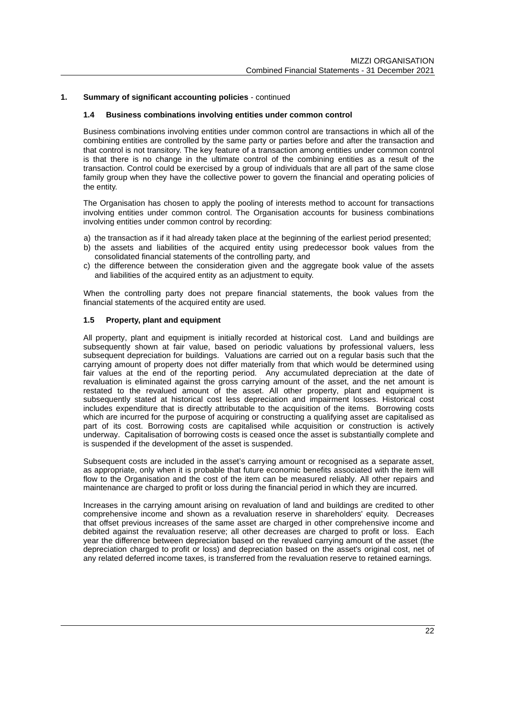#### **1.4 Business combinations involving entities under common control**

Business combinations involving entities under common control are transactions in which all of the combining entities are controlled by the same party or parties before and after the transaction and that control is not transitory. The key feature of a transaction among entities under common control is that there is no change in the ultimate control of the combining entities as a result of the transaction. Control could be exercised by a group of individuals that are all part of the same close family group when they have the collective power to govern the financial and operating policies of the entity.

The Organisation has chosen to apply the pooling of interests method to account for transactions involving entities under common control. The Organisation accounts for business combinations involving entities under common control by recording:

- a) the transaction as if it had already taken place at the beginning of the earliest period presented;
- b) the assets and liabilities of the acquired entity using predecessor book values from the consolidated financial statements of the controlling party, and
- c) the difference between the consideration given and the aggregate book value of the assets and liabilities of the acquired entity as an adjustment to equity.

When the controlling party does not prepare financial statements, the book values from the financial statements of the acquired entity are used.

#### **1.5 Property, plant and equipment**

All property, plant and equipment is initially recorded at historical cost. Land and buildings are subsequently shown at fair value, based on periodic valuations by professional valuers, less subsequent depreciation for buildings. Valuations are carried out on a regular basis such that the carrying amount of property does not differ materially from that which would be determined using fair values at the end of the reporting period. Any accumulated depreciation at the date of revaluation is eliminated against the gross carrying amount of the asset, and the net amount is restated to the revalued amount of the asset. All other property, plant and equipment is subsequently stated at historical cost less depreciation and impairment losses. Historical cost includes expenditure that is directly attributable to the acquisition of the items. Borrowing costs which are incurred for the purpose of acquiring or constructing a qualifying asset are capitalised as part of its cost. Borrowing costs are capitalised while acquisition or construction is actively underway. Capitalisation of borrowing costs is ceased once the asset is substantially complete and is suspended if the development of the asset is suspended.

Subsequent costs are included in the asset's carrying amount or recognised as a separate asset, as appropriate, only when it is probable that future economic benefits associated with the item will flow to the Organisation and the cost of the item can be measured reliably. All other repairs and maintenance are charged to profit or loss during the financial period in which they are incurred.

Increases in the carrying amount arising on revaluation of land and buildings are credited to other comprehensive income and shown as a revaluation reserve in shareholders' equity. Decreases that offset previous increases of the same asset are charged in other comprehensive income and debited against the revaluation reserve; all other decreases are charged to profit or loss. Each year the difference between depreciation based on the revalued carrying amount of the asset (the depreciation charged to profit or loss) and depreciation based on the asset's original cost, net of any related deferred income taxes, is transferred from the revaluation reserve to retained earnings.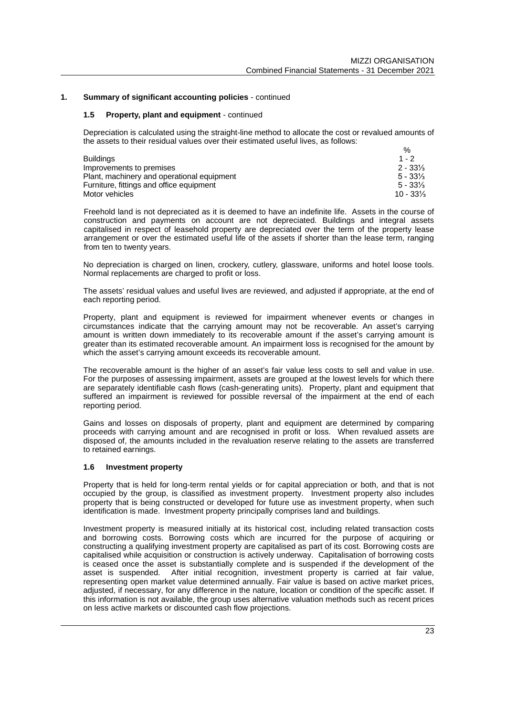#### **1.5 Property, plant and equipment** - continued

Depreciation is calculated using the straight-line method to allocate the cost or revalued amounts of the assets to their residual values over their estimated useful lives, as follows:

|                                            | %                    |
|--------------------------------------------|----------------------|
| <b>Buildings</b>                           | $1 - 2$              |
| Improvements to premises                   | $2 - 33\frac{1}{3}$  |
| Plant, machinery and operational equipment | $5 - 33\frac{1}{3}$  |
| Furniture, fittings and office equipment   | $5 - 33\frac{1}{3}$  |
| Motor vehicles                             | $10 - 33\frac{1}{3}$ |

Freehold land is not depreciated as it is deemed to have an indefinite life. Assets in the course of construction and payments on account are not depreciated. Buildings and integral assets capitalised in respect of leasehold property are depreciated over the term of the property lease arrangement or over the estimated useful life of the assets if shorter than the lease term, ranging from ten to twenty years.

No depreciation is charged on linen, crockery, cutlery, glassware, uniforms and hotel loose tools. Normal replacements are charged to profit or loss.

The assets' residual values and useful lives are reviewed, and adjusted if appropriate, at the end of each reporting period.

Property, plant and equipment is reviewed for impairment whenever events or changes in circumstances indicate that the carrying amount may not be recoverable. An asset's carrying amount is written down immediately to its recoverable amount if the asset's carrying amount is greater than its estimated recoverable amount. An impairment loss is recognised for the amount by which the asset's carrying amount exceeds its recoverable amount.

The recoverable amount is the higher of an asset's fair value less costs to sell and value in use. For the purposes of assessing impairment, assets are grouped at the lowest levels for which there are separately identifiable cash flows (cash-generating units). Property, plant and equipment that suffered an impairment is reviewed for possible reversal of the impairment at the end of each reporting period.

Gains and losses on disposals of property, plant and equipment are determined by comparing proceeds with carrying amount and are recognised in profit or loss. When revalued assets are disposed of, the amounts included in the revaluation reserve relating to the assets are transferred to retained earnings.

#### **1.6 Investment property**

Property that is held for long-term rental yields or for capital appreciation or both, and that is not occupied by the group, is classified as investment property. Investment property also includes property that is being constructed or developed for future use as investment property, when such identification is made. Investment property principally comprises land and buildings.

Investment property is measured initially at its historical cost, including related transaction costs and borrowing costs. Borrowing costs which are incurred for the purpose of acquiring or constructing a qualifying investment property are capitalised as part of its cost. Borrowing costs are capitalised while acquisition or construction is actively underway. Capitalisation of borrowing costs is ceased once the asset is substantially complete and is suspended if the development of the asset is suspended. After initial recognition, investment property is carried at fair value, representing open market value determined annually. Fair value is based on active market prices, adjusted, if necessary, for any difference in the nature, location or condition of the specific asset. If this information is not available, the group uses alternative valuation methods such as recent prices on less active markets or discounted cash flow projections.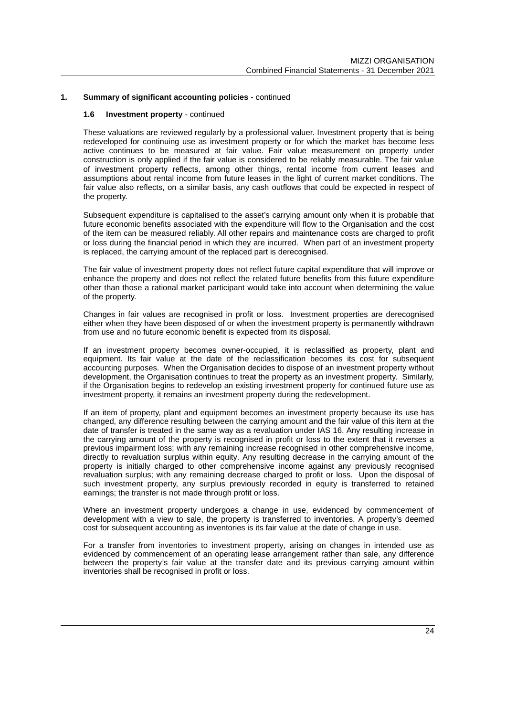#### **1.6 Investment property** - continued

These valuations are reviewed regularly by a professional valuer. Investment property that is being redeveloped for continuing use as investment property or for which the market has become less active continues to be measured at fair value. Fair value measurement on property under construction is only applied if the fair value is considered to be reliably measurable. The fair value of investment property reflects, among other things, rental income from current leases and assumptions about rental income from future leases in the light of current market conditions. The fair value also reflects, on a similar basis, any cash outflows that could be expected in respect of the property.

Subsequent expenditure is capitalised to the asset's carrying amount only when it is probable that future economic benefits associated with the expenditure will flow to the Organisation and the cost of the item can be measured reliably. All other repairs and maintenance costs are charged to profit or loss during the financial period in which they are incurred. When part of an investment property is replaced, the carrying amount of the replaced part is derecognised.

The fair value of investment property does not reflect future capital expenditure that will improve or enhance the property and does not reflect the related future benefits from this future expenditure other than those a rational market participant would take into account when determining the value of the property.

Changes in fair values are recognised in profit or loss. Investment properties are derecognised either when they have been disposed of or when the investment property is permanently withdrawn from use and no future economic benefit is expected from its disposal.

If an investment property becomes owner-occupied, it is reclassified as property, plant and equipment. Its fair value at the date of the reclassification becomes its cost for subsequent accounting purposes. When the Organisation decides to dispose of an investment property without development, the Organisation continues to treat the property as an investment property. Similarly, if the Organisation begins to redevelop an existing investment property for continued future use as investment property, it remains an investment property during the redevelopment.

If an item of property, plant and equipment becomes an investment property because its use has changed, any difference resulting between the carrying amount and the fair value of this item at the date of transfer is treated in the same way as a revaluation under IAS 16. Any resulting increase in the carrying amount of the property is recognised in profit or loss to the extent that it reverses a previous impairment loss; with any remaining increase recognised in other comprehensive income, directly to revaluation surplus within equity. Any resulting decrease in the carrying amount of the property is initially charged to other comprehensive income against any previously recognised revaluation surplus; with any remaining decrease charged to profit or loss. Upon the disposal of such investment property, any surplus previously recorded in equity is transferred to retained earnings; the transfer is not made through profit or loss.

Where an investment property undergoes a change in use, evidenced by commencement of development with a view to sale, the property is transferred to inventories. A property's deemed cost for subsequent accounting as inventories is its fair value at the date of change in use.

For a transfer from inventories to investment property, arising on changes in intended use as evidenced by commencement of an operating lease arrangement rather than sale, any difference between the property's fair value at the transfer date and its previous carrying amount within inventories shall be recognised in profit or loss.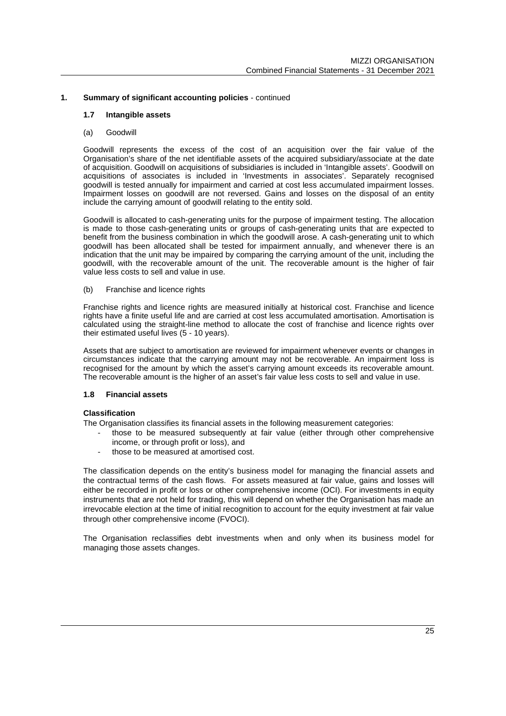#### **1.7 Intangible assets**

#### (a) Goodwill

Goodwill represents the excess of the cost of an acquisition over the fair value of the Organisation's share of the net identifiable assets of the acquired subsidiary/associate at the date of acquisition. Goodwill on acquisitions of subsidiaries is included in 'Intangible assets'. Goodwill on acquisitions of associates is included in 'Investments in associates'. Separately recognised goodwill is tested annually for impairment and carried at cost less accumulated impairment losses. Impairment losses on goodwill are not reversed. Gains and losses on the disposal of an entity include the carrying amount of goodwill relating to the entity sold.

Goodwill is allocated to cash-generating units for the purpose of impairment testing. The allocation is made to those cash-generating units or groups of cash-generating units that are expected to benefit from the business combination in which the goodwill arose. A cash-generating unit to which goodwill has been allocated shall be tested for impairment annually, and whenever there is an indication that the unit may be impaired by comparing the carrying amount of the unit, including the goodwill, with the recoverable amount of the unit. The recoverable amount is the higher of fair value less costs to sell and value in use.

#### (b) Franchise and licence rights

Franchise rights and licence rights are measured initially at historical cost. Franchise and licence rights have a finite useful life and are carried at cost less accumulated amortisation. Amortisation is calculated using the straight-line method to allocate the cost of franchise and licence rights over their estimated useful lives (5 - 10 years).

Assets that are subject to amortisation are reviewed for impairment whenever events or changes in circumstances indicate that the carrying amount may not be recoverable. An impairment loss is recognised for the amount by which the asset's carrying amount exceeds its recoverable amount. The recoverable amount is the higher of an asset's fair value less costs to sell and value in use.

#### **1.8 Financial assets**

#### **Classification**

The Organisation classifies its financial assets in the following measurement categories:

- those to be measured subsequently at fair value (either through other comprehensive income, or through profit or loss), and
- those to be measured at amortised cost.

The classification depends on the entity's business model for managing the financial assets and the contractual terms of the cash flows. For assets measured at fair value, gains and losses will either be recorded in profit or loss or other comprehensive income (OCI). For investments in equity instruments that are not held for trading, this will depend on whether the Organisation has made an irrevocable election at the time of initial recognition to account for the equity investment at fair value through other comprehensive income (FVOCI).

The Organisation reclassifies debt investments when and only when its business model for managing those assets changes.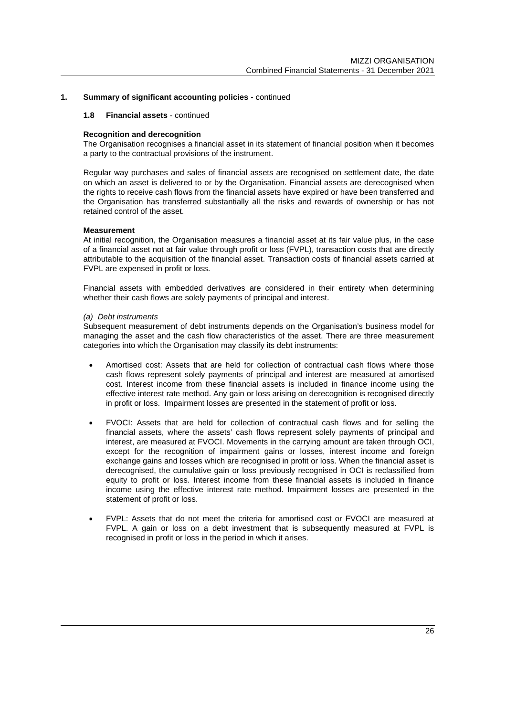#### **1.8 Financial assets** - continued

#### **Recognition and derecognition**

The Organisation recognises a financial asset in its statement of financial position when it becomes a party to the contractual provisions of the instrument.

Regular way purchases and sales of financial assets are recognised on settlement date, the date on which an asset is delivered to or by the Organisation. Financial assets are derecognised when the rights to receive cash flows from the financial assets have expired or have been transferred and the Organisation has transferred substantially all the risks and rewards of ownership or has not retained control of the asset.

#### **Measurement**

At initial recognition, the Organisation measures a financial asset at its fair value plus, in the case of a financial asset not at fair value through profit or loss (FVPL), transaction costs that are directly attributable to the acquisition of the financial asset. Transaction costs of financial assets carried at FVPL are expensed in profit or loss.

Financial assets with embedded derivatives are considered in their entirety when determining whether their cash flows are solely payments of principal and interest.

#### *(a) Debt instruments*

Subsequent measurement of debt instruments depends on the Organisation's business model for managing the asset and the cash flow characteristics of the asset. There are three measurement categories into which the Organisation may classify its debt instruments:

- Amortised cost: Assets that are held for collection of contractual cash flows where those cash flows represent solely payments of principal and interest are measured at amortised cost. Interest income from these financial assets is included in finance income using the effective interest rate method. Any gain or loss arising on derecognition is recognised directly in profit or loss. Impairment losses are presented in the statement of profit or loss.
- FVOCI: Assets that are held for collection of contractual cash flows and for selling the financial assets, where the assets' cash flows represent solely payments of principal and interest, are measured at FVOCI. Movements in the carrying amount are taken through OCI, except for the recognition of impairment gains or losses, interest income and foreign exchange gains and losses which are recognised in profit or loss. When the financial asset is derecognised, the cumulative gain or loss previously recognised in OCI is reclassified from equity to profit or loss. Interest income from these financial assets is included in finance income using the effective interest rate method. Impairment losses are presented in the statement of profit or loss.
- FVPL: Assets that do not meet the criteria for amortised cost or FVOCI are measured at FVPL. A gain or loss on a debt investment that is subsequently measured at FVPL is recognised in profit or loss in the period in which it arises.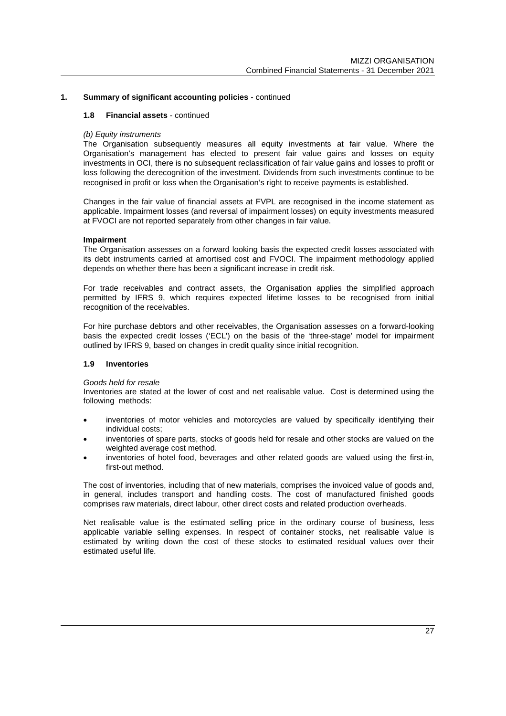#### **1.8 Financial assets** - continued

#### *(b) Equity instruments*

The Organisation subsequently measures all equity investments at fair value. Where the Organisation's management has elected to present fair value gains and losses on equity investments in OCI, there is no subsequent reclassification of fair value gains and losses to profit or loss following the derecognition of the investment. Dividends from such investments continue to be recognised in profit or loss when the Organisation's right to receive payments is established.

Changes in the fair value of financial assets at FVPL are recognised in the income statement as applicable. Impairment losses (and reversal of impairment losses) on equity investments measured at FVOCI are not reported separately from other changes in fair value.

#### **Impairment**

The Organisation assesses on a forward looking basis the expected credit losses associated with its debt instruments carried at amortised cost and FVOCI. The impairment methodology applied depends on whether there has been a significant increase in credit risk.

For trade receivables and contract assets, the Organisation applies the simplified approach permitted by IFRS 9, which requires expected lifetime losses to be recognised from initial recognition of the receivables.

For hire purchase debtors and other receivables, the Organisation assesses on a forward-looking basis the expected credit losses ('ECL') on the basis of the 'three-stage' model for impairment outlined by IFRS 9, based on changes in credit quality since initial recognition.

#### **1.9 Inventories**

#### *Goods held for resale*

Inventories are stated at the lower of cost and net realisable value. Cost is determined using the following methods:

- inventories of motor vehicles and motorcycles are valued by specifically identifying their individual costs;
- inventories of spare parts, stocks of goods held for resale and other stocks are valued on the weighted average cost method.
- inventories of hotel food, beverages and other related goods are valued using the first-in, first-out method.

The cost of inventories, including that of new materials, comprises the invoiced value of goods and, in general, includes transport and handling costs. The cost of manufactured finished goods comprises raw materials, direct labour, other direct costs and related production overheads.

Net realisable value is the estimated selling price in the ordinary course of business, less applicable variable selling expenses. In respect of container stocks, net realisable value is estimated by writing down the cost of these stocks to estimated residual values over their estimated useful life.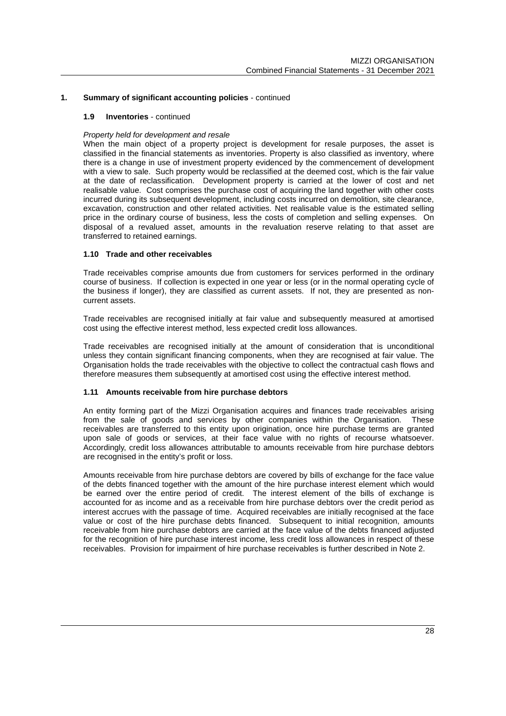#### **1.9 Inventories** - continued

#### *Property held for development and resale*

When the main object of a property project is development for resale purposes, the asset is classified in the financial statements as inventories. Property is also classified as inventory, where there is a change in use of investment property evidenced by the commencement of development with a view to sale. Such property would be reclassified at the deemed cost, which is the fair value at the date of reclassification. Development property is carried at the lower of cost and net realisable value. Cost comprises the purchase cost of acquiring the land together with other costs incurred during its subsequent development, including costs incurred on demolition, site clearance, excavation, construction and other related activities. Net realisable value is the estimated selling price in the ordinary course of business, less the costs of completion and selling expenses. On disposal of a revalued asset, amounts in the revaluation reserve relating to that asset are transferred to retained earnings.

#### **1.10 Trade and other receivables**

Trade receivables comprise amounts due from customers for services performed in the ordinary course of business. If collection is expected in one year or less (or in the normal operating cycle of the business if longer), they are classified as current assets. If not, they are presented as noncurrent assets.

Trade receivables are recognised initially at fair value and subsequently measured at amortised cost using the effective interest method, less expected credit loss allowances.

Trade receivables are recognised initially at the amount of consideration that is unconditional unless they contain significant financing components, when they are recognised at fair value. The Organisation holds the trade receivables with the objective to collect the contractual cash flows and therefore measures them subsequently at amortised cost using the effective interest method.

#### **1.11 Amounts receivable from hire purchase debtors**

An entity forming part of the Mizzi Organisation acquires and finances trade receivables arising from the sale of goods and services by other companies within the Organisation. These receivables are transferred to this entity upon origination, once hire purchase terms are granted upon sale of goods or services, at their face value with no rights of recourse whatsoever. Accordingly, credit loss allowances attributable to amounts receivable from hire purchase debtors are recognised in the entity's profit or loss.

Amounts receivable from hire purchase debtors are covered by bills of exchange for the face value of the debts financed together with the amount of the hire purchase interest element which would be earned over the entire period of credit. The interest element of the bills of exchange is accounted for as income and as a receivable from hire purchase debtors over the credit period as interest accrues with the passage of time. Acquired receivables are initially recognised at the face value or cost of the hire purchase debts financed. Subsequent to initial recognition, amounts receivable from hire purchase debtors are carried at the face value of the debts financed adjusted for the recognition of hire purchase interest income, less credit loss allowances in respect of these receivables. Provision for impairment of hire purchase receivables is further described in Note 2.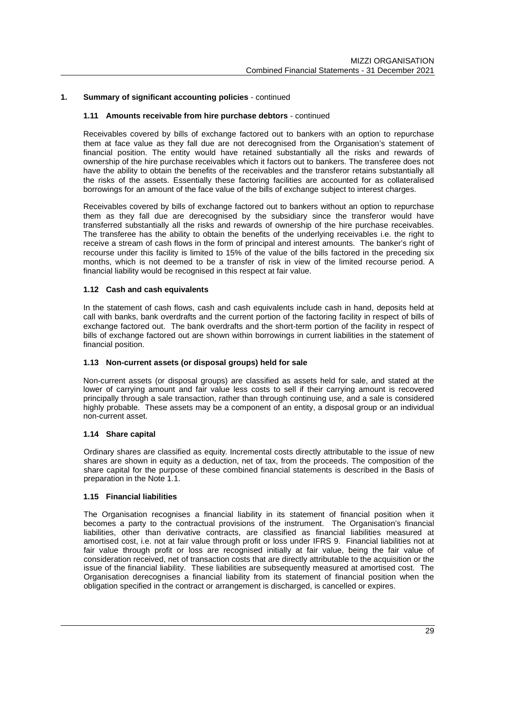#### **1.11 Amounts receivable from hire purchase debtors** - continued

Receivables covered by bills of exchange factored out to bankers with an option to repurchase them at face value as they fall due are not derecognised from the Organisation's statement of financial position. The entity would have retained substantially all the risks and rewards of ownership of the hire purchase receivables which it factors out to bankers. The transferee does not have the ability to obtain the benefits of the receivables and the transferor retains substantially all the risks of the assets. Essentially these factoring facilities are accounted for as collateralised borrowings for an amount of the face value of the bills of exchange subject to interest charges.

Receivables covered by bills of exchange factored out to bankers without an option to repurchase them as they fall due are derecognised by the subsidiary since the transferor would have transferred substantially all the risks and rewards of ownership of the hire purchase receivables. The transferee has the ability to obtain the benefits of the underlying receivables i.e. the right to receive a stream of cash flows in the form of principal and interest amounts. The banker's right of recourse under this facility is limited to 15% of the value of the bills factored in the preceding six months, which is not deemed to be a transfer of risk in view of the limited recourse period. A financial liability would be recognised in this respect at fair value.

#### **1.12 Cash and cash equivalents**

In the statement of cash flows, cash and cash equivalents include cash in hand, deposits held at call with banks, bank overdrafts and the current portion of the factoring facility in respect of bills of exchange factored out. The bank overdrafts and the short-term portion of the facility in respect of bills of exchange factored out are shown within borrowings in current liabilities in the statement of financial position.

#### **1.13 Non-current assets (or disposal groups) held for sale**

Non-current assets (or disposal groups) are classified as assets held for sale, and stated at the lower of carrying amount and fair value less costs to sell if their carrying amount is recovered principally through a sale transaction, rather than through continuing use, and a sale is considered highly probable. These assets may be a component of an entity, a disposal group or an individual non-current asset.

#### **1.14 Share capital**

Ordinary shares are classified as equity. Incremental costs directly attributable to the issue of new shares are shown in equity as a deduction, net of tax, from the proceeds. The composition of the share capital for the purpose of these combined financial statements is described in the Basis of preparation in the Note 1.1.

#### **1.15 Financial liabilities**

The Organisation recognises a financial liability in its statement of financial position when it becomes a party to the contractual provisions of the instrument. The Organisation's financial liabilities, other than derivative contracts, are classified as financial liabilities measured at amortised cost, i.e. not at fair value through profit or loss under IFRS 9. Financial liabilities not at fair value through profit or loss are recognised initially at fair value, being the fair value of consideration received, net of transaction costs that are directly attributable to the acquisition or the issue of the financial liability. These liabilities are subsequently measured at amortised cost. The Organisation derecognises a financial liability from its statement of financial position when the obligation specified in the contract or arrangement is discharged, is cancelled or expires.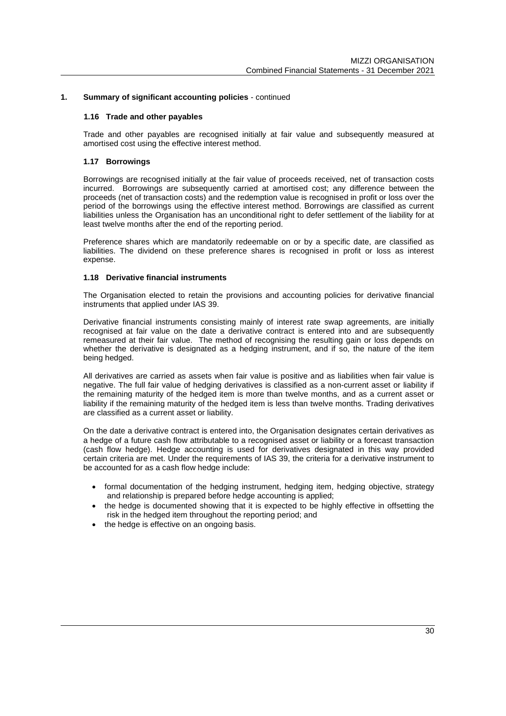#### **1.16 Trade and other payables**

Trade and other payables are recognised initially at fair value and subsequently measured at amortised cost using the effective interest method.

#### **1.17 Borrowings**

Borrowings are recognised initially at the fair value of proceeds received, net of transaction costs incurred. Borrowings are subsequently carried at amortised cost; any difference between the proceeds (net of transaction costs) and the redemption value is recognised in profit or loss over the period of the borrowings using the effective interest method. Borrowings are classified as current liabilities unless the Organisation has an unconditional right to defer settlement of the liability for at least twelve months after the end of the reporting period.

Preference shares which are mandatorily redeemable on or by a specific date, are classified as liabilities. The dividend on these preference shares is recognised in profit or loss as interest expense.

#### **1.18 Derivative financial instruments**

The Organisation elected to retain the provisions and accounting policies for derivative financial instruments that applied under IAS 39.

Derivative financial instruments consisting mainly of interest rate swap agreements, are initially recognised at fair value on the date a derivative contract is entered into and are subsequently remeasured at their fair value. The method of recognising the resulting gain or loss depends on whether the derivative is designated as a hedging instrument, and if so, the nature of the item being hedged.

All derivatives are carried as assets when fair value is positive and as liabilities when fair value is negative. The full fair value of hedging derivatives is classified as a non-current asset or liability if the remaining maturity of the hedged item is more than twelve months, and as a current asset or liability if the remaining maturity of the hedged item is less than twelve months. Trading derivatives are classified as a current asset or liability.

On the date a derivative contract is entered into, the Organisation designates certain derivatives as a hedge of a future cash flow attributable to a recognised asset or liability or a forecast transaction (cash flow hedge). Hedge accounting is used for derivatives designated in this way provided certain criteria are met. Under the requirements of IAS 39, the criteria for a derivative instrument to be accounted for as a cash flow hedge include:

- formal documentation of the hedging instrument, hedging item, hedging objective, strategy and relationship is prepared before hedge accounting is applied;
- the hedge is documented showing that it is expected to be highly effective in offsetting the risk in the hedged item throughout the reporting period; and
- the hedge is effective on an ongoing basis.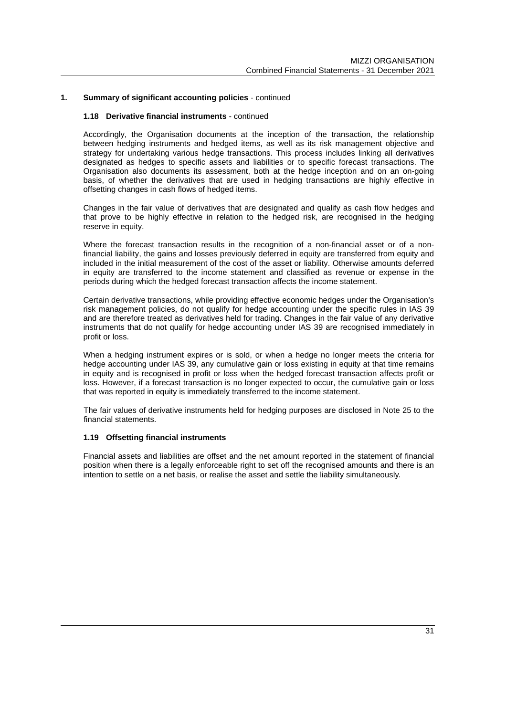#### **1.18 Derivative financial instruments** - continued

Accordingly, the Organisation documents at the inception of the transaction, the relationship between hedging instruments and hedged items, as well as its risk management objective and strategy for undertaking various hedge transactions. This process includes linking all derivatives designated as hedges to specific assets and liabilities or to specific forecast transactions. The Organisation also documents its assessment, both at the hedge inception and on an on-going basis, of whether the derivatives that are used in hedging transactions are highly effective in offsetting changes in cash flows of hedged items.

Changes in the fair value of derivatives that are designated and qualify as cash flow hedges and that prove to be highly effective in relation to the hedged risk, are recognised in the hedging reserve in equity.

Where the forecast transaction results in the recognition of a non-financial asset or of a nonfinancial liability, the gains and losses previously deferred in equity are transferred from equity and included in the initial measurement of the cost of the asset or liability. Otherwise amounts deferred in equity are transferred to the income statement and classified as revenue or expense in the periods during which the hedged forecast transaction affects the income statement.

Certain derivative transactions, while providing effective economic hedges under the Organisation's risk management policies, do not qualify for hedge accounting under the specific rules in IAS 39 and are therefore treated as derivatives held for trading. Changes in the fair value of any derivative instruments that do not qualify for hedge accounting under IAS 39 are recognised immediately in profit or loss.

When a hedging instrument expires or is sold, or when a hedge no longer meets the criteria for hedge accounting under IAS 39, any cumulative gain or loss existing in equity at that time remains in equity and is recognised in profit or loss when the hedged forecast transaction affects profit or loss. However, if a forecast transaction is no longer expected to occur, the cumulative gain or loss that was reported in equity is immediately transferred to the income statement.

The fair values of derivative instruments held for hedging purposes are disclosed in Note 25 to the financial statements.

#### **1.19 Offsetting financial instruments**

Financial assets and liabilities are offset and the net amount reported in the statement of financial position when there is a legally enforceable right to set off the recognised amounts and there is an intention to settle on a net basis, or realise the asset and settle the liability simultaneously.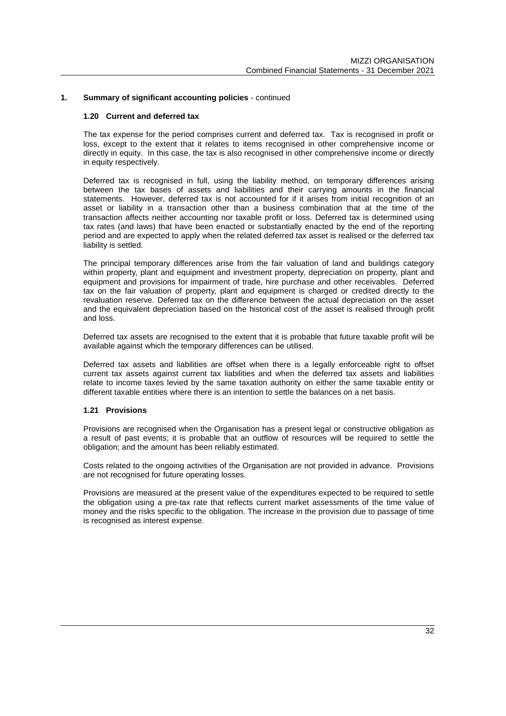#### **1.20 Current and deferred tax**

The tax expense for the period comprises current and deferred tax. Tax is recognised in profit or loss, except to the extent that it relates to items recognised in other comprehensive income or directly in equity. In this case, the tax is also recognised in other comprehensive income or directly in equity respectively.

Deferred tax is recognised in full, using the liability method, on temporary differences arising between the tax bases of assets and liabilities and their carrying amounts in the financial statements. However, deferred tax is not accounted for if it arises from initial recognition of an asset or liability in a transaction other than a business combination that at the time of the transaction affects neither accounting nor taxable profit or loss. Deferred tax is determined using tax rates (and laws) that have been enacted or substantially enacted by the end of the reporting period and are expected to apply when the related deferred tax asset is realised or the deferred tax liability is settled.

The principal temporary differences arise from the fair valuation of land and buildings category within property, plant and equipment and investment property, depreciation on property, plant and equipment and provisions for impairment of trade, hire purchase and other receivables. Deferred tax on the fair valuation of property, plant and equipment is charged or credited directly to the revaluation reserve. Deferred tax on the difference between the actual depreciation on the asset and the equivalent depreciation based on the historical cost of the asset is realised through profit and loss.

Deferred tax assets are recognised to the extent that it is probable that future taxable profit will be available against which the temporary differences can be utilised.

Deferred tax assets and liabilities are offset when there is a legally enforceable right to offset current tax assets against current tax liabilities and when the deferred tax assets and liabilities relate to income taxes levied by the same taxation authority on either the same taxable entity or different taxable entities where there is an intention to settle the balances on a net basis.

#### **1.21 Provisions**

Provisions are recognised when the Organisation has a present legal or constructive obligation as a result of past events; it is probable that an outflow of resources will be required to settle the obligation; and the amount has been reliably estimated.

Costs related to the ongoing activities of the Organisation are not provided in advance. Provisions are not recognised for future operating losses.

Provisions are measured at the present value of the expenditures expected to be required to settle the obligation using a pre-tax rate that reflects current market assessments of the time value of money and the risks specific to the obligation. The increase in the provision due to passage of time is recognised as interest expense.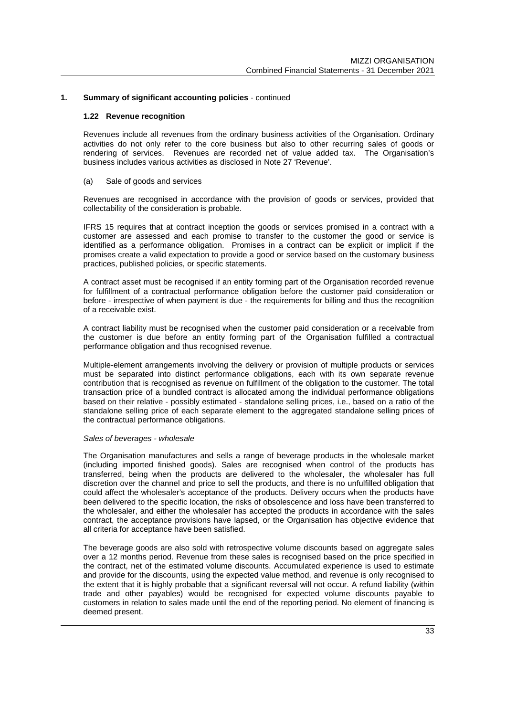#### **1.22 Revenue recognition**

Revenues include all revenues from the ordinary business activities of the Organisation. Ordinary activities do not only refer to the core business but also to other recurring sales of goods or rendering of services. Revenues are recorded net of value added tax. The Organisation's business includes various activities as disclosed in Note 27 'Revenue'.

#### (a) Sale of goods and services

Revenues are recognised in accordance with the provision of goods or services, provided that collectability of the consideration is probable.

IFRS 15 requires that at contract inception the goods or services promised in a contract with a customer are assessed and each promise to transfer to the customer the good or service is identified as a performance obligation. Promises in a contract can be explicit or implicit if the promises create a valid expectation to provide a good or service based on the customary business practices, published policies, or specific statements.

A contract asset must be recognised if an entity forming part of the Organisation recorded revenue for fulfillment of a contractual performance obligation before the customer paid consideration or before - irrespective of when payment is due - the requirements for billing and thus the recognition of a receivable exist.

A contract liability must be recognised when the customer paid consideration or a receivable from the customer is due before an entity forming part of the Organisation fulfilled a contractual performance obligation and thus recognised revenue.

Multiple-element arrangements involving the delivery or provision of multiple products or services must be separated into distinct performance obligations, each with its own separate revenue contribution that is recognised as revenue on fulfillment of the obligation to the customer. The total transaction price of a bundled contract is allocated among the individual performance obligations based on their relative - possibly estimated - standalone selling prices, i.e., based on a ratio of the standalone selling price of each separate element to the aggregated standalone selling prices of the contractual performance obligations.

#### *Sales of beverages - wholesale*

The Organisation manufactures and sells a range of beverage products in the wholesale market (including imported finished goods). Sales are recognised when control of the products has transferred, being when the products are delivered to the wholesaler, the wholesaler has full discretion over the channel and price to sell the products, and there is no unfulfilled obligation that could affect the wholesaler's acceptance of the products. Delivery occurs when the products have been delivered to the specific location, the risks of obsolescence and loss have been transferred to the wholesaler, and either the wholesaler has accepted the products in accordance with the sales contract, the acceptance provisions have lapsed, or the Organisation has objective evidence that all criteria for acceptance have been satisfied.

The beverage goods are also sold with retrospective volume discounts based on aggregate sales over a 12 months period. Revenue from these sales is recognised based on the price specified in the contract, net of the estimated volume discounts. Accumulated experience is used to estimate and provide for the discounts, using the expected value method, and revenue is only recognised to the extent that it is highly probable that a significant reversal will not occur. A refund liability (within trade and other payables) would be recognised for expected volume discounts payable to customers in relation to sales made until the end of the reporting period. No element of financing is deemed present.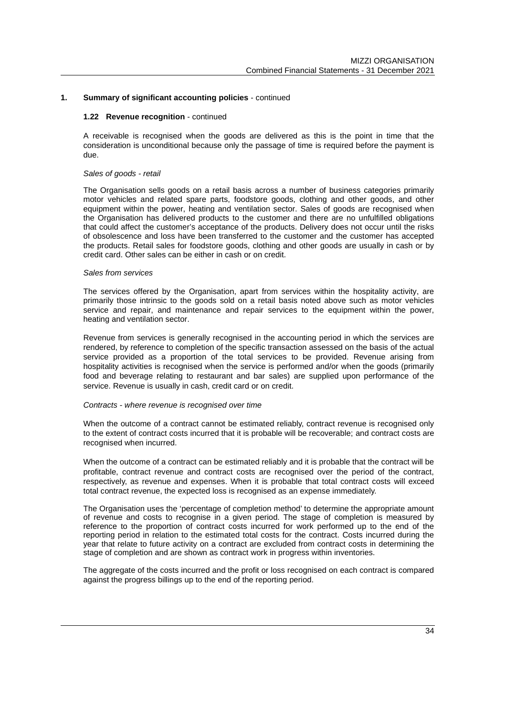#### **1.22 Revenue recognition** - continued

A receivable is recognised when the goods are delivered as this is the point in time that the consideration is unconditional because only the passage of time is required before the payment is due.

#### *Sales of goods - retail*

The Organisation sells goods on a retail basis across a number of business categories primarily motor vehicles and related spare parts, foodstore goods, clothing and other goods, and other equipment within the power, heating and ventilation sector. Sales of goods are recognised when the Organisation has delivered products to the customer and there are no unfulfilled obligations that could affect the customer's acceptance of the products. Delivery does not occur until the risks of obsolescence and loss have been transferred to the customer and the customer has accepted the products. Retail sales for foodstore goods, clothing and other goods are usually in cash or by credit card. Other sales can be either in cash or on credit.

#### *Sales from services*

The services offered by the Organisation, apart from services within the hospitality activity, are primarily those intrinsic to the goods sold on a retail basis noted above such as motor vehicles service and repair, and maintenance and repair services to the equipment within the power, heating and ventilation sector.

Revenue from services is generally recognised in the accounting period in which the services are rendered, by reference to completion of the specific transaction assessed on the basis of the actual service provided as a proportion of the total services to be provided. Revenue arising from hospitality activities is recognised when the service is performed and/or when the goods (primarily food and beverage relating to restaurant and bar sales) are supplied upon performance of the service. Revenue is usually in cash, credit card or on credit.

#### *Contracts - where revenue is recognised over time*

When the outcome of a contract cannot be estimated reliably, contract revenue is recognised only to the extent of contract costs incurred that it is probable will be recoverable; and contract costs are recognised when incurred.

When the outcome of a contract can be estimated reliably and it is probable that the contract will be profitable, contract revenue and contract costs are recognised over the period of the contract, respectively, as revenue and expenses. When it is probable that total contract costs will exceed total contract revenue, the expected loss is recognised as an expense immediately.

The Organisation uses the 'percentage of completion method' to determine the appropriate amount of revenue and costs to recognise in a given period. The stage of completion is measured by reference to the proportion of contract costs incurred for work performed up to the end of the reporting period in relation to the estimated total costs for the contract. Costs incurred during the year that relate to future activity on a contract are excluded from contract costs in determining the stage of completion and are shown as contract work in progress within inventories.

The aggregate of the costs incurred and the profit or loss recognised on each contract is compared against the progress billings up to the end of the reporting period.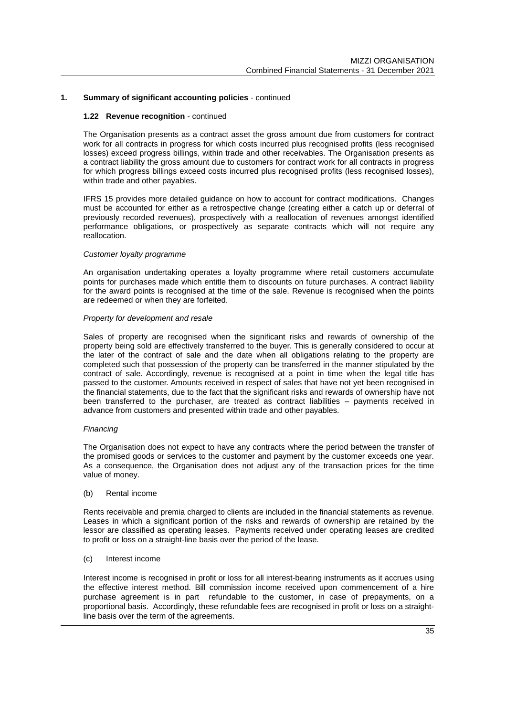### **1.22 Revenue recognition** - continued

The Organisation presents as a contract asset the gross amount due from customers for contract work for all contracts in progress for which costs incurred plus recognised profits (less recognised losses) exceed progress billings, within trade and other receivables. The Organisation presents as a contract liability the gross amount due to customers for contract work for all contracts in progress for which progress billings exceed costs incurred plus recognised profits (less recognised losses), within trade and other payables.

IFRS 15 provides more detailed guidance on how to account for contract modifications. Changes must be accounted for either as a retrospective change (creating either a catch up or deferral of previously recorded revenues), prospectively with a reallocation of revenues amongst identified performance obligations, or prospectively as separate contracts which will not require any reallocation.

## *Customer loyalty programme*

An organisation undertaking operates a loyalty programme where retail customers accumulate points for purchases made which entitle them to discounts on future purchases. A contract liability for the award points is recognised at the time of the sale. Revenue is recognised when the points are redeemed or when they are forfeited.

## *Property for development and resale*

Sales of property are recognised when the significant risks and rewards of ownership of the property being sold are effectively transferred to the buyer. This is generally considered to occur at the later of the contract of sale and the date when all obligations relating to the property are completed such that possession of the property can be transferred in the manner stipulated by the contract of sale. Accordingly, revenue is recognised at a point in time when the legal title has passed to the customer. Amounts received in respect of sales that have not yet been recognised in the financial statements, due to the fact that the significant risks and rewards of ownership have not been transferred to the purchaser, are treated as contract liabilities – payments received in advance from customers and presented within trade and other payables.

#### *Financing*

The Organisation does not expect to have any contracts where the period between the transfer of the promised goods or services to the customer and payment by the customer exceeds one year. As a consequence, the Organisation does not adjust any of the transaction prices for the time value of money.

#### (b) Rental income

Rents receivable and premia charged to clients are included in the financial statements as revenue. Leases in which a significant portion of the risks and rewards of ownership are retained by the lessor are classified as operating leases. Payments received under operating leases are credited to profit or loss on a straight-line basis over the period of the lease.

## (c) Interest income

Interest income is recognised in profit or loss for all interest-bearing instruments as it accrues using the effective interest method. Bill commission income received upon commencement of a hire purchase agreement is in part refundable to the customer, in case of prepayments, on a proportional basis. Accordingly, these refundable fees are recognised in profit or loss on a straightline basis over the term of the agreements.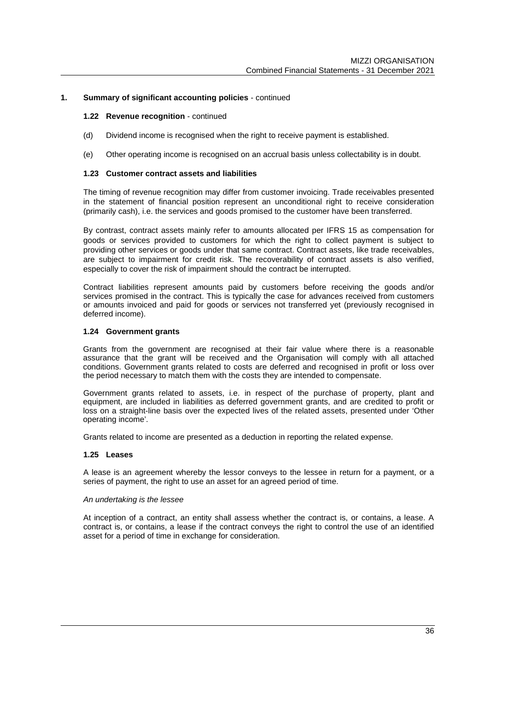### **1.22 Revenue recognition** - continued

- (d) Dividend income is recognised when the right to receive payment is established.
- (e) Other operating income is recognised on an accrual basis unless collectability is in doubt.

## **1.23 Customer contract assets and liabilities**

The timing of revenue recognition may differ from customer invoicing. Trade receivables presented in the statement of financial position represent an unconditional right to receive consideration (primarily cash), i.e. the services and goods promised to the customer have been transferred.

By contrast, contract assets mainly refer to amounts allocated per IFRS 15 as compensation for goods or services provided to customers for which the right to collect payment is subject to providing other services or goods under that same contract. Contract assets, like trade receivables, are subject to impairment for credit risk. The recoverability of contract assets is also verified, especially to cover the risk of impairment should the contract be interrupted.

Contract liabilities represent amounts paid by customers before receiving the goods and/or services promised in the contract. This is typically the case for advances received from customers or amounts invoiced and paid for goods or services not transferred yet (previously recognised in deferred income).

#### **1.24 Government grants**

Grants from the government are recognised at their fair value where there is a reasonable assurance that the grant will be received and the Organisation will comply with all attached conditions. Government grants related to costs are deferred and recognised in profit or loss over the period necessary to match them with the costs they are intended to compensate.

Government grants related to assets, i.e. in respect of the purchase of property, plant and equipment, are included in liabilities as deferred government grants, and are credited to profit or loss on a straight-line basis over the expected lives of the related assets, presented under 'Other operating income'.

Grants related to income are presented as a deduction in reporting the related expense.

#### **1.25 Leases**

A lease is an agreement whereby the lessor conveys to the lessee in return for a payment, or a series of payment, the right to use an asset for an agreed period of time.

## *An undertaking is the lessee*

At inception of a contract, an entity shall assess whether the contract is, or contains, a lease. A contract is, or contains, a lease if the contract conveys the right to control the use of an identified asset for a period of time in exchange for consideration.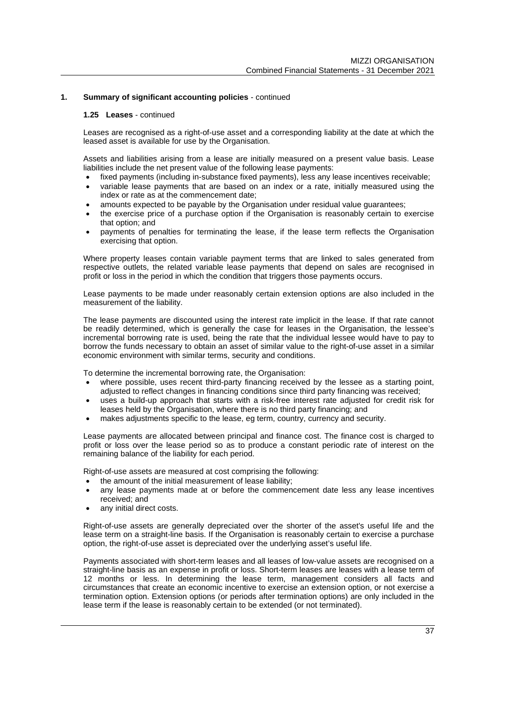#### **1.25 Leases** - continued

Leases are recognised as a right-of-use asset and a corresponding liability at the date at which the leased asset is available for use by the Organisation.

Assets and liabilities arising from a lease are initially measured on a present value basis. Lease liabilities include the net present value of the following lease payments:

- fixed payments (including in-substance fixed payments), less any lease incentives receivable;
- variable lease payments that are based on an index or a rate, initially measured using the index or rate as at the commencement date;
- amounts expected to be payable by the Organisation under residual value guarantees;
- the exercise price of a purchase option if the Organisation is reasonably certain to exercise that option; and
- payments of penalties for terminating the lease, if the lease term reflects the Organisation exercising that option.

Where property leases contain variable payment terms that are linked to sales generated from respective outlets, the related variable lease payments that depend on sales are recognised in profit or loss in the period in which the condition that triggers those payments occurs.

Lease payments to be made under reasonably certain extension options are also included in the measurement of the liability.

The lease payments are discounted using the interest rate implicit in the lease. If that rate cannot be readily determined, which is generally the case for leases in the Organisation, the lessee's incremental borrowing rate is used, being the rate that the individual lessee would have to pay to borrow the funds necessary to obtain an asset of similar value to the right-of-use asset in a similar economic environment with similar terms, security and conditions.

To determine the incremental borrowing rate, the Organisation:

- where possible, uses recent third-party financing received by the lessee as a starting point, adjusted to reflect changes in financing conditions since third party financing was received;
- uses a build-up approach that starts with a risk-free interest rate adjusted for credit risk for leases held by the Organisation, where there is no third party financing; and
- makes adjustments specific to the lease, eg term, country, currency and security.

Lease payments are allocated between principal and finance cost. The finance cost is charged to profit or loss over the lease period so as to produce a constant periodic rate of interest on the remaining balance of the liability for each period.

Right-of-use assets are measured at cost comprising the following:

- the amount of the initial measurement of lease liability;
- any lease payments made at or before the commencement date less any lease incentives received; and
- any initial direct costs.

Right-of-use assets are generally depreciated over the shorter of the asset's useful life and the lease term on a straight-line basis. If the Organisation is reasonably certain to exercise a purchase option, the right-of-use asset is depreciated over the underlying asset's useful life.

Payments associated with short-term leases and all leases of low-value assets are recognised on a straight-line basis as an expense in profit or loss. Short-term leases are leases with a lease term of 12 months or less. In determining the lease term, management considers all facts and circumstances that create an economic incentive to exercise an extension option, or not exercise a termination option. Extension options (or periods after termination options) are only included in the lease term if the lease is reasonably certain to be extended (or not terminated).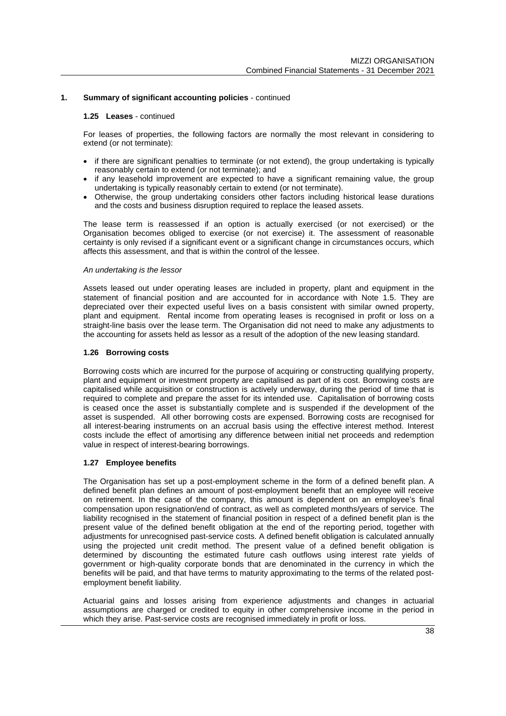#### **1.25 Leases** - continued

For leases of properties, the following factors are normally the most relevant in considering to extend (or not terminate):

- if there are significant penalties to terminate (or not extend), the group undertaking is typically reasonably certain to extend (or not terminate); and
- if any leasehold improvement are expected to have a significant remaining value, the group undertaking is typically reasonably certain to extend (or not terminate).
- Otherwise, the group undertaking considers other factors including historical lease durations and the costs and business disruption required to replace the leased assets.

The lease term is reassessed if an option is actually exercised (or not exercised) or the Organisation becomes obliged to exercise (or not exercise) it. The assessment of reasonable certainty is only revised if a significant event or a significant change in circumstances occurs, which affects this assessment, and that is within the control of the lessee.

#### *An undertaking is the lessor*

Assets leased out under operating leases are included in property, plant and equipment in the statement of financial position and are accounted for in accordance with Note 1.5. They are depreciated over their expected useful lives on a basis consistent with similar owned property, plant and equipment. Rental income from operating leases is recognised in profit or loss on a straight-line basis over the lease term. The Organisation did not need to make any adjustments to the accounting for assets held as lessor as a result of the adoption of the new leasing standard.

#### **1.26 Borrowing costs**

Borrowing costs which are incurred for the purpose of acquiring or constructing qualifying property, plant and equipment or investment property are capitalised as part of its cost. Borrowing costs are capitalised while acquisition or construction is actively underway, during the period of time that is required to complete and prepare the asset for its intended use. Capitalisation of borrowing costs is ceased once the asset is substantially complete and is suspended if the development of the asset is suspended. All other borrowing costs are expensed. Borrowing costs are recognised for all interest-bearing instruments on an accrual basis using the effective interest method. Interest costs include the effect of amortising any difference between initial net proceeds and redemption value in respect of interest-bearing borrowings.

## **1.27 Employee benefits**

The Organisation has set up a post-employment scheme in the form of a defined benefit plan. A defined benefit plan defines an amount of post-employment benefit that an employee will receive on retirement. In the case of the company, this amount is dependent on an employee's final compensation upon resignation/end of contract, as well as completed months/years of service. The liability recognised in the statement of financial position in respect of a defined benefit plan is the present value of the defined benefit obligation at the end of the reporting period, together with adjustments for unrecognised past-service costs. A defined benefit obligation is calculated annually using the projected unit credit method. The present value of a defined benefit obligation is determined by discounting the estimated future cash outflows using interest rate yields of government or high-quality corporate bonds that are denominated in the currency in which the benefits will be paid, and that have terms to maturity approximating to the terms of the related postemployment benefit liability.

Actuarial gains and losses arising from experience adjustments and changes in actuarial assumptions are charged or credited to equity in other comprehensive income in the period in which they arise. Past-service costs are recognised immediately in profit or loss.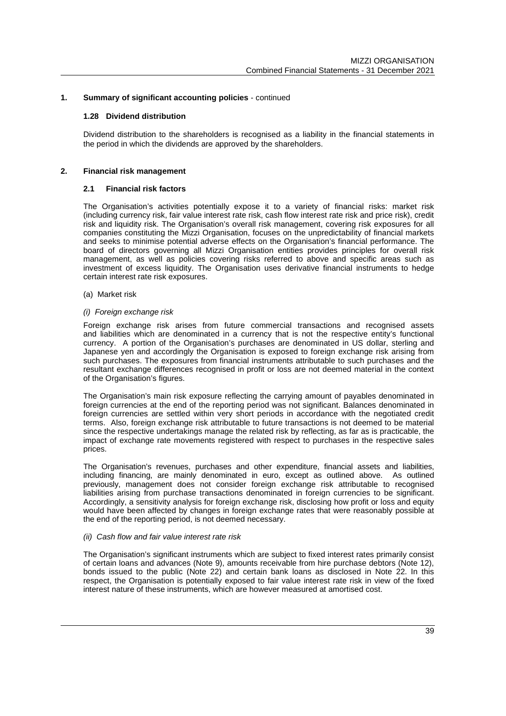#### **1.28 Dividend distribution**

Dividend distribution to the shareholders is recognised as a liability in the financial statements in the period in which the dividends are approved by the shareholders.

#### **2. Financial risk management**

#### **2.1 Financial risk factors**

The Organisation's activities potentially expose it to a variety of financial risks: market risk (including currency risk, fair value interest rate risk, cash flow interest rate risk and price risk), credit risk and liquidity risk. The Organisation's overall risk management, covering risk exposures for all companies constituting the Mizzi Organisation, focuses on the unpredictability of financial markets and seeks to minimise potential adverse effects on the Organisation's financial performance. The board of directors governing all Mizzi Organisation entities provides principles for overall risk management, as well as policies covering risks referred to above and specific areas such as investment of excess liquidity. The Organisation uses derivative financial instruments to hedge certain interest rate risk exposures.

(a) Market risk

#### *(i) Foreign exchange risk*

Foreign exchange risk arises from future commercial transactions and recognised assets and liabilities which are denominated in a currency that is not the respective entity's functional currency. A portion of the Organisation's purchases are denominated in US dollar, sterling and Japanese yen and accordingly the Organisation is exposed to foreign exchange risk arising from such purchases. The exposures from financial instruments attributable to such purchases and the resultant exchange differences recognised in profit or loss are not deemed material in the context of the Organisation's figures.

The Organisation's main risk exposure reflecting the carrying amount of payables denominated in foreign currencies at the end of the reporting period was not significant. Balances denominated in foreign currencies are settled within very short periods in accordance with the negotiated credit terms. Also, foreign exchange risk attributable to future transactions is not deemed to be material since the respective undertakings manage the related risk by reflecting, as far as is practicable, the impact of exchange rate movements registered with respect to purchases in the respective sales prices.

The Organisation's revenues, purchases and other expenditure, financial assets and liabilities, including financing, are mainly denominated in euro, except as outlined above. As outlined previously, management does not consider foreign exchange risk attributable to recognised liabilities arising from purchase transactions denominated in foreign currencies to be significant. Accordingly, a sensitivity analysis for foreign exchange risk, disclosing how profit or loss and equity would have been affected by changes in foreign exchange rates that were reasonably possible at the end of the reporting period, is not deemed necessary.

#### *(ii) Cash flow and fair value interest rate risk*

The Organisation's significant instruments which are subject to fixed interest rates primarily consist of certain loans and advances (Note 9), amounts receivable from hire purchase debtors (Note 12), bonds issued to the public (Note 22) and certain bank loans as disclosed in Note 22. In this respect, the Organisation is potentially exposed to fair value interest rate risk in view of the fixed interest nature of these instruments, which are however measured at amortised cost.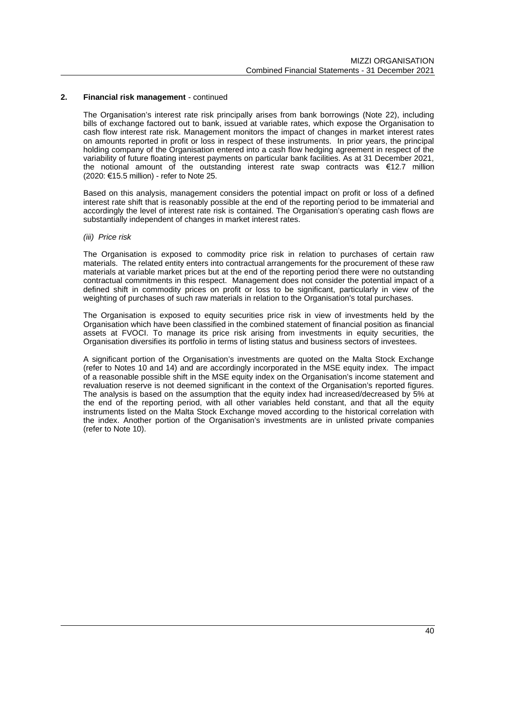The Organisation's interest rate risk principally arises from bank borrowings (Note 22), including bills of exchange factored out to bank, issued at variable rates, which expose the Organisation to cash flow interest rate risk. Management monitors the impact of changes in market interest rates on amounts reported in profit or loss in respect of these instruments. In prior years, the principal holding company of the Organisation entered into a cash flow hedging agreement in respect of the variability of future floating interest payments on particular bank facilities. As at 31 December 2021, the notional amount of the outstanding interest rate swap contracts was €12.7 million (2020: €15.5 million) - refer to Note 25.

Based on this analysis, management considers the potential impact on profit or loss of a defined interest rate shift that is reasonably possible at the end of the reporting period to be immaterial and accordingly the level of interest rate risk is contained. The Organisation's operating cash flows are substantially independent of changes in market interest rates.

## *(iii) Price risk*

The Organisation is exposed to commodity price risk in relation to purchases of certain raw materials. The related entity enters into contractual arrangements for the procurement of these raw materials at variable market prices but at the end of the reporting period there were no outstanding contractual commitments in this respect. Management does not consider the potential impact of a defined shift in commodity prices on profit or loss to be significant, particularly in view of the weighting of purchases of such raw materials in relation to the Organisation's total purchases.

The Organisation is exposed to equity securities price risk in view of investments held by the Organisation which have been classified in the combined statement of financial position as financial assets at FVOCI. To manage its price risk arising from investments in equity securities, the Organisation diversifies its portfolio in terms of listing status and business sectors of investees.

A significant portion of the Organisation's investments are quoted on the Malta Stock Exchange (refer to Notes 10 and 14) and are accordingly incorporated in the MSE equity index. The impact of a reasonable possible shift in the MSE equity index on the Organisation's income statement and revaluation reserve is not deemed significant in the context of the Organisation's reported figures. The analysis is based on the assumption that the equity index had increased/decreased by 5% at the end of the reporting period, with all other variables held constant, and that all the equity instruments listed on the Malta Stock Exchange moved according to the historical correlation with the index. Another portion of the Organisation's investments are in unlisted private companies (refer to Note 10).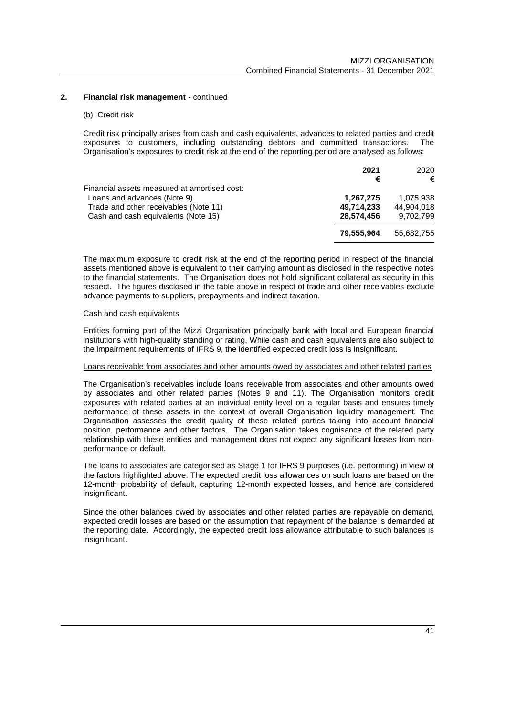### (b) Credit risk

Credit risk principally arises from cash and cash equivalents, advances to related parties and credit exposures to customers, including outstanding debtors and committed transactions. The Organisation's exposures to credit risk at the end of the reporting period are analysed as follows:

|                                              | 2021<br>€  | 2020<br>€  |
|----------------------------------------------|------------|------------|
| Financial assets measured at amortised cost: |            |            |
| Loans and advances (Note 9)                  | 1.267.275  | 1.075.938  |
| Trade and other receivables (Note 11)        | 49,714,233 | 44,904,018 |
| Cash and cash equivalents (Note 15)          | 28,574,456 | 9,702,799  |
|                                              | 79.555.964 | 55,682,755 |
|                                              |            |            |

The maximum exposure to credit risk at the end of the reporting period in respect of the financial assets mentioned above is equivalent to their carrying amount as disclosed in the respective notes to the financial statements. The Organisation does not hold significant collateral as security in this respect. The figures disclosed in the table above in respect of trade and other receivables exclude advance payments to suppliers, prepayments and indirect taxation.

## Cash and cash equivalents

Entities forming part of the Mizzi Organisation principally bank with local and European financial institutions with high-quality standing or rating. While cash and cash equivalents are also subject to the impairment requirements of IFRS 9, the identified expected credit loss is insignificant.

## Loans receivable from associates and other amounts owed by associates and other related parties

The Organisation's receivables include loans receivable from associates and other amounts owed by associates and other related parties (Notes 9 and 11). The Organisation monitors credit exposures with related parties at an individual entity level on a regular basis and ensures timely performance of these assets in the context of overall Organisation liquidity management. The Organisation assesses the credit quality of these related parties taking into account financial position, performance and other factors. The Organisation takes cognisance of the related party relationship with these entities and management does not expect any significant losses from nonperformance or default.

The loans to associates are categorised as Stage 1 for IFRS 9 purposes (i.e. performing) in view of the factors highlighted above. The expected credit loss allowances on such loans are based on the 12-month probability of default, capturing 12-month expected losses, and hence are considered insignificant.

Since the other balances owed by associates and other related parties are repayable on demand, expected credit losses are based on the assumption that repayment of the balance is demanded at the reporting date. Accordingly, the expected credit loss allowance attributable to such balances is insignificant.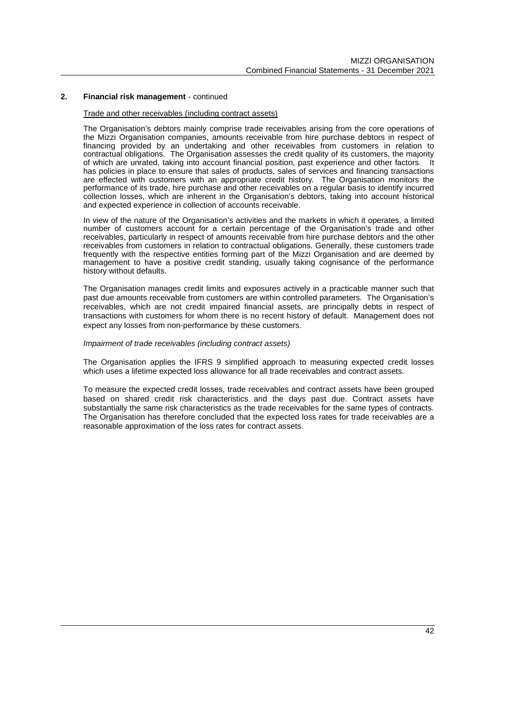#### Trade and other receivables (including contract assets)

The Organisation's debtors mainly comprise trade receivables arising from the core operations of the Mizzi Organisation companies, amounts receivable from hire purchase debtors in respect of financing provided by an undertaking and other receivables from customers in relation to contractual obligations. The Organisation assesses the credit quality of its customers, the majority of which are unrated, taking into account financial position, past experience and other factors. It has policies in place to ensure that sales of products, sales of services and financing transactions are effected with customers with an appropriate credit history. The Organisation monitors the performance of its trade, hire purchase and other receivables on a regular basis to identify incurred collection losses, which are inherent in the Organisation's debtors, taking into account historical and expected experience in collection of accounts receivable.

In view of the nature of the Organisation's activities and the markets in which it operates, a limited number of customers account for a certain percentage of the Organisation's trade and other receivables, particularly in respect of amounts receivable from hire purchase debtors and the other receivables from customers in relation to contractual obligations. Generally, these customers trade frequently with the respective entities forming part of the Mizzi Organisation and are deemed by management to have a positive credit standing, usually taking cognisance of the performance history without defaults.

The Organisation manages credit limits and exposures actively in a practicable manner such that past due amounts receivable from customers are within controlled parameters. The Organisation's receivables, which are not credit impaired financial assets, are principally debts in respect of transactions with customers for whom there is no recent history of default. Management does not expect any losses from non-performance by these customers.

#### *Impairment of trade receivables (including contract assets)*

The Organisation applies the IFRS 9 simplified approach to measuring expected credit losses which uses a lifetime expected loss allowance for all trade receivables and contract assets.

To measure the expected credit losses, trade receivables and contract assets have been grouped based on shared credit risk characteristics and the days past due. Contract assets have substantially the same risk characteristics as the trade receivables for the same types of contracts. The Organisation has therefore concluded that the expected loss rates for trade receivables are a reasonable approximation of the loss rates for contract assets.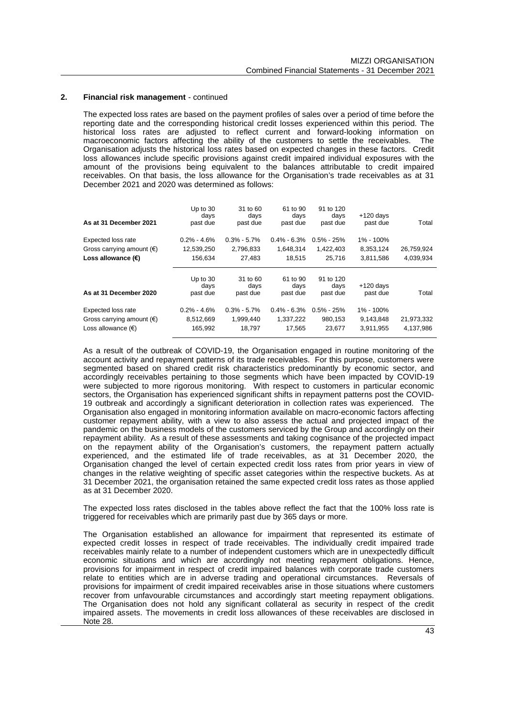The expected loss rates are based on the payment profiles of sales over a period of time before the reporting date and the corresponding historical credit losses experienced within this period. The historical loss rates are adjusted to reflect current and forward-looking information on macroeconomic factors affecting the ability of the customers to settle the receivables. The Organisation adjusts the historical loss rates based on expected changes in these factors. Credit loss allowances include specific provisions against credit impaired individual exposures with the amount of the provisions being equivalent to the balances attributable to credit impaired receivables. On that basis, the loss allowance for the Organisation's trade receivables as at 31 December 2021 and 2020 was determined as follows:

| As at 31 December 2021                                                                  | Up to $30$<br>days<br>past due          | 31 to 60<br>days<br>past due           | 61 to 90<br>days<br>past due           | 91 to 120<br>days<br>past due       | $+120$ days<br>past due             | Total                   |
|-----------------------------------------------------------------------------------------|-----------------------------------------|----------------------------------------|----------------------------------------|-------------------------------------|-------------------------------------|-------------------------|
| Expected loss rate                                                                      | $0.2\% - 4.6\%$                         | $0.3\% - 5.7\%$                        | $0.4\% - 6.3\%$                        | $0.5\% - 25\%$                      | $1\% - 100\%$                       |                         |
| Gross carrying amount $(\epsilon)$                                                      | 12,539,250                              | 2,796,833                              | 1.648.314                              | 1,422,403                           | 8,353,124                           | 26,759,924              |
| Loss allowance $(\epsilon)$                                                             | 156,634                                 | 27.483                                 | 18.515                                 | 25.716                              | 3,811,586                           | 4,039,934               |
| As at 31 December 2020                                                                  | Up to $30$<br>days<br>past due          | 31 to 60<br>days<br>past due           | 61 to 90<br>days<br>past due           | 91 to 120<br>days<br>past due       | $+120$ days<br>past due             | Total                   |
| Expected loss rate<br>Gross carrying amount $(\epsilon)$<br>Loss allowance $(\epsilon)$ | $0.2\% - 4.6\%$<br>8,512,669<br>165,992 | $0.3\% - 5.7\%$<br>1,999,440<br>18,797 | $0.4\% - 6.3\%$<br>1,337,222<br>17.565 | $0.5\% - 25\%$<br>980,153<br>23,677 | 1% - 100%<br>9,143,848<br>3,911,955 | 21,973,332<br>4,137,986 |

As a result of the outbreak of COVID-19, the Organisation engaged in routine monitoring of the account activity and repayment patterns of its trade receivables. For this purpose, customers were segmented based on shared credit risk characteristics predominantly by economic sector, and accordingly receivables pertaining to those segments which have been impacted by COVID-19 were subjected to more rigorous monitoring. With respect to customers in particular economic sectors, the Organisation has experienced significant shifts in repayment patterns post the COVID-19 outbreak and accordingly a significant deterioration in collection rates was experienced. The Organisation also engaged in monitoring information available on macro-economic factors affecting customer repayment ability, with a view to also assess the actual and projected impact of the pandemic on the business models of the customers serviced by the Group and accordingly on their repayment ability. As a result of these assessments and taking cognisance of the projected impact on the repayment ability of the Organisation's customers, the repayment pattern actually experienced, and the estimated life of trade receivables, as at 31 December 2020, the Organisation changed the level of certain expected credit loss rates from prior years in view of changes in the relative weighting of specific asset categories within the respective buckets. As at 31 December 2021, the organisation retained the same expected credit loss rates as those applied as at 31 December 2020.

The expected loss rates disclosed in the tables above reflect the fact that the 100% loss rate is triggered for receivables which are primarily past due by 365 days or more.

The Organisation established an allowance for impairment that represented its estimate of expected credit losses in respect of trade receivables. The individually credit impaired trade receivables mainly relate to a number of independent customers which are in unexpectedly difficult economic situations and which are accordingly not meeting repayment obligations. Hence, provisions for impairment in respect of credit impaired balances with corporate trade customers relate to entities which are in adverse trading and operational circumstances. Reversals of provisions for impairment of credit impaired receivables arise in those situations where customers recover from unfavourable circumstances and accordingly start meeting repayment obligations. The Organisation does not hold any significant collateral as security in respect of the credit impaired assets. The movements in credit loss allowances of these receivables are disclosed in Note 28.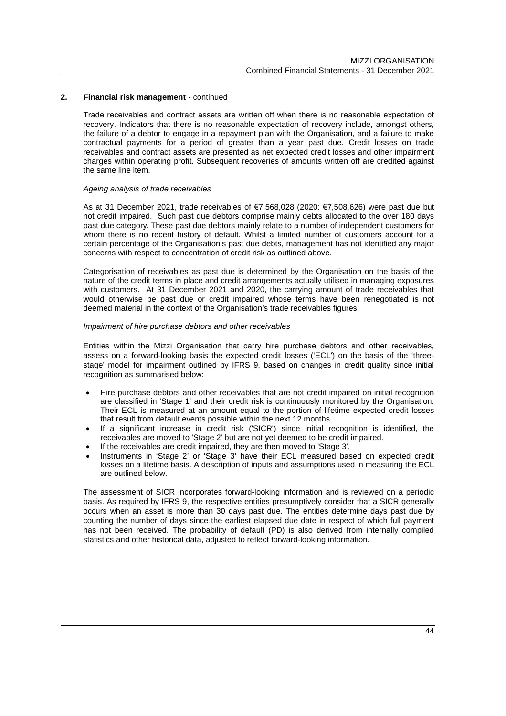Trade receivables and contract assets are written off when there is no reasonable expectation of recovery. Indicators that there is no reasonable expectation of recovery include, amongst others, the failure of a debtor to engage in a repayment plan with the Organisation, and a failure to make contractual payments for a period of greater than a year past due. Credit losses on trade receivables and contract assets are presented as net expected credit losses and other impairment charges within operating profit. Subsequent recoveries of amounts written off are credited against the same line item.

#### *Ageing analysis of trade receivables*

As at 31 December 2021, trade receivables of €7,568,028 (2020: €7,508,626) were past due but not credit impaired. Such past due debtors comprise mainly debts allocated to the over 180 days past due category. These past due debtors mainly relate to a number of independent customers for whom there is no recent history of default. Whilst a limited number of customers account for a certain percentage of the Organisation's past due debts, management has not identified any major concerns with respect to concentration of credit risk as outlined above.

Categorisation of receivables as past due is determined by the Organisation on the basis of the nature of the credit terms in place and credit arrangements actually utilised in managing exposures with customers. At 31 December 2021 and 2020, the carrying amount of trade receivables that would otherwise be past due or credit impaired whose terms have been renegotiated is not deemed material in the context of the Organisation's trade receivables figures.

## *Impairment of hire purchase debtors and other receivables*

Entities within the Mizzi Organisation that carry hire purchase debtors and other receivables, assess on a forward-looking basis the expected credit losses ('ECL') on the basis of the 'threestage' model for impairment outlined by IFRS 9, based on changes in credit quality since initial recognition as summarised below:

- Hire purchase debtors and other receivables that are not credit impaired on initial recognition are classified in 'Stage 1' and their credit risk is continuously monitored by the Organisation. Their ECL is measured at an amount equal to the portion of lifetime expected credit losses that result from default events possible within the next 12 months.
- If a significant increase in credit risk ('SICR') since initial recognition is identified, the receivables are moved to 'Stage 2' but are not yet deemed to be credit impaired.
- If the receivables are credit impaired, they are then moved to 'Stage 3'.
- Instruments in 'Stage 2' or 'Stage 3' have their ECL measured based on expected credit losses on a lifetime basis. A description of inputs and assumptions used in measuring the ECL are outlined below.

The assessment of SICR incorporates forward-looking information and is reviewed on a periodic basis. As required by IFRS 9, the respective entities presumptively consider that a SICR generally occurs when an asset is more than 30 days past due. The entities determine days past due by counting the number of days since the earliest elapsed due date in respect of which full payment has not been received. The probability of default (PD) is also derived from internally compiled statistics and other historical data, adjusted to reflect forward-looking information.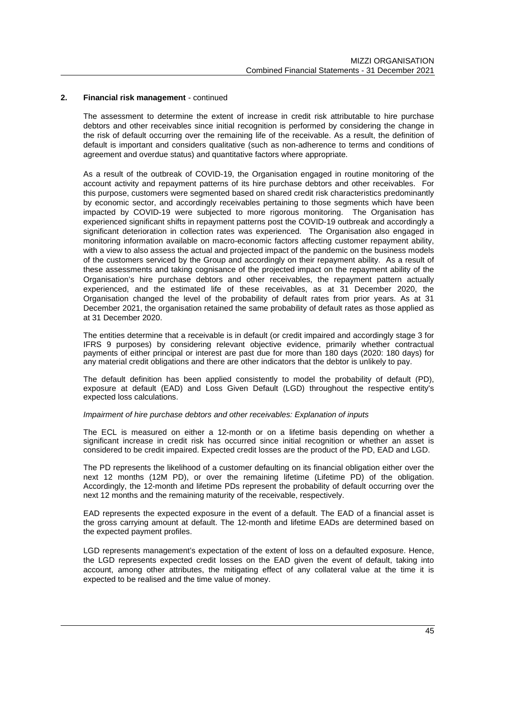The assessment to determine the extent of increase in credit risk attributable to hire purchase debtors and other receivables since initial recognition is performed by considering the change in the risk of default occurring over the remaining life of the receivable. As a result, the definition of default is important and considers qualitative (such as non-adherence to terms and conditions of agreement and overdue status) and quantitative factors where appropriate.

As a result of the outbreak of COVID-19, the Organisation engaged in routine monitoring of the account activity and repayment patterns of its hire purchase debtors and other receivables. For this purpose, customers were segmented based on shared credit risk characteristics predominantly by economic sector, and accordingly receivables pertaining to those segments which have been impacted by COVID-19 were subjected to more rigorous monitoring. The Organisation has experienced significant shifts in repayment patterns post the COVID-19 outbreak and accordingly a significant deterioration in collection rates was experienced. The Organisation also engaged in monitoring information available on macro-economic factors affecting customer repayment ability, with a view to also assess the actual and projected impact of the pandemic on the business models of the customers serviced by the Group and accordingly on their repayment ability. As a result of these assessments and taking cognisance of the projected impact on the repayment ability of the Organisation's hire purchase debtors and other receivables, the repayment pattern actually experienced, and the estimated life of these receivables, as at 31 December 2020, the Organisation changed the level of the probability of default rates from prior years. As at 31 December 2021, the organisation retained the same probability of default rates as those applied as at 31 December 2020.

The entities determine that a receivable is in default (or credit impaired and accordingly stage 3 for IFRS 9 purposes) by considering relevant objective evidence, primarily whether contractual payments of either principal or interest are past due for more than 180 days (2020: 180 days) for any material credit obligations and there are other indicators that the debtor is unlikely to pay.

The default definition has been applied consistently to model the probability of default (PD), exposure at default (EAD) and Loss Given Default (LGD) throughout the respective entity's expected loss calculations.

#### *Impairment of hire purchase debtors and other receivables: Explanation of inputs*

The ECL is measured on either a 12-month or on a lifetime basis depending on whether a significant increase in credit risk has occurred since initial recognition or whether an asset is considered to be credit impaired. Expected credit losses are the product of the PD, EAD and LGD.

The PD represents the likelihood of a customer defaulting on its financial obligation either over the next 12 months (12M PD), or over the remaining lifetime (Lifetime PD) of the obligation. Accordingly, the 12-month and lifetime PDs represent the probability of default occurring over the next 12 months and the remaining maturity of the receivable, respectively.

EAD represents the expected exposure in the event of a default. The EAD of a financial asset is the gross carrying amount at default. The 12-month and lifetime EADs are determined based on the expected payment profiles.

LGD represents management's expectation of the extent of loss on a defaulted exposure. Hence, the LGD represents expected credit losses on the EAD given the event of default, taking into account, among other attributes, the mitigating effect of any collateral value at the time it is expected to be realised and the time value of money.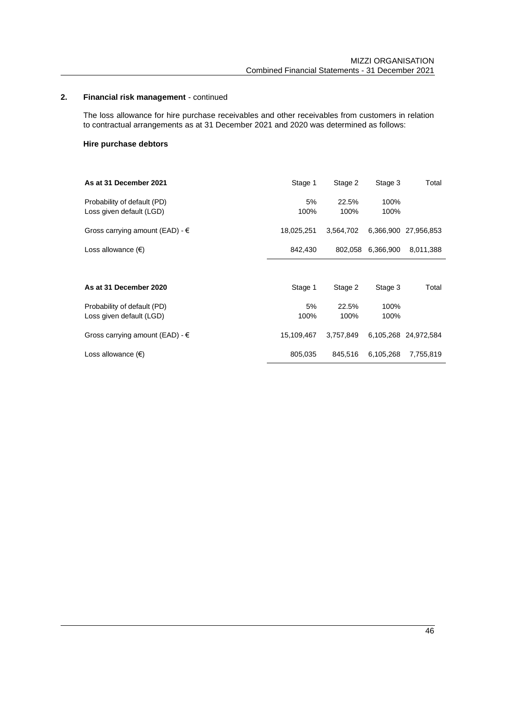The loss allowance for hire purchase receivables and other receivables from customers in relation to contractual arrangements as at 31 December 2021 and 2020 was determined as follows:

## **Hire purchase debtors**

| As at 31 December 2021                                  | Stage 1    | Stage 2       | Stage 3      | Total                |
|---------------------------------------------------------|------------|---------------|--------------|----------------------|
| Probability of default (PD)<br>Loss given default (LGD) | 5%<br>100% | 22.5%<br>100% | 100%<br>100% |                      |
| Gross carrying amount (EAD) - $\in$                     | 18,025,251 | 3,564,702     |              | 6,366,900 27,956,853 |
| Loss allowance $(\epsilon)$                             | 842,430    | 802,058       | 6,366,900    | 8,011,388            |
|                                                         |            |               |              |                      |
| As at 31 December 2020                                  | Stage 1    | Stage 2       | Stage 3      | Total                |
| Probability of default (PD)<br>Loss given default (LGD) | 5%<br>100% | 22.5%<br>100% | 100%<br>100% |                      |
| Gross carrying amount (EAD) - $\in$                     | 15,109,467 | 3,757,849     |              | 6,105,268 24,972,584 |
| Loss allowance $(\epsilon)$                             | 805,035    | 845,516       | 6,105,268    | 7.755.819            |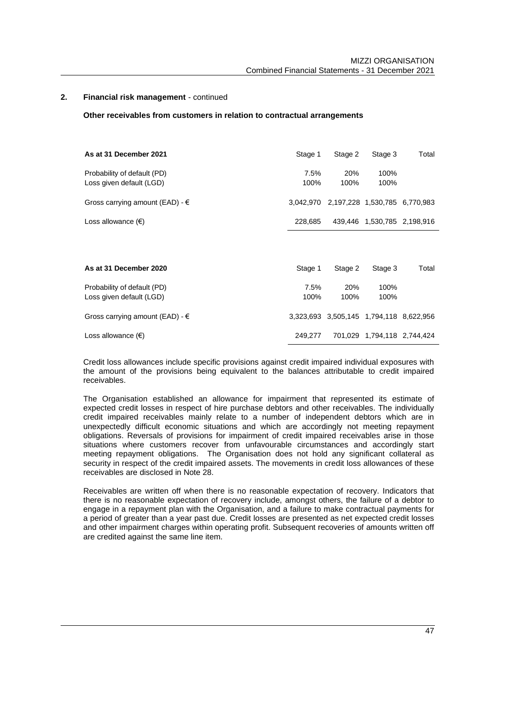### **Other receivables from customers in relation to contractual arrangements**

| As at 31 December 2021                                  | Stage 1      | Stage 2                                 | Stage 3                     | Total |
|---------------------------------------------------------|--------------|-----------------------------------------|-----------------------------|-------|
| Probability of default (PD)<br>Loss given default (LGD) | 7.5%<br>100% | <b>20%</b><br>100%                      | 100%<br>100%                |       |
| Gross carrying amount (EAD) - $\epsilon$                |              | 3,042,970 2,197,228 1,530,785 6,770,983 |                             |       |
| Loss allowance $(\epsilon)$                             | 228.685      |                                         | 439,446 1,530,785 2,198,916 |       |

| As at 31 December 2020                                  | Stage 1      | Stage 2                                 | Stage 3                     | Total |
|---------------------------------------------------------|--------------|-----------------------------------------|-----------------------------|-------|
| Probability of default (PD)<br>Loss given default (LGD) | 7.5%<br>100% | <b>20%</b><br>100%                      | 100%<br>100%                |       |
| Gross carrying amount (EAD) - $\epsilon$                |              | 3,323,693 3,505,145 1,794,118 8,622,956 |                             |       |
| Loss allowance $(\epsilon)$                             | 249.277      |                                         | 701,029 1,794,118 2,744,424 |       |

Credit loss allowances include specific provisions against credit impaired individual exposures with the amount of the provisions being equivalent to the balances attributable to credit impaired receivables.

The Organisation established an allowance for impairment that represented its estimate of expected credit losses in respect of hire purchase debtors and other receivables. The individually credit impaired receivables mainly relate to a number of independent debtors which are in unexpectedly difficult economic situations and which are accordingly not meeting repayment obligations. Reversals of provisions for impairment of credit impaired receivables arise in those situations where customers recover from unfavourable circumstances and accordingly start meeting repayment obligations. The Organisation does not hold any significant collateral as security in respect of the credit impaired assets. The movements in credit loss allowances of these receivables are disclosed in Note 28.

Receivables are written off when there is no reasonable expectation of recovery. Indicators that there is no reasonable expectation of recovery include, amongst others, the failure of a debtor to engage in a repayment plan with the Organisation, and a failure to make contractual payments for a period of greater than a year past due. Credit losses are presented as net expected credit losses and other impairment charges within operating profit. Subsequent recoveries of amounts written off are credited against the same line item.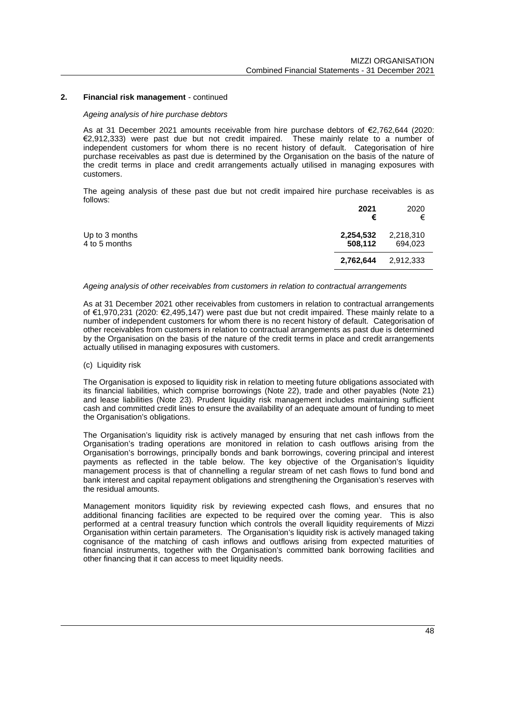#### *Ageing analysis of hire purchase debtors*

As at 31 December 2021 amounts receivable from hire purchase debtors of €2,762,644 (2020: €2,912,333) were past due but not credit impaired. These mainly relate to a number of independent customers for whom there is no recent history of default. Categorisation of hire purchase receivables as past due is determined by the Organisation on the basis of the nature of the credit terms in place and credit arrangements actually utilised in managing exposures with customers.

The ageing analysis of these past due but not credit impaired hire purchase receivables is as follows:

|                                 | 2021<br>€            | 2020<br>€            |
|---------------------------------|----------------------|----------------------|
| Up to 3 months<br>4 to 5 months | 2,254,532<br>508,112 | 2,218,310<br>694,023 |
|                                 | 2,762,644            | 2,912,333            |

#### *Ageing analysis of other receivables from customers in relation to contractual arrangements*

As at 31 December 2021 other receivables from customers in relation to contractual arrangements of €1,970,231 (2020: €2,495,147) were past due but not credit impaired. These mainly relate to a number of independent customers for whom there is no recent history of default. Categorisation of other receivables from customers in relation to contractual arrangements as past due is determined by the Organisation on the basis of the nature of the credit terms in place and credit arrangements actually utilised in managing exposures with customers.

(c) Liquidity risk

The Organisation is exposed to liquidity risk in relation to meeting future obligations associated with its financial liabilities, which comprise borrowings (Note 22), trade and other payables (Note 21) and lease liabilities (Note 23). Prudent liquidity risk management includes maintaining sufficient cash and committed credit lines to ensure the availability of an adequate amount of funding to meet the Organisation's obligations.

The Organisation's liquidity risk is actively managed by ensuring that net cash inflows from the Organisation's trading operations are monitored in relation to cash outflows arising from the Organisation's borrowings, principally bonds and bank borrowings, covering principal and interest payments as reflected in the table below. The key objective of the Organisation's liquidity management process is that of channelling a regular stream of net cash flows to fund bond and bank interest and capital repayment obligations and strengthening the Organisation's reserves with the residual amounts.

Management monitors liquidity risk by reviewing expected cash flows, and ensures that no additional financing facilities are expected to be required over the coming year. This is also performed at a central treasury function which controls the overall liquidity requirements of Mizzi Organisation within certain parameters. The Organisation's liquidity risk is actively managed taking cognisance of the matching of cash inflows and outflows arising from expected maturities of financial instruments, together with the Organisation's committed bank borrowing facilities and other financing that it can access to meet liquidity needs.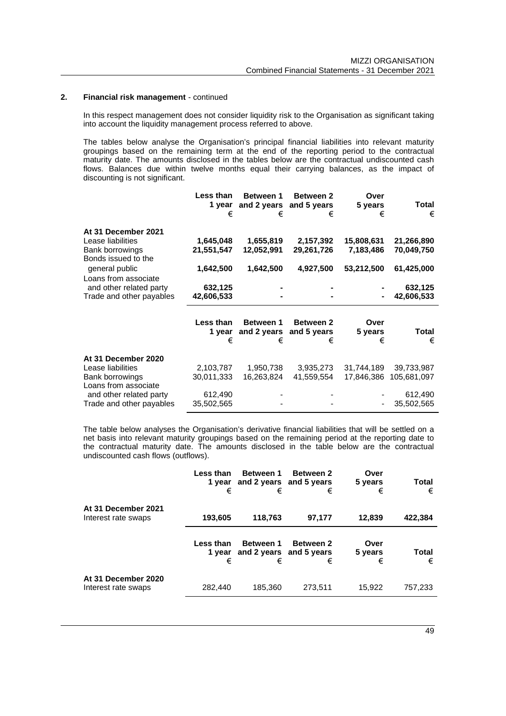In this respect management does not consider liquidity risk to the Organisation as significant taking into account the liquidity management process referred to above.

The tables below analyse the Organisation's principal financial liabilities into relevant maturity groupings based on the remaining term at the end of the reporting period to the contractual maturity date. The amounts disclosed in the tables below are the contractual undiscounted cash flows. Balances due within twelve months equal their carrying balances, as the impact of discounting is not significant.

|                                        | Less than<br>1 year<br>€ | Between 1<br>and 2 years<br>€ | <b>Between 2</b><br>and 5 years<br>€ | Over<br>5 years<br>€ | Total<br>€  |
|----------------------------------------|--------------------------|-------------------------------|--------------------------------------|----------------------|-------------|
| At 31 December 2021                    |                          |                               |                                      |                      |             |
| Lease liabilities                      | 1,645,048                | 1,655,819                     | 2,157,392                            | 15,808,631           | 21,266,890  |
| Bank borrowings<br>Bonds issued to the | 21,551,547               | 12,052,991                    | 29,261,726                           | 7,183,486            | 70,049,750  |
| general public                         | 1,642,500                | 1,642,500                     | 4,927,500                            | 53,212,500           | 61,425,000  |
| Loans from associate                   |                          |                               |                                      |                      |             |
| and other related party                | 632,125                  |                               |                                      |                      | 632,125     |
| Trade and other payables               | 42,606,533               |                               |                                      | -                    | 42,606,533  |
|                                        |                          |                               |                                      |                      |             |
|                                        | Less than<br>1 year<br>€ | Between 1<br>and 2 years<br>€ | <b>Between 2</b><br>and 5 years<br>€ | Over<br>5 years<br>€ | Total<br>€  |
| At 31 December 2020                    |                          |                               |                                      |                      |             |
| Lease liabilities                      | 2,103,787                | 1,950,738                     | 3,935,273                            | 31,744,189           | 39,733,987  |
| Bank borrowings                        | 30,011,333               | 16,263,824                    | 41,559,554                           | 17,846,386           | 105,681,097 |
| Loans from associate                   |                          |                               |                                      |                      |             |
| and other related party                | 612,490                  |                               |                                      |                      | 612,490     |
| Trade and other payables               | 35,502,565               |                               |                                      |                      | 35,502,565  |

The table below analyses the Organisation's derivative financial liabilities that will be settled on a net basis into relevant maturity groupings based on the remaining period at the reporting date to the contractual maturity date. The amounts disclosed in the table below are the contractual undiscounted cash flows (outflows).

|                                            | Less than<br>€           | <b>Between 1</b><br>1 year and 2 years and 5 years<br>€ | <b>Between 2</b><br>€ | Over<br>5 years<br>€ | Total<br>€ |
|--------------------------------------------|--------------------------|---------------------------------------------------------|-----------------------|----------------------|------------|
| At 31 December 2021<br>Interest rate swaps | 193,605                  | 118,763                                                 | 97,177                | 12,839               | 422,384    |
|                                            | Less than<br>1 year<br>€ | <b>Between 1</b><br>and 2 years and 5 years<br>€        | <b>Between 2</b><br>€ | Over<br>5 years<br>€ | Total<br>€ |
| At 31 December 2020<br>Interest rate swaps | 282,440                  | 185.360                                                 | 273.511               | 15.922               | 757.233    |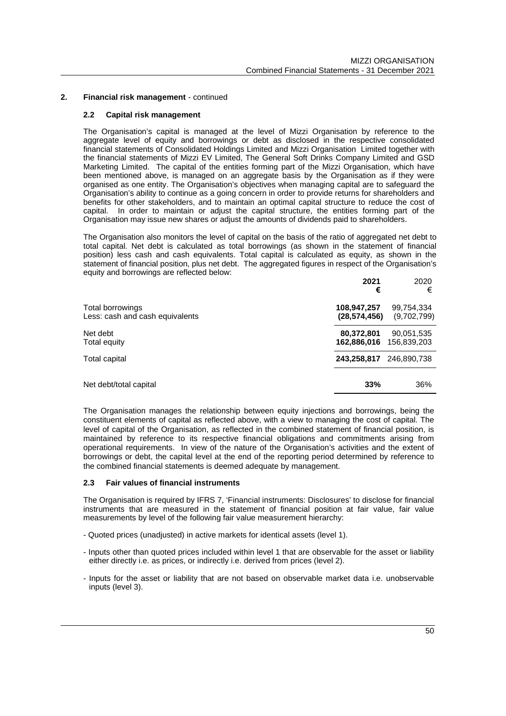## **2.2 Capital risk management**

The Organisation's capital is managed at the level of Mizzi Organisation by reference to the aggregate level of equity and borrowings or debt as disclosed in the respective consolidated financial statements of Consolidated Holdings Limited and Mizzi Organisation Limited together with the financial statements of Mizzi EV Limited, The General Soft Drinks Company Limited and GSD Marketing Limited. The capital of the entities forming part of the Mizzi Organisation, which have been mentioned above, is managed on an aggregate basis by the Organisation as if they were organised as one entity. The Organisation's objectives when managing capital are to safeguard the Organisation's ability to continue as a going concern in order to provide returns for shareholders and benefits for other stakeholders, and to maintain an optimal capital structure to reduce the cost of capital. In order to maintain or adjust the capital structure, the entities forming part of the Organisation may issue new shares or adjust the amounts of dividends paid to shareholders.

The Organisation also monitors the level of capital on the basis of the ratio of aggregated net debt to total capital. Net debt is calculated as total borrowings (as shown in the statement of financial position) less cash and cash equivalents. Total capital is calculated as equity, as shown in the statement of financial position, plus net debt. The aggregated figures in respect of the Organisation's equity and borrowings are reflected below:

|                                                     | 2021<br>€                     | 2020<br>€                 |
|-----------------------------------------------------|-------------------------------|---------------------------|
| Total borrowings<br>Less: cash and cash equivalents | 108,947,257<br>(28, 574, 456) | 99,754,334<br>(9,702,799) |
| Net debt<br>Total equity                            | 80,372,801<br>162,886,016     | 90,051,535<br>156,839,203 |
| Total capital                                       | 243,258,817                   | 246.890.738               |
| Net debt/total capital                              | 33%                           | 36%                       |

The Organisation manages the relationship between equity injections and borrowings, being the constituent elements of capital as reflected above, with a view to managing the cost of capital. The level of capital of the Organisation, as reflected in the combined statement of financial position, is maintained by reference to its respective financial obligations and commitments arising from operational requirements. In view of the nature of the Organisation's activities and the extent of borrowings or debt, the capital level at the end of the reporting period determined by reference to the combined financial statements is deemed adequate by management.

#### **2.3 Fair values of financial instruments**

The Organisation is required by IFRS 7, 'Financial instruments: Disclosures' to disclose for financial instruments that are measured in the statement of financial position at fair value, fair value measurements by level of the following fair value measurement hierarchy:

- Quoted prices (unadjusted) in active markets for identical assets (level 1).
- Inputs other than quoted prices included within level 1 that are observable for the asset or liability either directly i.e. as prices, or indirectly i.e. derived from prices (level 2).
- Inputs for the asset or liability that are not based on observable market data i.e. unobservable inputs (level 3).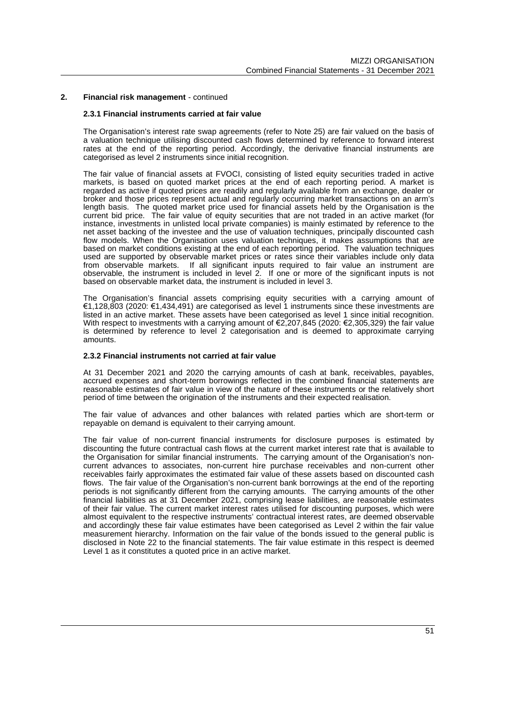#### **2.3.1 Financial instruments carried at fair value**

The Organisation's interest rate swap agreements (refer to Note 25) are fair valued on the basis of a valuation technique utilising discounted cash flows determined by reference to forward interest rates at the end of the reporting period. Accordingly, the derivative financial instruments are categorised as level 2 instruments since initial recognition.

The fair value of financial assets at FVOCI, consisting of listed equity securities traded in active markets, is based on quoted market prices at the end of each reporting period. A market is regarded as active if quoted prices are readily and regularly available from an exchange, dealer or broker and those prices represent actual and regularly occurring market transactions on an arm's length basis. The quoted market price used for financial assets held by the Organisation is the current bid price. The fair value of equity securities that are not traded in an active market (for instance, investments in unlisted local private companies) is mainly estimated by reference to the net asset backing of the investee and the use of valuation techniques, principally discounted cash flow models. When the Organisation uses valuation techniques, it makes assumptions that are based on market conditions existing at the end of each reporting period. The valuation techniques used are supported by observable market prices or rates since their variables include only data from observable markets. If all significant inputs required to fair value an instrument are observable, the instrument is included in level 2. If one or more of the significant inputs is not based on observable market data, the instrument is included in level 3.

The Organisation's financial assets comprising equity securities with a carrying amount of €1,128,803 (2020: €1,434,491) are categorised as level 1 instruments since these investments are listed in an active market. These assets have been categorised as level 1 since initial recognition. With respect to investments with a carrying amount of €2,207,845 (2020: €2,305,329) the fair value is determined by reference to level 2 categorisation and is deemed to approximate carrying amounts.

#### **2.3.2 Financial instruments not carried at fair value**

At 31 December 2021 and 2020 the carrying amounts of cash at bank, receivables, payables, accrued expenses and short-term borrowings reflected in the combined financial statements are reasonable estimates of fair value in view of the nature of these instruments or the relatively short period of time between the origination of the instruments and their expected realisation.

The fair value of advances and other balances with related parties which are short-term or repayable on demand is equivalent to their carrying amount.

The fair value of non-current financial instruments for disclosure purposes is estimated by discounting the future contractual cash flows at the current market interest rate that is available to the Organisation for similar financial instruments. The carrying amount of the Organisation's noncurrent advances to associates, non-current hire purchase receivables and non-current other receivables fairly approximates the estimated fair value of these assets based on discounted cash flows. The fair value of the Organisation's non-current bank borrowings at the end of the reporting periods is not significantly different from the carrying amounts. The carrying amounts of the other financial liabilities as at 31 December 2021, comprising lease liabilities, are reasonable estimates of their fair value. The current market interest rates utilised for discounting purposes, which were almost equivalent to the respective instruments' contractual interest rates, are deemed observable and accordingly these fair value estimates have been categorised as Level 2 within the fair value measurement hierarchy. Information on the fair value of the bonds issued to the general public is disclosed in Note 22 to the financial statements. The fair value estimate in this respect is deemed Level 1 as it constitutes a quoted price in an active market.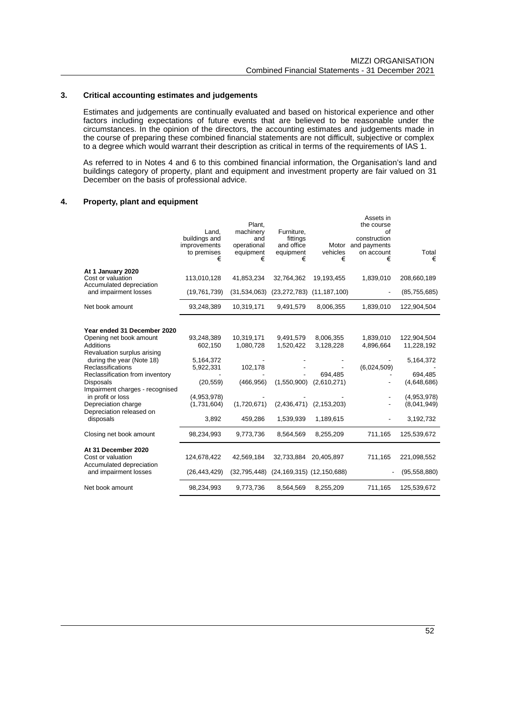### **3. Critical accounting estimates and judgements**

Estimates and judgements are continually evaluated and based on historical experience and other factors including expectations of future events that are believed to be reasonable under the circumstances. In the opinion of the directors, the accounting estimates and judgements made in the course of preparing these combined financial statements are not difficult, subjective or complex to a degree which would warrant their description as critical in terms of the requirements of IAS 1.

As referred to in Notes 4 and 6 to this combined financial information, the Organisation's land and buildings category of property, plant and equipment and investment property are fair valued on 31 December on the basis of professional advice.

## **4. Property, plant and equipment**

|                                                                                                                                 | Land.<br>buildings and<br>improvements<br>to premises<br>€ | Plant.<br>machinery<br>and<br>operational<br>equipment<br>€ | Furniture,<br>fittings<br>and office<br>equipment<br>€ | vehicles<br>€          | Assets in<br>the course<br>οf<br>construction<br>Motor and payments<br>on account<br>€ | Total<br>€                             |
|---------------------------------------------------------------------------------------------------------------------------------|------------------------------------------------------------|-------------------------------------------------------------|--------------------------------------------------------|------------------------|----------------------------------------------------------------------------------------|----------------------------------------|
| At 1 January 2020<br>Cost or valuation<br>Accumulated depreciation                                                              | 113,010,128                                                | 41,853,234                                                  | 32,764,362                                             | 19,193,455             | 1,839,010                                                                              | 208,660,189                            |
| and impairment losses                                                                                                           | (19,761,739)                                               | (31,534,063)                                                | (23, 272, 783)                                         | (11, 187, 100)         |                                                                                        | (85, 755, 685)                         |
| Net book amount                                                                                                                 | 93,248,389                                                 | 10,319,171                                                  | 9,491,579                                              | 8,006,355              | 1,839,010                                                                              | 122,904,504                            |
| Year ended 31 December 2020<br>Opening net book amount<br>Additions<br>Revaluation surplus arising<br>during the year (Note 18) | 93,248,389<br>602,150<br>5,164,372                         | 10,319,171<br>1,080,728                                     | 9,491,579<br>1,520,422                                 | 8,006,355<br>3,128,228 | 1,839,010<br>4,896,664                                                                 | 122,904,504<br>11,228,192<br>5,164,372 |
| Reclassifications<br>Reclassification from inventory<br><b>Disposals</b><br>Impairment charges - recognised                     | 5,922,331<br>(20, 559)                                     | 102,178<br>(466, 956)                                       | (1,550,900)                                            | 694,485<br>(2,610,271) | (6.024, 509)                                                                           | 694,485<br>(4,648,686)                 |
| in profit or loss<br>Depreciation charge<br>Depreciation released on                                                            | (4,953,978)<br>(1,731,604)                                 | (1,720,671)                                                 | (2,436,471)                                            | (2, 153, 203)          |                                                                                        | (4,953,978)<br>(8,041,949)             |
| disposals                                                                                                                       | 3,892                                                      | 459,286                                                     | 1,539,939                                              | 1,189,615              |                                                                                        | 3,192,732                              |
| Closing net book amount                                                                                                         | 98,234,993                                                 | 9,773,736                                                   | 8,564,569                                              | 8,255,209              | 711,165                                                                                | 125,539,672                            |
| At 31 December 2020<br>Cost or valuation<br>Accumulated depreciation                                                            | 124,678,422                                                | 42,569,184<br>(32, 795, 448)                                | 32.733.884                                             | 20.405.897             | 711,165                                                                                | 221,098,552                            |
| and impairment losses                                                                                                           | (26, 443, 429)                                             |                                                             | $(24, 169, 315)$ $(12, 150, 688)$                      |                        |                                                                                        | (95, 558, 880)                         |
| Net book amount                                                                                                                 | 98,234,993                                                 | 9,773,736                                                   | 8,564,569                                              | 8,255,209              | 711,165                                                                                | 125,539,672                            |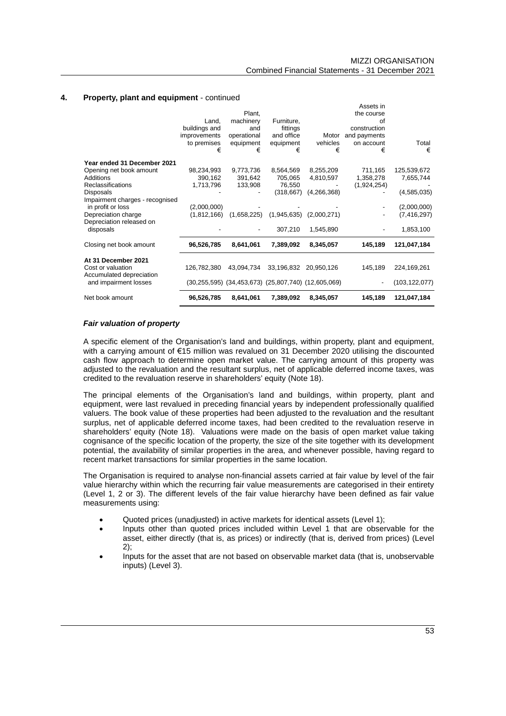Assets in

| Net book amount                                                             | 96,526,785                       | 8,641,061                     | 7,389,092                                                           | 8,345,057              | 145,189                         | 121,047,184                  |
|-----------------------------------------------------------------------------|----------------------------------|-------------------------------|---------------------------------------------------------------------|------------------------|---------------------------------|------------------------------|
| Accumulated depreciation<br>and impairment losses                           |                                  |                               | $(30, 255, 595)$ $(34, 453, 673)$ $(25, 807, 740)$ $(12, 605, 069)$ |                        |                                 | (103, 122, 077)              |
| At 31 December 2021<br>Cost or valuation                                    | 126,782,380                      | 43,094,734                    | 33,196,832                                                          | 20.950.126             | 145,189                         | 224,169,261                  |
| Closing net book amount                                                     | 96,526,785                       | 8,641,061                     | 7,389,092                                                           | 8,345,057              | 145,189                         | 121,047,184                  |
| Depreciation released on<br>disposals                                       |                                  |                               | 307,210                                                             | 1,545,890              |                                 | 1,853,100                    |
| Impairment charges - recognised<br>in profit or loss<br>Depreciation charge | (2,000,000)<br>(1,812,166)       | (1,658,225)                   | (1,945,635)                                                         | (2,000,271)            |                                 | (2,000,000)<br>(7, 416, 297) |
| <b>Disposals</b>                                                            | 1,713,796                        | 133,908                       | 76,550<br>(318, 667)                                                | (4, 266, 368)          | (1,924,254)                     | (4,585,035)                  |
| Additions<br><b>Reclassifications</b>                                       | 390,162                          | 391,642                       | 705,065                                                             | 4,810,597              | 1,358,278                       | 7,655,744                    |
| Year ended 31 December 2021<br>Opening net book amount                      | 98,234,993                       | 9,773,736                     | 8,564,569                                                           | 8,255,209              | 711,165                         | 125,539,672                  |
|                                                                             | improvements<br>to premises<br>€ | operational<br>equipment<br>€ | and office<br>equipment<br>€                                        | Motor<br>vehicles<br>€ | and payments<br>on account<br>€ | Total<br>€                   |
|                                                                             | Land.<br>buildings and           | machinery<br>and              | Furniture,<br>fittings                                              |                        | οf<br>construction              |                              |
|                                                                             |                                  | Plant,                        |                                                                     |                        | Adduu III<br>the course         |                              |

## **4. Property, plant and equipment** - continued

#### *Fair valuation of property*

A specific element of the Organisation's land and buildings, within property, plant and equipment, with a carrying amount of €15 million was revalued on 31 December 2020 utilising the discounted cash flow approach to determine open market value. The carrying amount of this property was adjusted to the revaluation and the resultant surplus, net of applicable deferred income taxes, was credited to the revaluation reserve in shareholders' equity (Note 18).

The principal elements of the Organisation's land and buildings, within property, plant and equipment, were last revalued in preceding financial years by independent professionally qualified valuers. The book value of these properties had been adjusted to the revaluation and the resultant surplus, net of applicable deferred income taxes, had been credited to the revaluation reserve in shareholders' equity (Note 18). Valuations were made on the basis of open market value taking cognisance of the specific location of the property, the size of the site together with its development potential, the availability of similar properties in the area, and whenever possible, having regard to recent market transactions for similar properties in the same location.

The Organisation is required to analyse non-financial assets carried at fair value by level of the fair value hierarchy within which the recurring fair value measurements are categorised in their entirety (Level 1, 2 or 3). The different levels of the fair value hierarchy have been defined as fair value measurements using:

- Quoted prices (unadjusted) in active markets for identical assets (Level 1);
- Inputs other than quoted prices included within Level 1 that are observable for the asset, either directly (that is, as prices) or indirectly (that is, derived from prices) (Level  $2)$
- Inputs for the asset that are not based on observable market data (that is, unobservable inputs) (Level 3).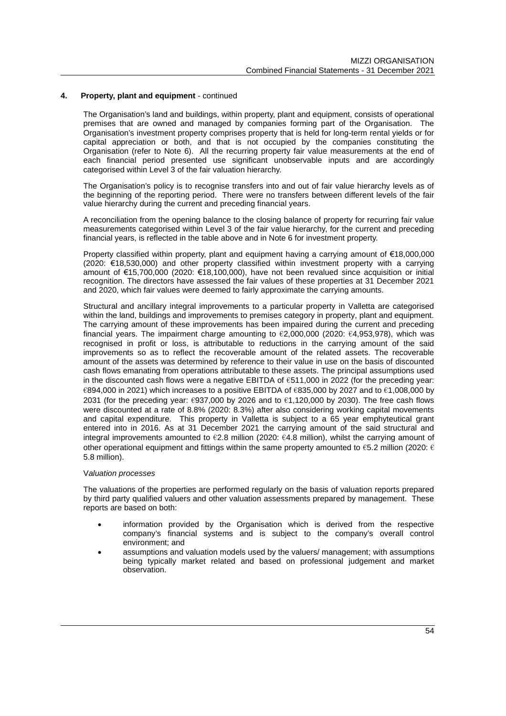The Organisation's land and buildings, within property, plant and equipment, consists of operational premises that are owned and managed by companies forming part of the Organisation. The Organisation's investment property comprises property that is held for long-term rental yields or for capital appreciation or both, and that is not occupied by the companies constituting the Organisation (refer to Note 6). All the recurring property fair value measurements at the end of each financial period presented use significant unobservable inputs and are accordingly categorised within Level 3 of the fair valuation hierarchy.

The Organisation's policy is to recognise transfers into and out of fair value hierarchy levels as of the beginning of the reporting period. There were no transfers between different levels of the fair value hierarchy during the current and preceding financial years.

A reconciliation from the opening balance to the closing balance of property for recurring fair value measurements categorised within Level 3 of the fair value hierarchy, for the current and preceding financial years, is reflected in the table above and in Note 6 for investment property.

Property classified within property, plant and equipment having a carrying amount of €18,000,000 (2020: €18,530,000) and other property classified within investment property with a carrying amount of €15,700,000 (2020: €18,100,000), have not been revalued since acquisition or initial recognition. The directors have assessed the fair values of these properties at 31 December 2021 and 2020, which fair values were deemed to fairly approximate the carrying amounts.

Structural and ancillary integral improvements to a particular property in Valletta are categorised within the land, buildings and improvements to premises category in property, plant and equipment. The carrying amount of these improvements has been impaired during the current and preceding financial years. The impairment charge amounting to  $\epsilon$ 2,000,000 (2020:  $\epsilon$ 4,953,978), which was recognised in profit or loss, is attributable to reductions in the carrying amount of the said improvements so as to reflect the recoverable amount of the related assets. The recoverable amount of the assets was determined by reference to their value in use on the basis of discounted cash flows emanating from operations attributable to these assets. The principal assumptions used in the discounted cash flows were a negative EBITDA of €511,000 in 2022 (for the preceding year: €894,000 in 2021) which increases to a positive EBITDA of €835,000 by 2027 and to €1,008,000 by 2031 (for the preceding year:  $€937,000$  by 2026 and to  $€1,120,000$  by 2030). The free cash flows were discounted at a rate of 8.8% (2020: 8.3%) after also considering working capital movements and capital expenditure. This property in Valletta is subject to a 65 year emphyteutical grant entered into in 2016. As at 31 December 2021 the carrying amount of the said structural and integral improvements amounted to  $E2.8$  million (2020:  $E4.8$  million), whilst the carrying amount of other operational equipment and fittings within the same property amounted to  $\epsilon$ 5.2 million (2020:  $\epsilon$ 5.8 million).

### V*aluation processes*

The valuations of the properties are performed regularly on the basis of valuation reports prepared by third party qualified valuers and other valuation assessments prepared by management. These reports are based on both:

- information provided by the Organisation which is derived from the respective company's financial systems and is subject to the company's overall control environment; and
- assumptions and valuation models used by the valuers/ management; with assumptions being typically market related and based on professional judgement and market observation.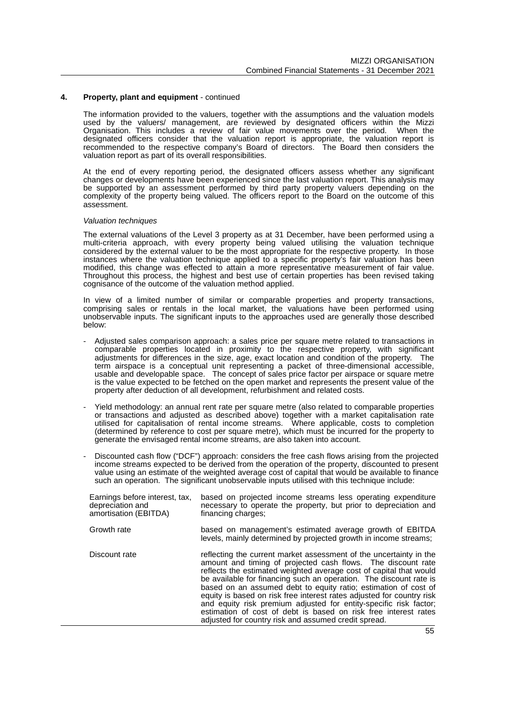The information provided to the valuers, together with the assumptions and the valuation models used by the valuers/ management, are reviewed by designated officers within the Mizzi Organisation. This includes a review of fair value movements over the period. When the designated officers consider that the valuation report is appropriate, the valuation report is recommended to the respective company's Board of directors. The Board then considers the valuation report as part of its overall responsibilities.

At the end of every reporting period, the designated officers assess whether any significant changes or developments have been experienced since the last valuation report. This analysis may be supported by an assessment performed by third party property valuers depending on the complexity of the property being valued. The officers report to the Board on the outcome of this assessment.

#### *Valuation techniques*

The external valuations of the Level 3 property as at 31 December, have been performed using a multi-criteria approach, with every property being valued utilising the valuation technique considered by the external valuer to be the most appropriate for the respective property. In those instances where the valuation technique applied to a specific property's fair valuation has been modified, this change was effected to attain a more representative measurement of fair value. Throughout this process, the highest and best use of certain properties has been revised taking cognisance of the outcome of the valuation method applied.

In view of a limited number of similar or comparable properties and property transactions, comprising sales or rentals in the local market, the valuations have been performed using unobservable inputs. The significant inputs to the approaches used are generally those described below:

- Adjusted sales comparison approach: a sales price per square metre related to transactions in comparable properties located in proximity to the respective property, with significant adjustments for differences in the size, age, exact location and condition of the property. The term airspace is a conceptual unit representing a packet of three-dimensional accessible, usable and developable space. The concept of sales price factor per airspace or square metre is the value expected to be fetched on the open market and represents the present value of the property after deduction of all development, refurbishment and related costs.
- Yield methodology: an annual rent rate per square metre (also related to comparable properties or transactions and adjusted as described above) together with a market capitalisation rate utilised for capitalisation of rental income streams. Where applicable, costs to completion (determined by reference to cost per square metre), which must be incurred for the property to generate the envisaged rental income streams, are also taken into account.
- Discounted cash flow ("DCF") approach: considers the free cash flows arising from the projected income streams expected to be derived from the operation of the property, discounted to present value using an estimate of the weighted average cost of capital that would be available to finance such an operation. The significant unobservable inputs utilised with this technique include:

| Earnings before interest, tax,<br>depreciation and<br>amortisation (EBITDA) | based on projected income streams less operating expenditure<br>necessary to operate the property, but prior to depreciation and<br>financing charges;                                                                                                                                                                                                                                                                                                                                                                                                                                                                     |
|-----------------------------------------------------------------------------|----------------------------------------------------------------------------------------------------------------------------------------------------------------------------------------------------------------------------------------------------------------------------------------------------------------------------------------------------------------------------------------------------------------------------------------------------------------------------------------------------------------------------------------------------------------------------------------------------------------------------|
| Growth rate                                                                 | based on management's estimated average growth of EBITDA<br>levels, mainly determined by projected growth in income streams;                                                                                                                                                                                                                                                                                                                                                                                                                                                                                               |
| Discount rate                                                               | reflecting the current market assessment of the uncertainty in the<br>amount and timing of projected cash flows. The discount rate<br>reflects the estimated weighted average cost of capital that would<br>be available for financing such an operation. The discount rate is<br>based on an assumed debt to equity ratio; estimation of cost of<br>equity is based on risk free interest rates adjusted for country risk<br>and equity risk premium adjusted for entity-specific risk factor;<br>estimation of cost of debt is based on risk free interest rates<br>adjusted for country risk and assumed credit spread. |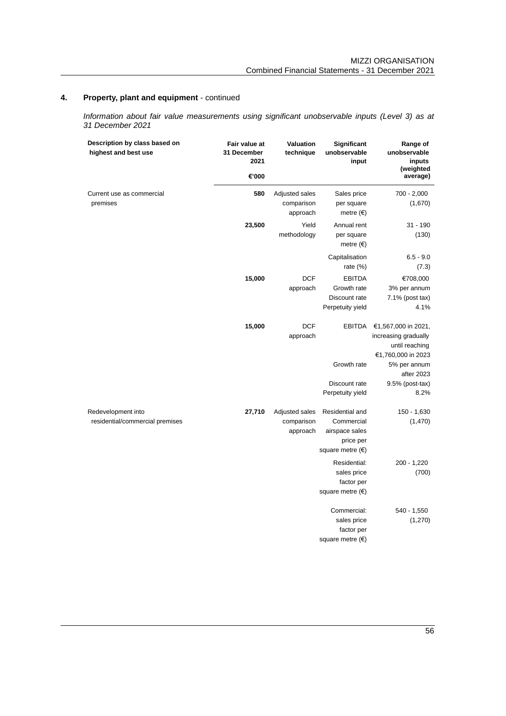*Information about fair value measurements using significant unobservable inputs (Level 3) as at 31 December 2021*

| Description by class based on<br>highest and best use | Fair value at<br>31 December<br>2021<br>€'000 | Valuation<br>technique                   | Significant<br>unobservable<br>input                                                      | Range of<br>unobservable<br>inputs<br>(weighted<br>average)                                                                                  |
|-------------------------------------------------------|-----------------------------------------------|------------------------------------------|-------------------------------------------------------------------------------------------|----------------------------------------------------------------------------------------------------------------------------------------------|
| Current use as commercial<br>premises                 | 580                                           | Adjusted sales<br>comparison<br>approach | Sales price<br>per square<br>metre $(\epsilon)$                                           | $700 - 2,000$<br>(1,670)                                                                                                                     |
|                                                       | 23,500                                        | Yield<br>methodology                     | Annual rent<br>per square<br>metre $(\epsilon)$                                           | $31 - 190$<br>(130)                                                                                                                          |
|                                                       |                                               |                                          | Capitalisation<br>rate $(\%)$                                                             | $6.5 - 9.0$<br>(7.3)                                                                                                                         |
|                                                       | 15,000                                        | <b>DCF</b><br>approach                   | <b>EBITDA</b><br>Growth rate<br>Discount rate<br>Perpetuity yield                         | €708,000<br>3% per annum<br>$7.1\%$ (post tax)<br>4.1%                                                                                       |
|                                                       | 15,000                                        | <b>DCF</b><br>approach                   | <b>EBITDA</b><br>Growth rate<br>Discount rate<br>Perpetuity yield                         | €1,567,000 in 2021,<br>increasing gradually<br>until reaching<br>€1,760,000 in 2023<br>5% per annum<br>after 2023<br>9.5% (post-tax)<br>8.2% |
| Redevelopment into<br>residential/commercial premises | 27,710                                        | Adjusted sales<br>comparison<br>approach | Residential and<br>Commercial<br>airspace sales<br>price per<br>square metre $(\epsilon)$ | $150 - 1,630$<br>(1,470)                                                                                                                     |
|                                                       |                                               |                                          | Residential:<br>sales price<br>factor per<br>square metre $(\epsilon)$                    | $200 - 1,220$<br>(700)                                                                                                                       |
|                                                       |                                               |                                          | Commercial:<br>sales price<br>factor per<br>square metre $(\epsilon)$                     | 540 - 1,550<br>(1,270)                                                                                                                       |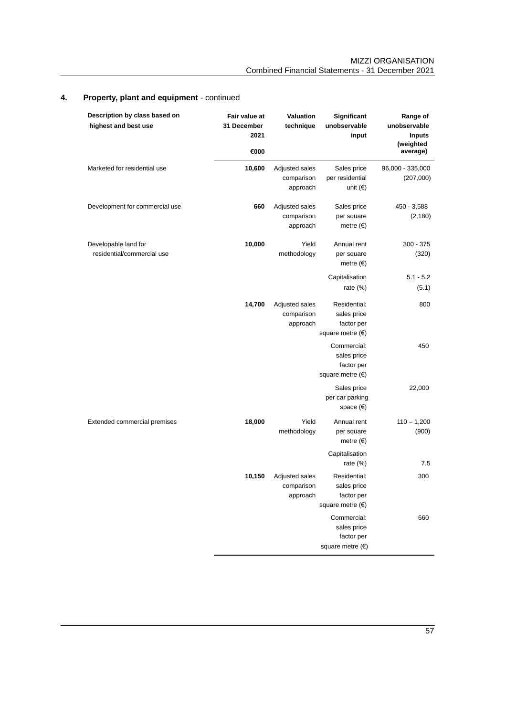| 4. |  |  | Property, plant and equipment - continued |  |
|----|--|--|-------------------------------------------|--|
|----|--|--|-------------------------------------------|--|

| Description by class based on<br>highest and best use | Fair value at<br>31 December<br>2021<br>€000 | Valuation<br>technique                   | Significant<br>unobservable<br>input                                   | Range of<br>unobservable<br><b>Inputs</b><br>(weighted<br>average) |
|-------------------------------------------------------|----------------------------------------------|------------------------------------------|------------------------------------------------------------------------|--------------------------------------------------------------------|
| Marketed for residential use                          | 10,600                                       | Adjusted sales<br>comparison<br>approach | Sales price<br>per residential<br>unit $(\epsilon)$                    | 96,000 - 335,000<br>(207,000)                                      |
| Development for commercial use                        | 660                                          | Adjusted sales<br>comparison<br>approach | Sales price<br>per square<br>metre $(\epsilon)$                        | 450 - 3,588<br>(2, 180)                                            |
| Developable land for<br>residential/commercial use    | 10,000                                       | Yield<br>methodology                     | Annual rent<br>per square<br>metre $(\epsilon)$                        | $300 - 375$<br>(320)                                               |
|                                                       |                                              |                                          | Capitalisation<br>rate $(\%)$                                          | $5.1 - 5.2$<br>(5.1)                                               |
|                                                       | 14,700                                       | Adjusted sales<br>comparison<br>approach | Residential:<br>sales price<br>factor per<br>square metre $(\epsilon)$ | 800                                                                |
|                                                       |                                              |                                          | Commercial:<br>sales price<br>factor per<br>square metre $(\epsilon)$  | 450                                                                |
|                                                       |                                              |                                          | Sales price<br>per car parking<br>space $(\epsilon)$                   | 22,000                                                             |
| Extended commercial premises                          | 18,000                                       | Yield<br>methodology                     | Annual rent<br>per square<br>metre $(\epsilon)$                        | $110 - 1,200$<br>(900)                                             |
|                                                       |                                              |                                          | Capitalisation<br>rate $(\%)$                                          | 7.5                                                                |
|                                                       | 10,150                                       | Adjusted sales<br>comparison<br>approach | Residential:<br>sales price<br>factor per<br>square metre (€)          | 300                                                                |
|                                                       |                                              |                                          | Commercial:<br>sales price<br>factor per<br>square metre (€)           | 660                                                                |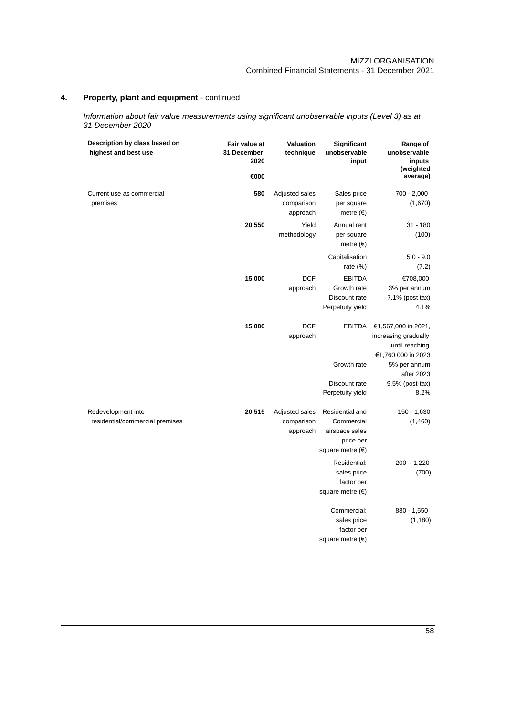*Information about fair value measurements using significant unobservable inputs (Level 3) as at 31 December 2020*

| Description by class based on<br>highest and best use | Fair value at<br>31 December<br>2020<br>€000 | Valuation<br>technique                   | Significant<br>unobservable<br>input                                                      | Range of<br>unobservable<br>inputs<br>(weighted<br>average)                                                                                  |
|-------------------------------------------------------|----------------------------------------------|------------------------------------------|-------------------------------------------------------------------------------------------|----------------------------------------------------------------------------------------------------------------------------------------------|
| Current use as commercial<br>premises                 | 580                                          | Adjusted sales<br>comparison<br>approach | Sales price<br>per square<br>metre $(\epsilon)$                                           | $700 - 2,000$<br>(1,670)                                                                                                                     |
|                                                       | 20,550                                       | Yield<br>methodology                     | Annual rent<br>per square<br>metre $(\epsilon)$                                           | $31 - 180$<br>(100)                                                                                                                          |
|                                                       |                                              |                                          | Capitalisation<br>rate $(\%)$                                                             | $5.0 - 9.0$<br>(7.2)                                                                                                                         |
|                                                       | 15,000                                       | <b>DCF</b><br>approach                   | <b>EBITDA</b><br>Growth rate<br>Discount rate<br>Perpetuity yield                         | €708,000<br>3% per annum<br>$7.1\%$ (post tax)<br>4.1%                                                                                       |
|                                                       | 15,000                                       | <b>DCF</b><br>approach                   | <b>EBITDA</b><br>Growth rate<br>Discount rate<br>Perpetuity yield                         | €1,567,000 in 2021,<br>increasing gradually<br>until reaching<br>€1,760,000 in 2023<br>5% per annum<br>after 2023<br>9.5% (post-tax)<br>8.2% |
| Redevelopment into<br>residential/commercial premises | 20,515                                       | Adjusted sales<br>comparison<br>approach | Residential and<br>Commercial<br>airspace sales<br>price per<br>square metre $(\epsilon)$ | $150 - 1,630$<br>(1,460)                                                                                                                     |
|                                                       |                                              |                                          | Residential:<br>sales price<br>factor per<br>square metre $(\epsilon)$                    | $200 - 1,220$<br>(700)                                                                                                                       |
|                                                       |                                              |                                          | Commercial:<br>sales price<br>factor per<br>square metre $(\epsilon)$                     | $880 - 1,550$<br>(1, 180)                                                                                                                    |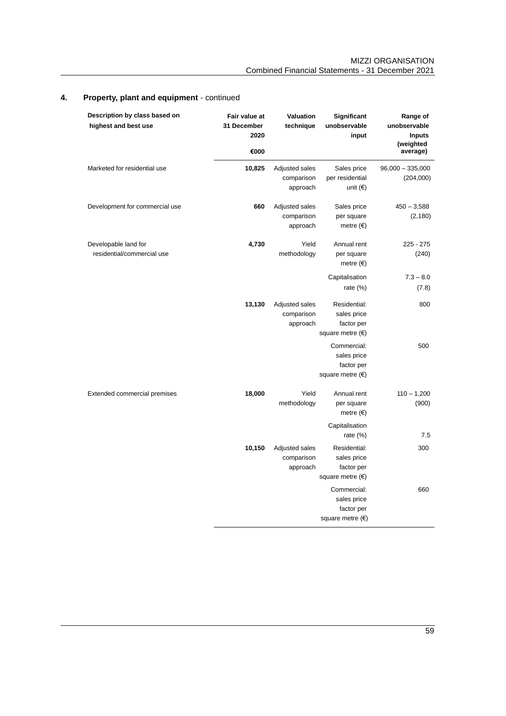| 4. |  |  | Property, plant and equipment - continued |  |
|----|--|--|-------------------------------------------|--|
|----|--|--|-------------------------------------------|--|

| Description by class based on<br>highest and best use | Fair value at<br>31 December<br>2020 | Valuation<br>technique                   | Significant<br>unobservable<br>input                                   | Range of<br>unobservable<br><b>Inputs</b><br>(weighted |
|-------------------------------------------------------|--------------------------------------|------------------------------------------|------------------------------------------------------------------------|--------------------------------------------------------|
|                                                       | €000                                 |                                          |                                                                        | average)                                               |
| Marketed for residential use                          | 10,825                               | Adjusted sales<br>comparison<br>approach | Sales price<br>per residential<br>unit $(\epsilon)$                    | $96,000 - 335,000$<br>(204,000)                        |
| Development for commercial use                        | 660                                  | Adjusted sales<br>comparison<br>approach | Sales price<br>per square<br>metre $(\epsilon)$                        | $450 - 3,588$<br>(2, 180)                              |
| Developable land for<br>residential/commercial use    | 4,730                                | Yield<br>methodology                     | Annual rent<br>per square<br>metre $(\epsilon)$                        | 225 - 275<br>(240)                                     |
|                                                       |                                      |                                          | Capitalisation<br>rate $(\%)$                                          | $7.3 - 8.0$<br>(7.8)                                   |
|                                                       | 13,130                               | Adjusted sales<br>comparison<br>approach | Residential:<br>sales price<br>factor per<br>square metre $(\epsilon)$ | 800                                                    |
|                                                       |                                      |                                          | Commercial:<br>sales price<br>factor per<br>square metre $(\epsilon)$  | 500                                                    |
| Extended commercial premises                          | 18,000                               | Yield<br>methodology                     | Annual rent<br>per square<br>metre $(\epsilon)$                        | $110 - 1,200$<br>(900)                                 |
|                                                       |                                      |                                          | Capitalisation<br>rate $(\%)$                                          | 7.5                                                    |
|                                                       | 10,150                               | Adjusted sales<br>comparison<br>approach | Residential:<br>sales price<br>factor per<br>square metre $(\epsilon)$ | 300                                                    |
|                                                       |                                      |                                          | Commercial:<br>sales price<br>factor per<br>square metre $(\epsilon)$  | 660                                                    |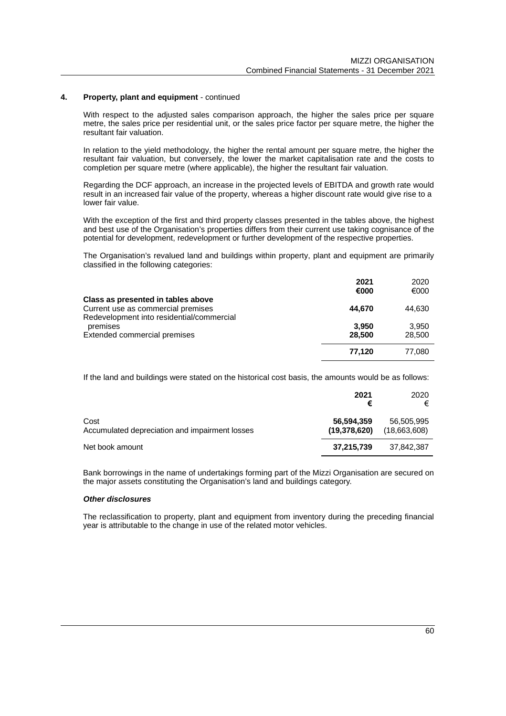With respect to the adjusted sales comparison approach, the higher the sales price per square metre, the sales price per residential unit, or the sales price factor per square metre, the higher the resultant fair valuation.

In relation to the yield methodology, the higher the rental amount per square metre, the higher the resultant fair valuation, but conversely, the lower the market capitalisation rate and the costs to completion per square metre (where applicable), the higher the resultant fair valuation.

Regarding the DCF approach, an increase in the projected levels of EBITDA and growth rate would result in an increased fair value of the property, whereas a higher discount rate would give rise to a lower fair value.

With the exception of the first and third property classes presented in the tables above, the highest and best use of the Organisation's properties differs from their current use taking cognisance of the potential for development, redevelopment or further development of the respective properties.

The Organisation's revalued land and buildings within property, plant and equipment are primarily classified in the following categories:

|                                                                                                                       | 2021<br>€000    | 2020<br>€000    |
|-----------------------------------------------------------------------------------------------------------------------|-----------------|-----------------|
| Class as presented in tables above<br>Current use as commercial premises<br>Redevelopment into residential/commercial | 44.670          | 44.630          |
| premises<br>Extended commercial premises                                                                              | 3.950<br>28,500 | 3.950<br>28,500 |
|                                                                                                                       | 77.120          | 77.080          |

If the land and buildings were stated on the historical cost basis, the amounts would be as follows:

|                                                        | 2021<br>€                    | 2020<br>€                  |
|--------------------------------------------------------|------------------------------|----------------------------|
| Cost<br>Accumulated depreciation and impairment losses | 56,594,359<br>(19, 378, 620) | 56,505,995<br>(18,663,608) |
| Net book amount                                        | 37,215,739                   | 37,842,387                 |

Bank borrowings in the name of undertakings forming part of the Mizzi Organisation are secured on the major assets constituting the Organisation's land and buildings category.

### *Other disclosures*

The reclassification to property, plant and equipment from inventory during the preceding financial year is attributable to the change in use of the related motor vehicles.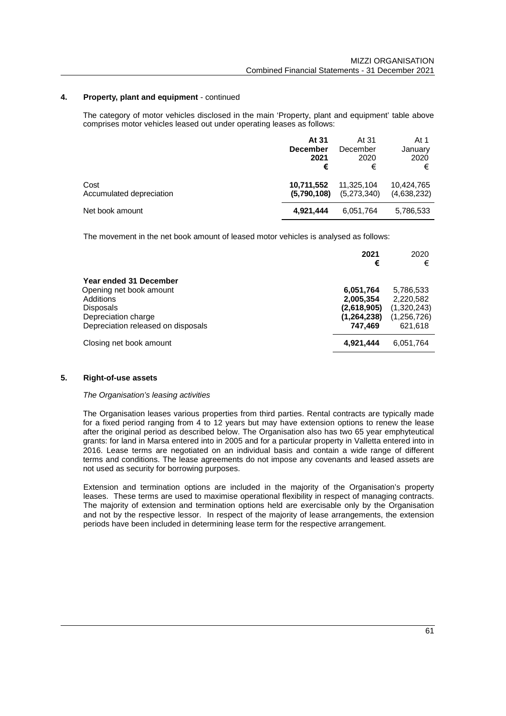The category of motor vehicles disclosed in the main 'Property, plant and equipment' table above comprises motor vehicles leased out under operating leases as follows:

|                                  | At 31<br><b>December</b><br>2021<br>€ | At 31<br>December<br>2020<br>€ | At 1<br>January<br>2020<br>€ |  |
|----------------------------------|---------------------------------------|--------------------------------|------------------------------|--|
| Cost<br>Accumulated depreciation | 10,711,552<br>(5,790,108)             | 11,325,104<br>(5,273,340)      | 10,424,765<br>(4,638,232)    |  |
| Net book amount                  | 4,921,444                             | 6,051,764                      | 5,786,533                    |  |

The movement in the net book amount of leased motor vehicles is analysed as follows:

|                                    | 2021<br>€     | 2020<br>€   |
|------------------------------------|---------------|-------------|
| Year ended 31 December             |               |             |
| Opening net book amount            | 6,051,764     | 5,786,533   |
| Additions                          | 2,005,354     | 2,220,582   |
| <b>Disposals</b>                   | (2,618,905)   | (1,320,243) |
| Depreciation charge                | (1, 264, 238) | (1,256,726) |
| Depreciation released on disposals | 747.469       | 621.618     |
| Closing net book amount            | 4,921,444     | 6,051,764   |

## **5. Right-of-use assets**

## *The Organisation's leasing activities*

The Organisation leases various properties from third parties. Rental contracts are typically made for a fixed period ranging from 4 to 12 years but may have extension options to renew the lease after the original period as described below. The Organisation also has two 65 year emphyteutical grants: for land in Marsa entered into in 2005 and for a particular property in Valletta entered into in 2016. Lease terms are negotiated on an individual basis and contain a wide range of different terms and conditions. The lease agreements do not impose any covenants and leased assets are not used as security for borrowing purposes.

Extension and termination options are included in the majority of the Organisation's property leases. These terms are used to maximise operational flexibility in respect of managing contracts. The majority of extension and termination options held are exercisable only by the Organisation and not by the respective lessor. In respect of the majority of lease arrangements, the extension periods have been included in determining lease term for the respective arrangement.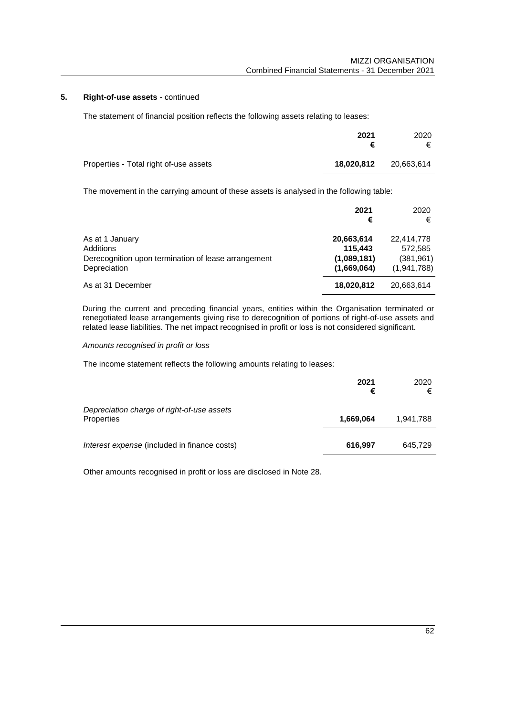## **5. Right-of-use assets** - continued

The statement of financial position reflects the following assets relating to leases:

|                                        | 2021<br>€  | 2020<br>€  |
|----------------------------------------|------------|------------|
| Properties - Total right of-use assets | 18.020.812 | 20,663,614 |

The movement in the carrying amount of these assets is analysed in the following table:

|                                                                                                     | 2021<br>€                                           | 2020<br>€                                          |
|-----------------------------------------------------------------------------------------------------|-----------------------------------------------------|----------------------------------------------------|
| As at 1 January<br>Additions<br>Derecognition upon termination of lease arrangement<br>Depreciation | 20.663.614<br>115.443<br>(1,089,181)<br>(1,669,064) | 22,414,778<br>572.585<br>(381, 961)<br>(1,941,788) |
| As at 31 December                                                                                   | 18,020,812                                          | 20,663,614                                         |

During the current and preceding financial years, entities within the Organisation terminated or renegotiated lease arrangements giving rise to derecognition of portions of right-of-use assets and related lease liabilities. The net impact recognised in profit or loss is not considered significant.

#### *Amounts recognised in profit or loss*

The income statement reflects the following amounts relating to leases:

|                                                          | 2021<br>€ | 2020<br>€ |
|----------------------------------------------------------|-----------|-----------|
| Depreciation charge of right-of-use assets<br>Properties | 1,669,064 | 1,941,788 |
| Interest expense (included in finance costs)             | 616,997   | 645,729   |

Other amounts recognised in profit or loss are disclosed in Note 28.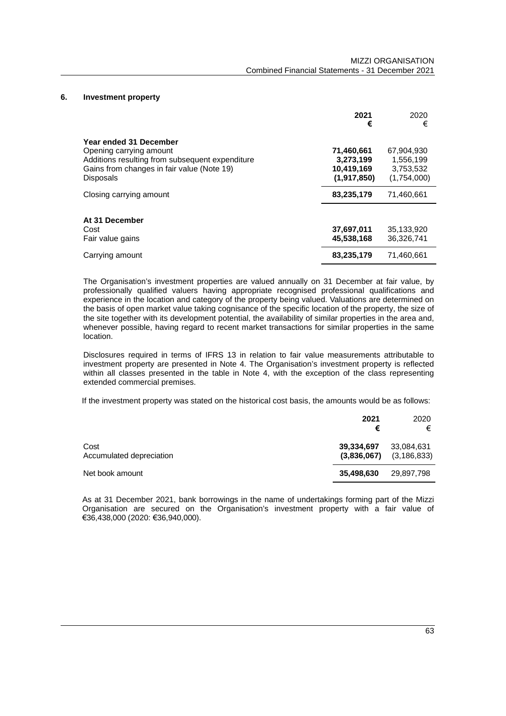#### **6. Investment property**

|                                                                                                                                                                        | 2021<br>€                                            | 2020<br>€                                           |
|------------------------------------------------------------------------------------------------------------------------------------------------------------------------|------------------------------------------------------|-----------------------------------------------------|
| Year ended 31 December<br>Opening carrying amount<br>Additions resulting from subsequent expenditure<br>Gains from changes in fair value (Note 19)<br><b>Disposals</b> | 71,460,661<br>3,273,199<br>10,419,169<br>(1,917,850) | 67,904,930<br>1,556,199<br>3,753,532<br>(1,754,000) |
| Closing carrying amount                                                                                                                                                | 83,235,179                                           | 71,460,661                                          |
| At 31 December<br>Cost<br>Fair value gains                                                                                                                             | 37,697,011<br>45,538,168                             | 35,133,920<br>36.326.741                            |
| Carrying amount                                                                                                                                                        | 83,235,179                                           | 71.460.661                                          |

The Organisation's investment properties are valued annually on 31 December at fair value, by professionally qualified valuers having appropriate recognised professional qualifications and experience in the location and category of the property being valued. Valuations are determined on the basis of open market value taking cognisance of the specific location of the property, the size of the site together with its development potential, the availability of similar properties in the area and, whenever possible, having regard to recent market transactions for similar properties in the same location.

Disclosures required in terms of IFRS 13 in relation to fair value measurements attributable to investment property are presented in Note 4. The Organisation's investment property is reflected within all classes presented in the table in Note 4, with the exception of the class representing extended commercial premises.

If the investment property was stated on the historical cost basis, the amounts would be as follows:

|                                  | 2021                      | 2020<br>€                   |
|----------------------------------|---------------------------|-----------------------------|
| Cost<br>Accumulated depreciation | 39,334,697<br>(3,836,067) | 33,084,631<br>(3, 186, 833) |
| Net book amount                  | 35.498.630                | 29,897,798                  |

As at 31 December 2021, bank borrowings in the name of undertakings forming part of the Mizzi Organisation are secured on the Organisation's investment property with a fair value of €36,438,000 (2020: €36,940,000).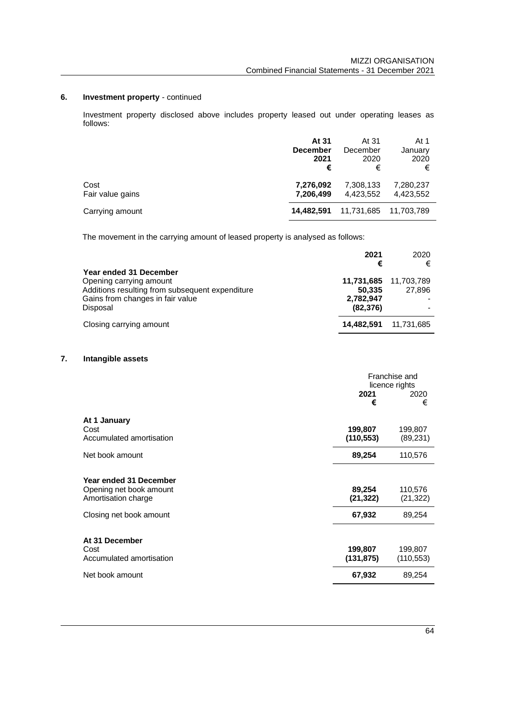## **6. Investment property** - continued

Investment property disclosed above includes property leased out under operating leases as follows:

|                          | At 31<br><b>December</b><br>2021<br>€ | At 31<br>December<br>2020<br>€ | At 1<br>January<br>2020<br>€ |  |
|--------------------------|---------------------------------------|--------------------------------|------------------------------|--|
| Cost<br>Fair value gains | 7,276,092<br>7,206,499                | 7,308,133<br>4,423,552         | 7,280,237<br>4,423,552       |  |
| Carrying amount          | 14,482,591                            |                                |                              |  |

The movement in the carrying amount of leased property is analysed as follows:

|                                                                                                                                                      | 2021<br>€                                      | 2020<br>€            |
|------------------------------------------------------------------------------------------------------------------------------------------------------|------------------------------------------------|----------------------|
| Year ended 31 December<br>Opening carrying amount<br>Additions resulting from subsequent expenditure<br>Gains from changes in fair value<br>Disposal | 11,731,685<br>50.335<br>2,782,947<br>(82, 376) | 11,703,789<br>27.896 |
| Closing carrying amount                                                                                                                              | 14.482.591                                     | 11.731.685           |

## **7. Intangible assets**

|                                                                          | Franchise and<br>licence rights |                       |
|--------------------------------------------------------------------------|---------------------------------|-----------------------|
|                                                                          | 2021<br>€                       | 2020<br>€             |
| At 1 January<br>Cost<br>Accumulated amortisation                         | 199,807<br>(110, 553)           | 199,807<br>(89, 231)  |
| Net book amount                                                          | 89,254                          | 110,576               |
| Year ended 31 December<br>Opening net book amount<br>Amortisation charge | 89,254<br>(21, 322)             | 110,576<br>(21, 322)  |
| Closing net book amount                                                  | 67,932                          | 89,254                |
| At 31 December<br>Cost<br>Accumulated amortisation                       | 199,807<br>(131, 875)           | 199,807<br>(110, 553) |
| Net book amount                                                          | 67,932                          | 89,254                |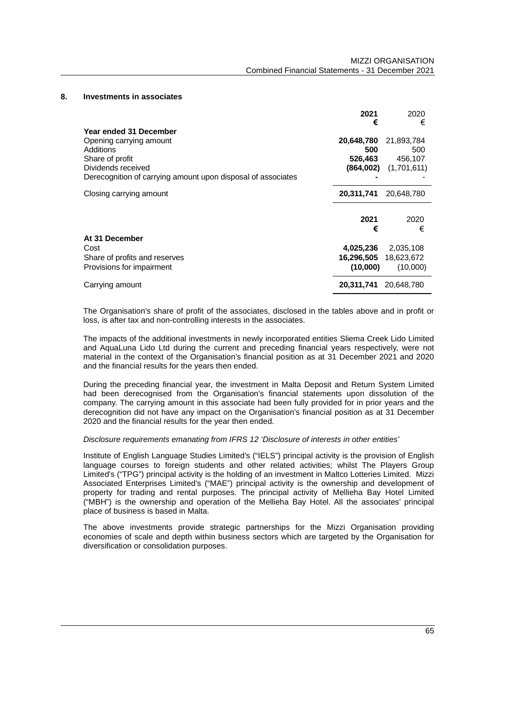## **8. Investments in associates**

|                                                              | 2021<br>€  | 2020<br>€                    |
|--------------------------------------------------------------|------------|------------------------------|
| Year ended 31 December                                       |            |                              |
| Opening carrying amount                                      | 20,648,780 | 21,893,784                   |
| Additions                                                    | 500        | 500                          |
| Share of profit                                              | 526,463    | 456,107                      |
| Dividends received                                           | (864,002)  | (1,701,611)                  |
| Derecognition of carrying amount upon disposal of associates |            |                              |
| Closing carrying amount                                      | 20,311,741 | 20,648,780                   |
|                                                              |            |                              |
|                                                              | 2021       | 2020                         |
|                                                              | €          | €                            |
| At 31 December                                               |            |                              |
| Cost                                                         | 4,025,236  | 2,035,108                    |
| Share of profits and reserves                                |            | <b>16,296,505</b> 18,623,672 |
|                                                              |            |                              |
| Provisions for impairment                                    | (10,000)   | (10,000)                     |

The Organisation's share of profit of the associates, disclosed in the tables above and in profit or loss, is after tax and non-controlling interests in the associates.

The impacts of the additional investments in newly incorporated entities Sliema Creek Lido Limited and AquaLuna Lido Ltd during the current and preceding financial years respectively, were not material in the context of the Organisation's financial position as at 31 December 2021 and 2020 and the financial results for the years then ended.

During the preceding financial year, the investment in Malta Deposit and Return System Limited had been derecognised from the Organisation's financial statements upon dissolution of the company. The carrying amount in this associate had been fully provided for in prior years and the derecognition did not have any impact on the Organisation's financial position as at 31 December 2020 and the financial results for the year then ended.

#### *Disclosure requirements emanating from IFRS 12 'Disclosure of interests in other entities'*

Institute of English Language Studies Limited's ("IELS") principal activity is the provision of English language courses to foreign students and other related activities; whilst The Players Group Limited's ("TPG") principal activity is the holding of an investment in Maltco Lotteries Limited. Mizzi Associated Enterprises Limited's ("MAE") principal activity is the ownership and development of property for trading and rental purposes. The principal activity of Mellieha Bay Hotel Limited ("MBH") is the ownership and operation of the Mellieha Bay Hotel. All the associates' principal place of business is based in Malta.

The above investments provide strategic partnerships for the Mizzi Organisation providing economies of scale and depth within business sectors which are targeted by the Organisation for diversification or consolidation purposes.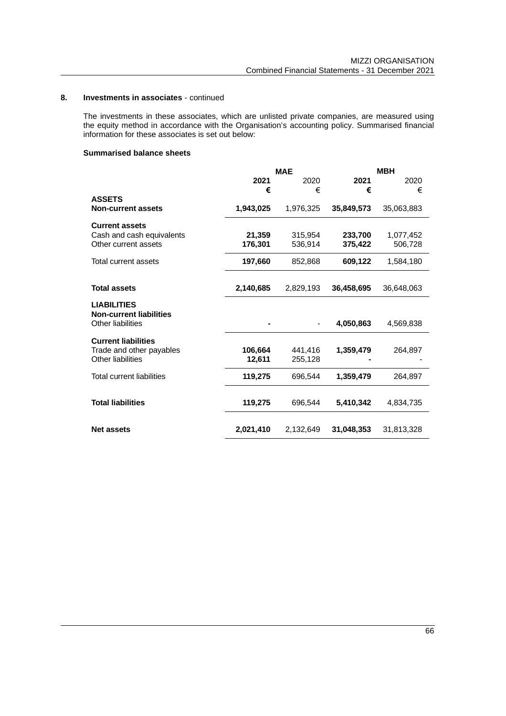The investments in these associates, which are unlisted private companies, are measured using the equity method in accordance with the Organisation's accounting policy. Summarised financial information for these associates is set out below:

## **Summarised balance sheets**

|                                                      | <b>MAE</b> |           | <b>MBH</b> |            |
|------------------------------------------------------|------------|-----------|------------|------------|
|                                                      | 2021       | 2020      | 2021       | 2020       |
|                                                      | €          | €         | €          | €          |
| <b>ASSETS</b>                                        |            |           |            |            |
| <b>Non-current assets</b>                            | 1,943,025  | 1,976,325 | 35,849,573 | 35,063,883 |
| <b>Current assets</b>                                |            |           |            |            |
| Cash and cash equivalents                            | 21,359     | 315,954   | 233,700    | 1,077,452  |
| Other current assets                                 | 176,301    | 536,914   | 375,422    | 506,728    |
| Total current assets                                 | 197,660    | 852,868   | 609,122    | 1,584,180  |
|                                                      |            |           |            |            |
| <b>Total assets</b>                                  | 2,140,685  | 2,829,193 | 36,458,695 | 36,648,063 |
| <b>LIABILITIES</b><br><b>Non-current liabilities</b> |            |           |            |            |
| <b>Other liabilities</b>                             |            |           | 4,050,863  | 4,569,838  |
| <b>Current liabilities</b>                           |            |           |            |            |
| Trade and other payables                             | 106,664    | 441,416   | 1,359,479  | 264,897    |
| Other liabilities                                    | 12,611     | 255,128   |            |            |
| Total current liabilities                            | 119,275    | 696,544   | 1,359,479  | 264,897    |
| <b>Total liabilities</b>                             | 119,275    | 696,544   | 5,410,342  | 4,834,735  |
|                                                      |            |           |            |            |
| <b>Net assets</b>                                    | 2,021,410  | 2,132,649 | 31,048,353 | 31,813,328 |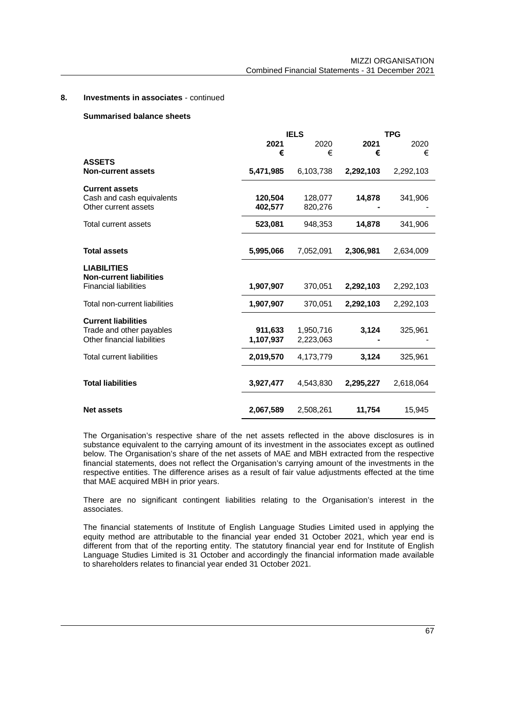#### **Summarised balance sheets**

|                                                      | <b>IELS</b> |           | <b>TPG</b> |           |
|------------------------------------------------------|-------------|-----------|------------|-----------|
|                                                      | 2021        | 2020      | 2021       | 2020      |
|                                                      | €           | €         | €          | €         |
| <b>ASSETS</b>                                        |             |           |            |           |
| <b>Non-current assets</b>                            | 5,471,985   | 6,103,738 | 2,292,103  | 2,292,103 |
| <b>Current assets</b>                                |             |           |            |           |
| Cash and cash equivalents                            | 120,504     | 128,077   | 14,878     | 341,906   |
| Other current assets                                 | 402,577     | 820,276   |            |           |
| Total current assets                                 | 523,081     | 948,353   | 14,878     | 341,906   |
|                                                      |             |           |            |           |
| <b>Total assets</b>                                  | 5,995,066   | 7,052,091 | 2,306,981  | 2,634,009 |
| <b>LIABILITIES</b><br><b>Non-current liabilities</b> |             |           |            |           |
| <b>Financial liabilities</b>                         | 1,907,907   | 370,051   | 2,292,103  | 2,292,103 |
| Total non-current liabilities                        | 1,907,907   | 370,051   | 2,292,103  | 2,292,103 |
| <b>Current liabilities</b>                           |             |           |            |           |
| Trade and other payables                             | 911,633     | 1,950,716 | 3,124      | 325,961   |
| Other financial liabilities                          | 1,107,937   | 2,223,063 |            |           |
| <b>Total current liabilities</b>                     | 2,019,570   | 4,173,779 | 3,124      | 325,961   |
|                                                      |             |           |            |           |
| <b>Total liabilities</b>                             | 3,927,477   | 4,543,830 | 2,295,227  | 2,618,064 |
|                                                      |             |           |            |           |
| <b>Net assets</b>                                    | 2,067,589   | 2,508,261 | 11,754     | 15,945    |

The Organisation's respective share of the net assets reflected in the above disclosures is in substance equivalent to the carrying amount of its investment in the associates except as outlined below. The Organisation's share of the net assets of MAE and MBH extracted from the respective financial statements, does not reflect the Organisation's carrying amount of the investments in the respective entities. The difference arises as a result of fair value adjustments effected at the time that MAE acquired MBH in prior years.

There are no significant contingent liabilities relating to the Organisation's interest in the associates.

The financial statements of Institute of English Language Studies Limited used in applying the equity method are attributable to the financial year ended 31 October 2021, which year end is different from that of the reporting entity. The statutory financial year end for Institute of English Language Studies Limited is 31 October and accordingly the financial information made available to shareholders relates to financial year ended 31 October 2021.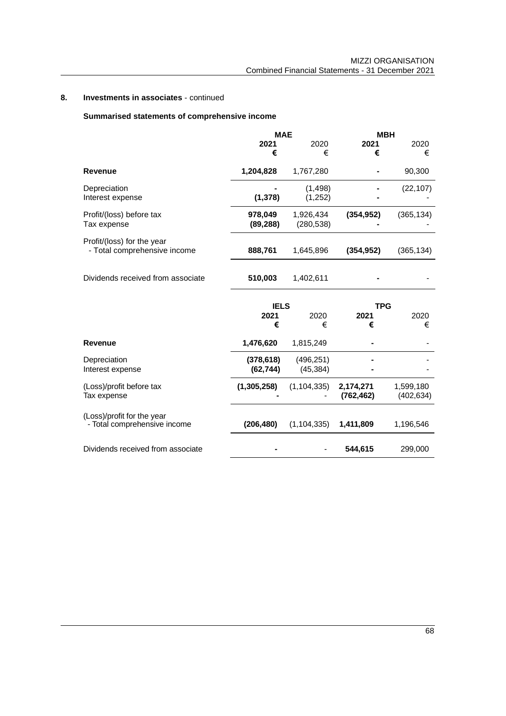# **Summarised statements of comprehensive income**

|                                                            | <b>MAE</b>              |                         | <b>MBH</b>              |                         |
|------------------------------------------------------------|-------------------------|-------------------------|-------------------------|-------------------------|
|                                                            | 2021<br>€               | 2020<br>€               | 2021<br>€               | 2020<br>€               |
| <b>Revenue</b>                                             | 1,204,828               | 1,767,280               |                         | 90,300                  |
| Depreciation<br>Interest expense                           | (1, 378)                | (1, 498)<br>(1, 252)    |                         | (22, 107)               |
| Profit/(loss) before tax<br>Tax expense                    | 978,049<br>(89, 288)    | 1,926,434<br>(280, 538) | (354, 952)              | (365, 134)              |
| Profit/(loss) for the year<br>- Total comprehensive income | 888,761                 | 1,645,896               | (354, 952)              | (365, 134)              |
| Dividends received from associate                          | 510,003                 | 1,402,611               |                         |                         |
|                                                            |                         |                         |                         |                         |
|                                                            | <b>IELS</b>             |                         | <b>TPG</b>              |                         |
|                                                            | 2021<br>€               | 2020<br>€               | 2021<br>€               | 2020<br>€               |
| <b>Revenue</b>                                             | 1,476,620               | 1,815,249               |                         |                         |
| Depreciation<br>Interest expense                           | (378, 618)<br>(62, 744) | (496, 251)<br>(45, 384) |                         |                         |
| (Loss)/profit before tax<br>Tax expense                    | (1, 305, 258)           | (1, 104, 335)           | 2,174,271<br>(762, 462) | 1,599,180<br>(402, 634) |
| (Loss)/profit for the year<br>- Total comprehensive income | (206, 480)              | (1, 104, 335)           | 1,411,809               | 1,196,546               |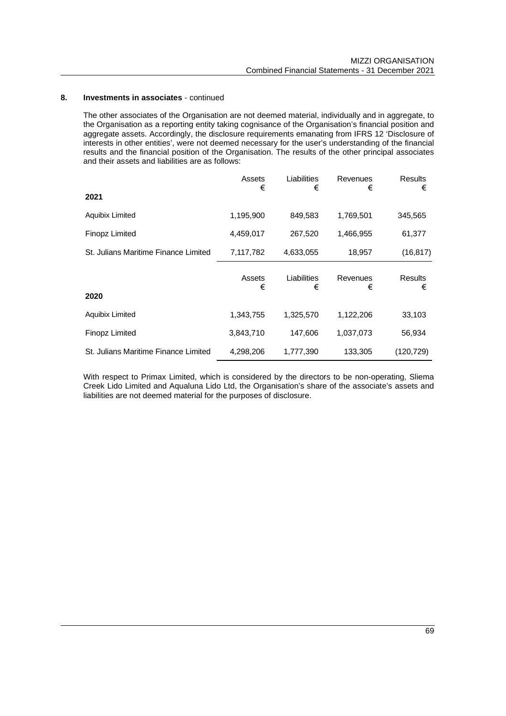The other associates of the Organisation are not deemed material, individually and in aggregate, to the Organisation as a reporting entity taking cognisance of the Organisation's financial position and aggregate assets. Accordingly, the disclosure requirements emanating from IFRS 12 'Disclosure of interests in other entities', were not deemed necessary for the user's understanding of the financial results and the financial position of the Organisation. The results of the other principal associates and their assets and liabilities are as follows:

|                                      | Assets<br>€ | Liabilities<br>€ | Revenues<br>€ | <b>Results</b><br>€ |
|--------------------------------------|-------------|------------------|---------------|---------------------|
| 2021                                 |             |                  |               |                     |
| Aquibix Limited                      | 1,195,900   | 849,583          | 1,769,501     | 345,565             |
| <b>Finopz Limited</b>                | 4,459,017   | 267,520          | 1,466,955     | 61,377              |
| St. Julians Maritime Finance Limited | 7,117,782   | 4,633,055        | 18,957        | (16, 817)           |
| 2020                                 | Assets<br>€ | Liabilities<br>€ | Revenues<br>€ | <b>Results</b><br>€ |
| Aquibix Limited                      | 1,343,755   | 1,325,570        | 1,122,206     | 33,103              |
| <b>Finopz Limited</b>                | 3,843,710   | 147,606          | 1,037,073     | 56,934              |
| St. Julians Maritime Finance Limited | 4,298,206   | 1,777,390        | 133,305       | (120, 729)          |

With respect to Primax Limited, which is considered by the directors to be non-operating, Sliema Creek Lido Limited and Aqualuna Lido Ltd, the Organisation's share of the associate's assets and liabilities are not deemed material for the purposes of disclosure.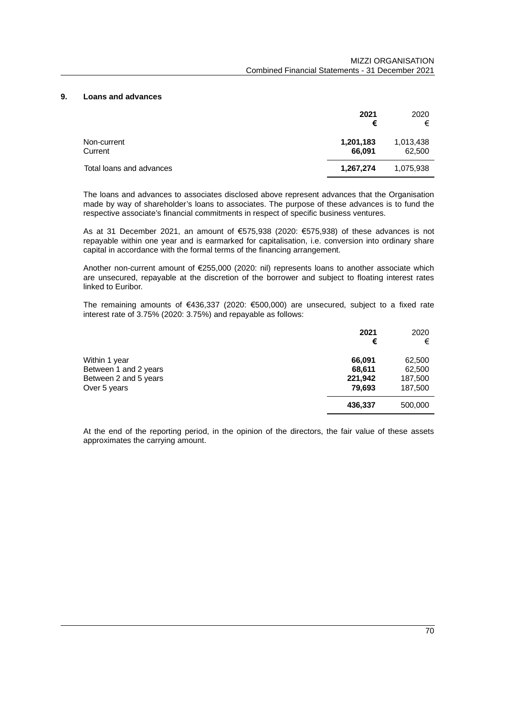## **9. Loans and advances**

|                          | 2021<br>€           | 2020<br>€           |
|--------------------------|---------------------|---------------------|
| Non-current<br>Current   | 1,201,183<br>66.091 | 1,013,438<br>62,500 |
| Total loans and advances | 1,267,274           | 1,075,938           |

The loans and advances to associates disclosed above represent advances that the Organisation made by way of shareholder's loans to associates. The purpose of these advances is to fund the respective associate's financial commitments in respect of specific business ventures.

As at 31 December 2021, an amount of €575,938 (2020: €575,938) of these advances is not repayable within one year and is earmarked for capitalisation, i.e. conversion into ordinary share capital in accordance with the formal terms of the financing arrangement.

Another non-current amount of €255,000 (2020: nil) represents loans to another associate which are unsecured, repayable at the discretion of the borrower and subject to floating interest rates linked to Euribor.

The remaining amounts of €436,337 (2020: €500,000) are unsecured, subject to a fixed rate interest rate of 3.75% (2020: 3.75%) and repayable as follows:

|                                                                                 | 2021<br>€                             | 2020<br>€                              |
|---------------------------------------------------------------------------------|---------------------------------------|----------------------------------------|
| Within 1 year<br>Between 1 and 2 years<br>Between 2 and 5 years<br>Over 5 years | 66,091<br>68,611<br>221,942<br>79,693 | 62,500<br>62,500<br>187,500<br>187,500 |
|                                                                                 | 436,337                               | 500,000                                |

At the end of the reporting period, in the opinion of the directors, the fair value of these assets approximates the carrying amount.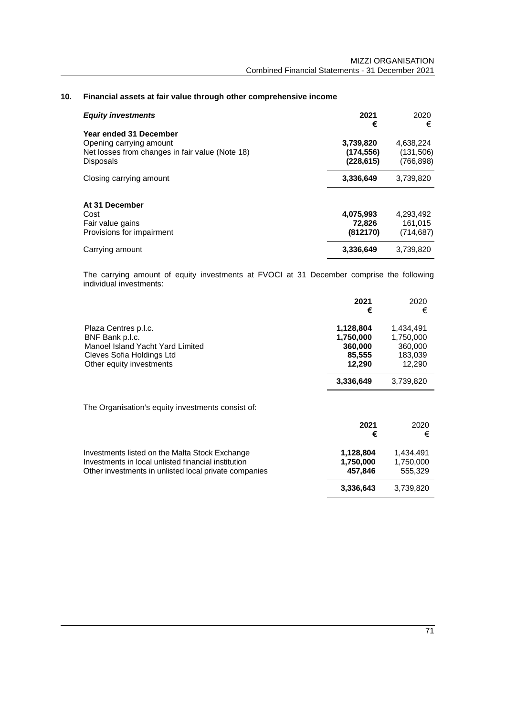# **10. Financial assets at fair value through other comprehensive income**

| <b>Equity investments</b>                                                                                                | 2021<br>€                             | 2020<br>€                            |
|--------------------------------------------------------------------------------------------------------------------------|---------------------------------------|--------------------------------------|
| Year ended 31 December<br>Opening carrying amount<br>Net losses from changes in fair value (Note 18)<br><b>Disposals</b> | 3,739,820<br>(174, 556)<br>(228, 615) | 4,638,224<br>(131,506)<br>(766, 898) |
| Closing carrying amount                                                                                                  | 3,336,649                             | 3,739,820                            |
| At 31 December<br>Cost<br>Fair value gains<br>Provisions for impairment                                                  | 4,075,993<br>72.826<br>(812170)       | 4,293,492<br>161.015<br>(714, 687)   |
| Carrying amount                                                                                                          | 3,336,649                             | 3,739,820                            |

The carrying amount of equity investments at FVOCI at 31 December comprise the following individual investments:

|                                                                                                                                                                | 2021<br>€                                             | 2020<br>€                                              |
|----------------------------------------------------------------------------------------------------------------------------------------------------------------|-------------------------------------------------------|--------------------------------------------------------|
| Plaza Centres p.l.c.<br>BNF Bank p.l.c.<br>Manoel Island Yacht Yard Limited<br>Cleves Sofia Holdings Ltd<br>Other equity investments                           | 1,128,804<br>1,750,000<br>360,000<br>85,555<br>12,290 | 1,434,491<br>1,750,000<br>360,000<br>183,039<br>12,290 |
|                                                                                                                                                                | 3,336,649                                             | 3,739,820                                              |
| The Organisation's equity investments consist of:                                                                                                              |                                                       |                                                        |
|                                                                                                                                                                | 2021<br>€                                             | 2020<br>€                                              |
| Investments listed on the Malta Stock Exchange<br>Investments in local unlisted financial institution<br>Other investments in unlisted local private companies | 1,128,804<br>1,750,000<br>457,846                     | 1,434,491<br>1,750,000<br>555,329                      |
|                                                                                                                                                                | 3,336,643                                             | 3,739,820                                              |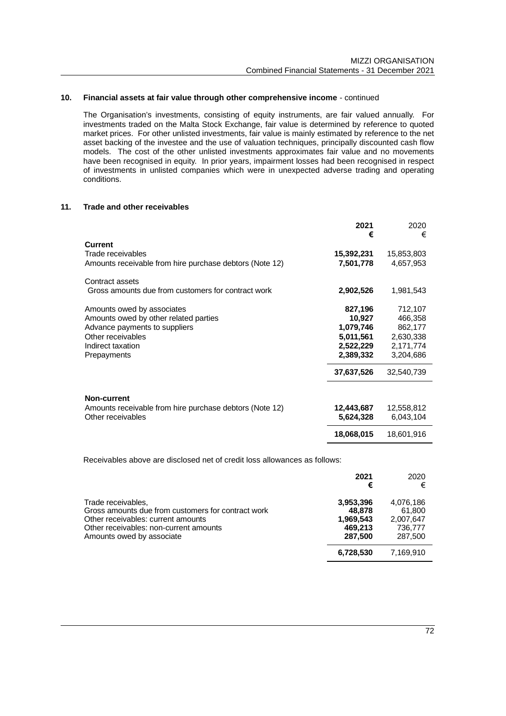# **10. Financial assets at fair value through other comprehensive income** - continued

The Organisation's investments, consisting of equity instruments, are fair valued annually. For investments traded on the Malta Stock Exchange, fair value is determined by reference to quoted market prices. For other unlisted investments, fair value is mainly estimated by reference to the net asset backing of the investee and the use of valuation techniques, principally discounted cash flow models. The cost of the other unlisted investments approximates fair value and no movements have been recognised in equity. In prior years, impairment losses had been recognised in respect of investments in unlisted companies which were in unexpected adverse trading and operating conditions.

### **11. Trade and other receivables**

|                                                                                                                                                               | 2021<br>€                                                             | 2020<br>€                                                            |
|---------------------------------------------------------------------------------------------------------------------------------------------------------------|-----------------------------------------------------------------------|----------------------------------------------------------------------|
| Current<br>Trade receivables<br>Amounts receivable from hire purchase debtors (Note 12)                                                                       | 15,392,231<br>7,501,778                                               | 15,853,803<br>4,657,953                                              |
| Contract assets<br>Gross amounts due from customers for contract work                                                                                         | 2,902,526                                                             | 1,981,543                                                            |
| Amounts owed by associates<br>Amounts owed by other related parties<br>Advance payments to suppliers<br>Other receivables<br>Indirect taxation<br>Prepayments | 827,196<br>10,927<br>1,079,746<br>5,011,561<br>2,522,229<br>2,389,332 | 712,107<br>466,358<br>862,177<br>2,630,338<br>2,171,774<br>3,204,686 |
| Non-current<br>Amounts receivable from hire purchase debtors (Note 12)<br>Other receivables                                                                   | 37,637,526<br>12,443,687<br>5,624,328                                 | 32,540,739<br>12,558,812<br>6.043.104                                |
|                                                                                                                                                               | 18,068,015                                                            | 18,601,916                                                           |

Receivables above are disclosed net of credit loss allowances as follows:

|                                                                                                                                                                                       | 2021<br>€                                              | 2020<br>€                                              |
|---------------------------------------------------------------------------------------------------------------------------------------------------------------------------------------|--------------------------------------------------------|--------------------------------------------------------|
| Trade receivables,<br>Gross amounts due from customers for contract work<br>Other receivables: current amounts<br>Other receivables: non-current amounts<br>Amounts owed by associate | 3.953.396<br>48,878<br>1,969,543<br>469.213<br>287.500 | 4,076,186<br>61,800<br>2,007,647<br>736.777<br>287,500 |
|                                                                                                                                                                                       | 6,728,530                                              | 7,169,910                                              |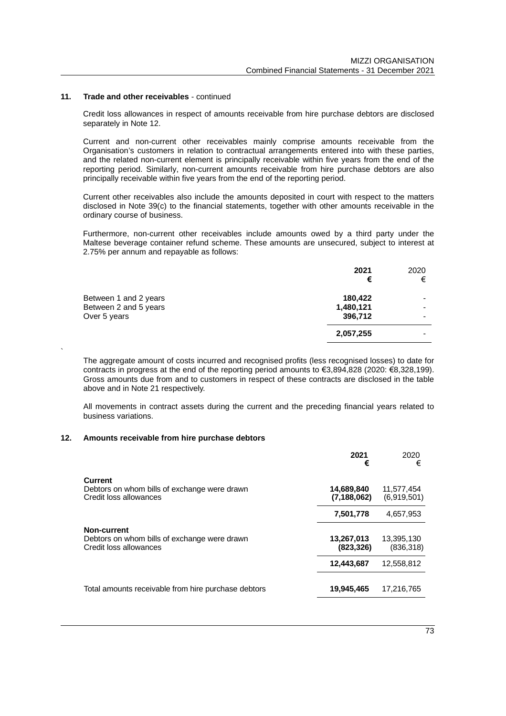## **11. Trade and other receivables** - continued

Credit loss allowances in respect of amounts receivable from hire purchase debtors are disclosed separately in Note 12.

Current and non-current other receivables mainly comprise amounts receivable from the Organisation's customers in relation to contractual arrangements entered into with these parties, and the related non-current element is principally receivable within five years from the end of the reporting period. Similarly, non-current amounts receivable from hire purchase debtors are also principally receivable within five years from the end of the reporting period.

Current other receivables also include the amounts deposited in court with respect to the matters disclosed in Note 39(c) to the financial statements, together with other amounts receivable in the ordinary course of business.

Furthermore, non-current other receivables include amounts owed by a third party under the Maltese beverage container refund scheme. These amounts are unsecured, subject to interest at 2.75% per annum and repayable as follows:

|                       | 2021<br>€ | 2020<br>€                |
|-----------------------|-----------|--------------------------|
| Between 1 and 2 years | 180,422   | $\blacksquare$           |
| Between 2 and 5 years | 1,480,121 | $\overline{\phantom{0}}$ |
| Over 5 years          | 396,712   | $\overline{\phantom{a}}$ |
|                       | 2,057,255 | -                        |

The aggregate amount of costs incurred and recognised profits (less recognised losses) to date for contracts in progress at the end of the reporting period amounts to €3,894,828 (2020: €8,328,199). Gross amounts due from and to customers in respect of these contracts are disclosed in the table above and in Note 21 respectively.

All movements in contract assets during the current and the preceding financial years related to business variations.

#### **12. Amounts receivable from hire purchase debtors**

`

|                                                                                       | 2021<br>€                   | 2020<br>€                 |
|---------------------------------------------------------------------------------------|-----------------------------|---------------------------|
| Current<br>Debtors on whom bills of exchange were drawn<br>Credit loss allowances     | 14,689,840<br>(7, 188, 062) | 11,577,454<br>(6,919,501) |
|                                                                                       | 7,501,778                   | 4.657.953                 |
| Non-current<br>Debtors on whom bills of exchange were drawn<br>Credit loss allowances | 13,267,013<br>(823, 326)    | 13,395,130<br>(836, 318)  |
|                                                                                       | 12,443,687                  | 12,558,812                |
| Total amounts receivable from hire purchase debtors                                   | 19,945,465                  | 17.216.765                |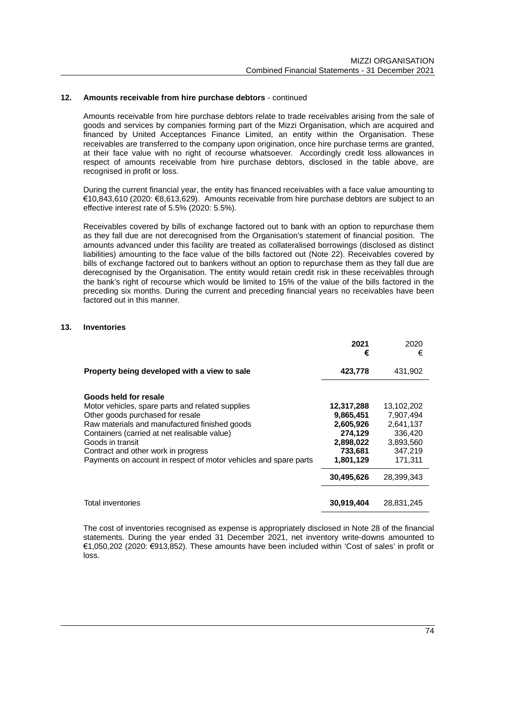## **12. Amounts receivable from hire purchase debtors** - continued

Amounts receivable from hire purchase debtors relate to trade receivables arising from the sale of goods and services by companies forming part of the Mizzi Organisation, which are acquired and financed by United Acceptances Finance Limited, an entity within the Organisation. These receivables are transferred to the company upon origination, once hire purchase terms are granted, at their face value with no right of recourse whatsoever. Accordingly credit loss allowances in respect of amounts receivable from hire purchase debtors, disclosed in the table above, are recognised in profit or loss.

During the current financial year, the entity has financed receivables with a face value amounting to €10,843,610 (2020: €8,613,629). Amounts receivable from hire purchase debtors are subject to an effective interest rate of 5.5% (2020: 5.5%).

Receivables covered by bills of exchange factored out to bank with an option to repurchase them as they fall due are not derecognised from the Organisation's statement of financial position. The amounts advanced under this facility are treated as collateralised borrowings (disclosed as distinct liabilities) amounting to the face value of the bills factored out (Note 22). Receivables covered by bills of exchange factored out to bankers without an option to repurchase them as they fall due are derecognised by the Organisation. The entity would retain credit risk in these receivables through the bank's right of recourse which would be limited to 15% of the value of the bills factored in the preceding six months. During the current and preceding financial years no receivables have been factored out in this manner.

## **13. Inventories**

|                                                                                                                                                                                                                                                                                                                                               | 2021<br>€                                                                            | 2020<br>€                                                                          |
|-----------------------------------------------------------------------------------------------------------------------------------------------------------------------------------------------------------------------------------------------------------------------------------------------------------------------------------------------|--------------------------------------------------------------------------------------|------------------------------------------------------------------------------------|
| Property being developed with a view to sale                                                                                                                                                                                                                                                                                                  | 423,778                                                                              | 431,902                                                                            |
| Goods held for resale<br>Motor vehicles, spare parts and related supplies<br>Other goods purchased for resale<br>Raw materials and manufactured finished goods<br>Containers (carried at net realisable value)<br>Goods in transit<br>Contract and other work in progress<br>Payments on account in respect of motor vehicles and spare parts | 12,317,288<br>9,865,451<br>2,605,926<br>274,129<br>2,898,022<br>733.681<br>1,801,129 | 13,102,202<br>7.907.494<br>2,641,137<br>336,420<br>3,893,560<br>347.219<br>171.311 |
|                                                                                                                                                                                                                                                                                                                                               | 30,495,626                                                                           | 28,399,343                                                                         |
| Total inventories                                                                                                                                                                                                                                                                                                                             | 30,919,404                                                                           | 28,831,245                                                                         |

The cost of inventories recognised as expense is appropriately disclosed in Note 28 of the financial statements. During the year ended 31 December 2021, net inventory write-downs amounted to €1,050,202 (2020: €913,852). These amounts have been included within 'Cost of sales' in profit or loss.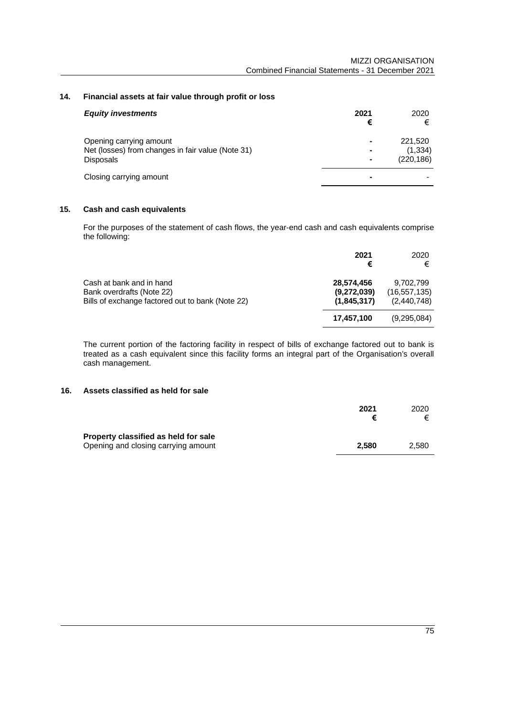# **14. Financial assets at fair value through profit or loss**

| <b>Equity investments</b>                                                                        | 2021        | 2020                              |
|--------------------------------------------------------------------------------------------------|-------------|-----------------------------------|
| Opening carrying amount<br>Net (losses) from changes in fair value (Note 31)<br><b>Disposals</b> | ۰<br>۰<br>۰ | 221,520<br>(1, 334)<br>(220, 186) |
| Closing carrying amount                                                                          | -           |                                   |

# **15. Cash and cash equivalents**

For the purposes of the statement of cash flows, the year-end cash and cash equivalents comprise the following:

|                                                                                                           | 2021<br>€                                | 2020<br>€                                  |
|-----------------------------------------------------------------------------------------------------------|------------------------------------------|--------------------------------------------|
| Cash at bank and in hand<br>Bank overdrafts (Note 22)<br>Bills of exchange factored out to bank (Note 22) | 28,574,456<br>(9,272,039)<br>(1,845,317) | 9.702.799<br>(16, 557, 135)<br>(2,440,748) |
|                                                                                                           | 17,457,100                               | (9,295,084)                                |

The current portion of the factoring facility in respect of bills of exchange factored out to bank is treated as a cash equivalent since this facility forms an integral part of the Organisation's overall cash management.

# **16. Assets classified as held for sale**

|                                                                             | 2021  | 2020<br>€ |
|-----------------------------------------------------------------------------|-------|-----------|
| Property classified as held for sale<br>Opening and closing carrying amount | 2.580 | 2.580     |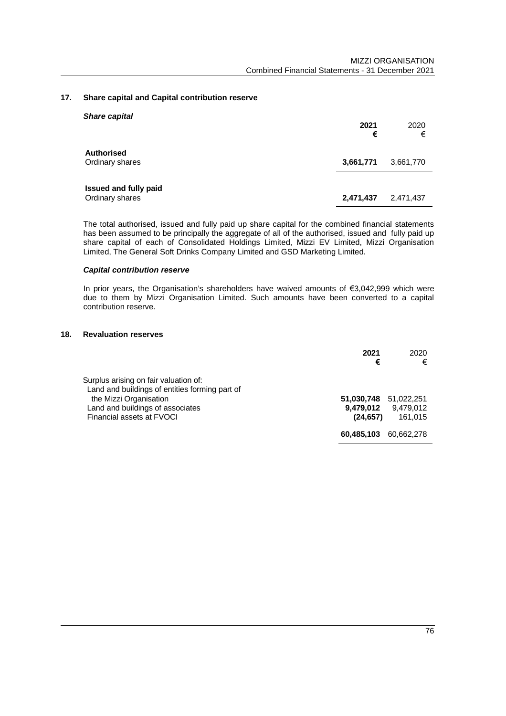# **17. Share capital and Capital contribution reserve**

| <b>Share capital</b>                            | 2021<br>€ | 2020<br>€ |
|-------------------------------------------------|-----------|-----------|
| <b>Authorised</b><br>Ordinary shares            | 3,661,771 | 3,661,770 |
| <b>Issued and fully paid</b><br>Ordinary shares | 2,471,437 | 2,471,437 |

The total authorised, issued and fully paid up share capital for the combined financial statements has been assumed to be principally the aggregate of all of the authorised, issued and fully paid up share capital of each of Consolidated Holdings Limited, Mizzi EV Limited, Mizzi Organisation Limited, The General Soft Drinks Company Limited and GSD Marketing Limited.

# *Capital contribution reserve*

In prior years, the Organisation's shareholders have waived amounts of €3,042,999 which were due to them by Mizzi Organisation Limited. Such amounts have been converted to a capital contribution reserve.

#### **18. Revaluation reserves**

|                                                                                         | 2021<br>€  | 2020<br>€  |
|-----------------------------------------------------------------------------------------|------------|------------|
| Surplus arising on fair valuation of:<br>Land and buildings of entities forming part of |            |            |
| the Mizzi Organisation                                                                  | 51,030,748 | 51,022,251 |
| Land and buildings of associates                                                        | 9,479,012  | 9,479,012  |
| Financial assets at FVOCI                                                               | (24, 657)  | 161.015    |
|                                                                                         | 60,485,103 | 60.662.278 |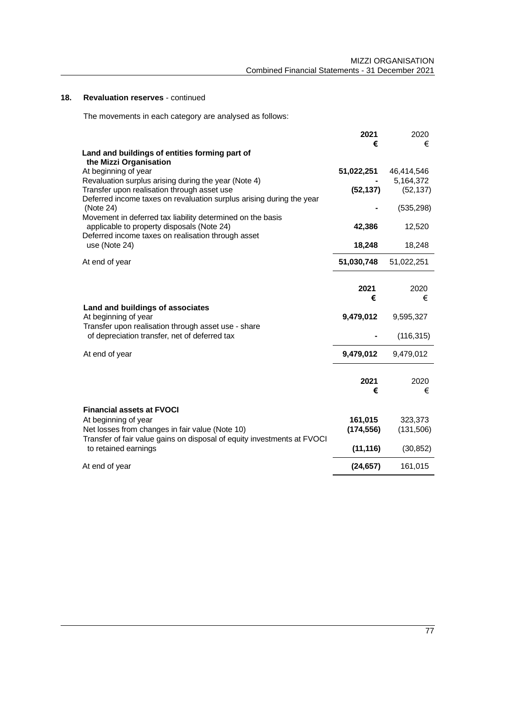# **18. Revaluation reserves** - continued

The movements in each category are analysed as follows:

|                                                                                                                                                                             | 2021<br>€             | 2020<br>€              |
|-----------------------------------------------------------------------------------------------------------------------------------------------------------------------------|-----------------------|------------------------|
| Land and buildings of entities forming part of<br>the Mizzi Organisation                                                                                                    |                       |                        |
| At beginning of year                                                                                                                                                        | 51,022,251            | 46,414,546             |
| Revaluation surplus arising during the year (Note 4)<br>Transfer upon realisation through asset use<br>Deferred income taxes on revaluation surplus arising during the year | (52, 137)             | 5,164,372<br>(52, 137) |
| (Note 24)<br>Movement in deferred tax liability determined on the basis                                                                                                     |                       | (535, 298)             |
| applicable to property disposals (Note 24)<br>Deferred income taxes on realisation through asset                                                                            | 42,386                | 12,520                 |
| use (Note 24)                                                                                                                                                               | 18,248                | 18,248                 |
| At end of year                                                                                                                                                              | 51,030,748            | 51,022,251             |
|                                                                                                                                                                             | 2021<br>€             | 2020<br>€              |
| Land and buildings of associates<br>At beginning of year<br>Transfer upon realisation through asset use - share                                                             | 9,479,012             | 9,595,327              |
| of depreciation transfer, net of deferred tax                                                                                                                               |                       | (116, 315)             |
| At end of year                                                                                                                                                              | 9,479,012             | 9,479,012              |
|                                                                                                                                                                             | 2021<br>€             | 2020<br>€              |
| <b>Financial assets at FVOCI</b>                                                                                                                                            |                       |                        |
| At beginning of year<br>Net losses from changes in fair value (Note 10)<br>Transfer of fair value gains on disposal of equity investments at FVOCI                          | 161,015<br>(174, 556) | 323,373<br>(131,506)   |
| to retained earnings                                                                                                                                                        | (11, 116)             | (30, 852)              |
| At end of year                                                                                                                                                              | (24, 657)             | 161,015                |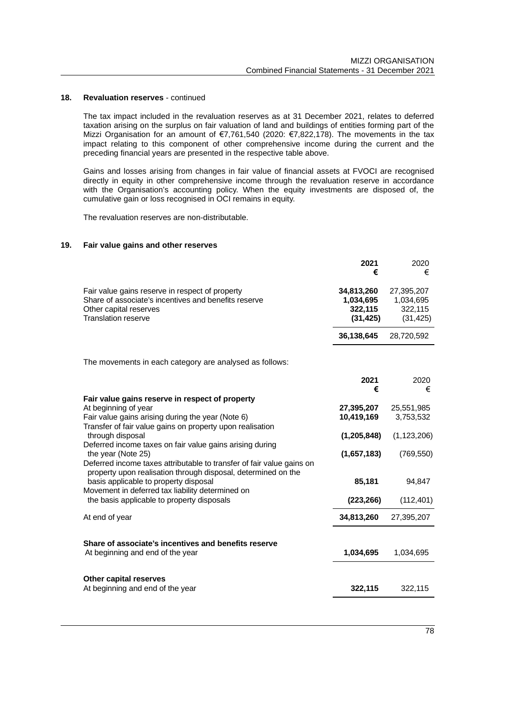#### **18. Revaluation reserves** - continued

The tax impact included in the revaluation reserves as at 31 December 2021, relates to deferred taxation arising on the surplus on fair valuation of land and buildings of entities forming part of the Mizzi Organisation for an amount of €7,761,540 (2020: €7,822,178). The movements in the tax impact relating to this component of other comprehensive income during the current and the preceding financial years are presented in the respective table above.

Gains and losses arising from changes in fair value of financial assets at FVOCI are recognised directly in equity in other comprehensive income through the revaluation reserve in accordance with the Organisation's accounting policy. When the equity investments are disposed of, the cumulative gain or loss recognised in OCI remains in equity.

The revaluation reserves are non-distributable.

#### **19. Fair value gains and other reserves**

|                                                                                                                                                                                           | 2021<br>€                                       | 2020<br>€                                       |
|-------------------------------------------------------------------------------------------------------------------------------------------------------------------------------------------|-------------------------------------------------|-------------------------------------------------|
| Fair value gains reserve in respect of property<br>Share of associate's incentives and benefits reserve<br>Other capital reserves<br><b>Translation reserve</b>                           | 34,813,260<br>1,034,695<br>322,115<br>(31, 425) | 27,395,207<br>1,034,695<br>322,115<br>(31, 425) |
|                                                                                                                                                                                           | 36,138,645                                      | 28,720,592                                      |
| The movements in each category are analysed as follows:                                                                                                                                   |                                                 |                                                 |
|                                                                                                                                                                                           | 2021<br>€                                       | 2020<br>€                                       |
| Fair value gains reserve in respect of property<br>At beginning of year<br>Fair value gains arising during the year (Note 6)<br>Transfer of fair value gains on property upon realisation | 27,395,207<br>10,419,169                        | 25,551,985<br>3,753,532                         |
| through disposal<br>Deferred income taxes on fair value gains arising during                                                                                                              | (1, 205, 848)                                   | (1, 123, 206)                                   |
| the year (Note 25)<br>Deferred income taxes attributable to transfer of fair value gains on<br>property upon realisation through disposal, determined on the                              | (1,657,183)                                     | (769, 550)                                      |
| basis applicable to property disposal<br>Movement in deferred tax liability determined on                                                                                                 | 85,181                                          | 94,847                                          |
| the basis applicable to property disposals                                                                                                                                                | (223, 266)                                      | (112, 401)                                      |
| At end of year                                                                                                                                                                            | 34,813,260                                      | 27,395,207                                      |
| Share of associate's incentives and benefits reserve<br>At beginning and end of the year                                                                                                  | 1,034,695                                       | 1,034,695                                       |
| Other capital reserves<br>At beginning and end of the year                                                                                                                                | 322,115                                         | 322,115                                         |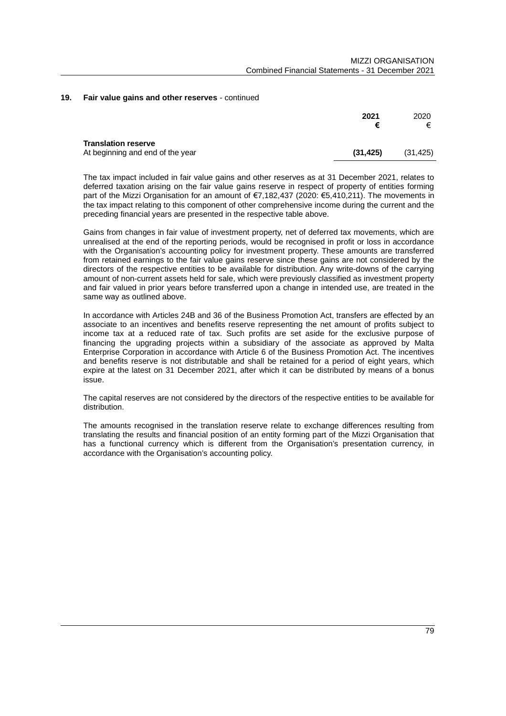### **19. Fair value gains and other reserves** - continued

|                                                                | 2021<br>€ | 2020<br>€ |
|----------------------------------------------------------------|-----------|-----------|
| <b>Translation reserve</b><br>At beginning and end of the year | (31, 425) | (31, 425) |

The tax impact included in fair value gains and other reserves as at 31 December 2021, relates to deferred taxation arising on the fair value gains reserve in respect of property of entities forming part of the Mizzi Organisation for an amount of €7,182,437 (2020: €5,410,211). The movements in the tax impact relating to this component of other comprehensive income during the current and the preceding financial years are presented in the respective table above.

Gains from changes in fair value of investment property, net of deferred tax movements, which are unrealised at the end of the reporting periods, would be recognised in profit or loss in accordance with the Organisation's accounting policy for investment property. These amounts are transferred from retained earnings to the fair value gains reserve since these gains are not considered by the directors of the respective entities to be available for distribution. Any write-downs of the carrying amount of non-current assets held for sale, which were previously classified as investment property and fair valued in prior years before transferred upon a change in intended use, are treated in the same way as outlined above.

In accordance with Articles 24B and 36 of the Business Promotion Act, transfers are effected by an associate to an incentives and benefits reserve representing the net amount of profits subject to income tax at a reduced rate of tax. Such profits are set aside for the exclusive purpose of financing the upgrading projects within a subsidiary of the associate as approved by Malta Enterprise Corporation in accordance with Article 6 of the Business Promotion Act. The incentives and benefits reserve is not distributable and shall be retained for a period of eight years, which expire at the latest on 31 December 2021, after which it can be distributed by means of a bonus issue.

The capital reserves are not considered by the directors of the respective entities to be available for distribution.

The amounts recognised in the translation reserve relate to exchange differences resulting from translating the results and financial position of an entity forming part of the Mizzi Organisation that has a functional currency which is different from the Organisation's presentation currency, in accordance with the Organisation's accounting policy.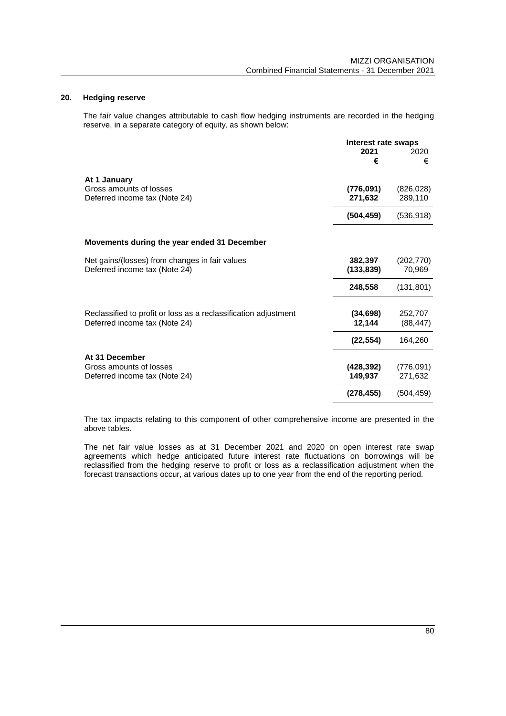# **20. Hedging reserve**

The fair value changes attributable to cash flow hedging instruments are recorded in the hedging reserve, in a separate category of equity, as shown below:

|                                                                                                  | Interest rate swaps   |                      |
|--------------------------------------------------------------------------------------------------|-----------------------|----------------------|
|                                                                                                  | 2021<br>€             | 2020<br>€            |
|                                                                                                  |                       |                      |
| At 1 January<br>Gross amounts of losses                                                          | (776, 091)            | (826, 028)           |
| Deferred income tax (Note 24)                                                                    | 271,632               | 289,110              |
|                                                                                                  | (504, 459)            | (536, 918)           |
| Movements during the year ended 31 December                                                      |                       |                      |
| Net gains/(losses) from changes in fair values<br>Deferred income tax (Note 24)                  | 382,397<br>(133, 839) | (202, 770)<br>70,969 |
|                                                                                                  | 248,558               | (131, 801)           |
| Reclassified to profit or loss as a reclassification adjustment<br>Deferred income tax (Note 24) | (34, 698)<br>12,144   | 252,707<br>(88, 447) |
|                                                                                                  | (22, 554)             | 164,260              |
| At 31 December                                                                                   |                       |                      |
| Gross amounts of losses                                                                          | (428, 392)            | (776,091)            |
| Deferred income tax (Note 24)                                                                    | 149,937               | 271,632              |
|                                                                                                  | (278, 455)            | (504, 459)           |

The tax impacts relating to this component of other comprehensive income are presented in the above tables.

The net fair value losses as at 31 December 2021 and 2020 on open interest rate swap agreements which hedge anticipated future interest rate fluctuations on borrowings will be reclassified from the hedging reserve to profit or loss as a reclassification adjustment when the forecast transactions occur, at various dates up to one year from the end of the reporting period.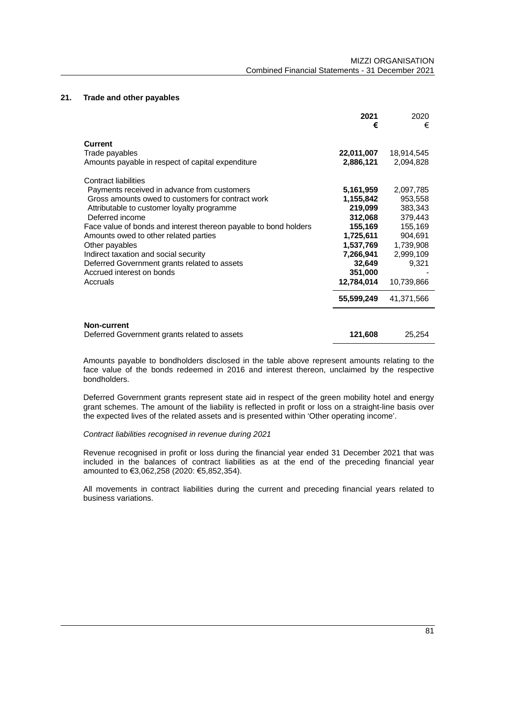# **21. Trade and other payables**

|                                                                  | 2021<br>€  | 2020<br>€  |
|------------------------------------------------------------------|------------|------------|
| <b>Current</b>                                                   |            |            |
| Trade payables                                                   | 22,011,007 | 18,914,545 |
| Amounts payable in respect of capital expenditure                | 2,886,121  | 2,094,828  |
| <b>Contract liabilities</b>                                      |            |            |
| Payments received in advance from customers                      | 5,161,959  | 2,097,785  |
| Gross amounts owed to customers for contract work                | 1,155,842  | 953,558    |
| Attributable to customer loyalty programme                       | 219,099    | 383,343    |
| Deferred income                                                  | 312,068    | 379,443    |
| Face value of bonds and interest thereon payable to bond holders | 155,169    | 155,169    |
| Amounts owed to other related parties                            | 1,725,611  | 904,691    |
| Other payables                                                   | 1,537,769  | 1,739,908  |
| Indirect taxation and social security                            | 7,266,941  | 2,999,109  |
| Deferred Government grants related to assets                     | 32,649     | 9,321      |
| Accrued interest on bonds                                        | 351,000    |            |
| Accruals                                                         | 12,784,014 | 10,739,866 |
|                                                                  | 55,599,249 | 41,371,566 |
|                                                                  |            |            |
| Non-current<br>Deferred Government grants related to assets      | 121,608    | 25,254     |

Amounts payable to bondholders disclosed in the table above represent amounts relating to the face value of the bonds redeemed in 2016 and interest thereon, unclaimed by the respective bondholders.

Deferred Government grants represent state aid in respect of the green mobility hotel and energy grant schemes. The amount of the liability is reflected in profit or loss on a straight-line basis over the expected lives of the related assets and is presented within 'Other operating income'.

#### *Contract liabilities recognised in revenue during 2021*

Revenue recognised in profit or loss during the financial year ended 31 December 2021 that was included in the balances of contract liabilities as at the end of the preceding financial year amounted to €3,062,258 (2020: €5,852,354).

All movements in contract liabilities during the current and preceding financial years related to business variations.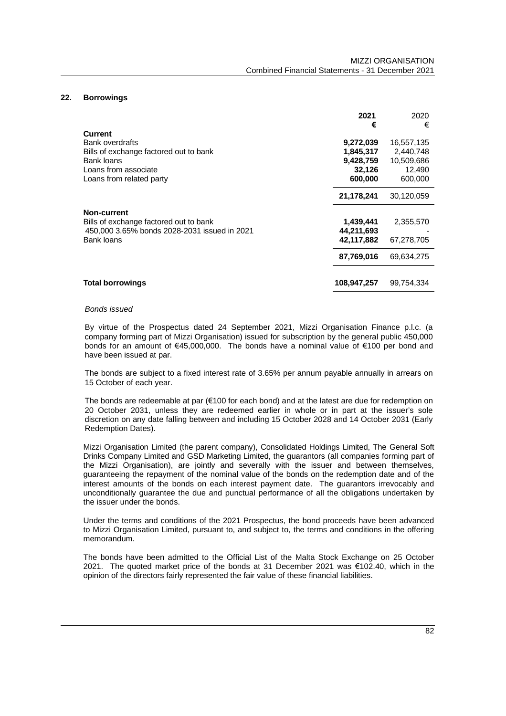# **22. Borrowings**

|                                              | 2021        | 2020       |
|----------------------------------------------|-------------|------------|
| Current                                      | €           | €          |
| Bank overdrafts                              | 9,272,039   | 16,557,135 |
| Bills of exchange factored out to bank       | 1,845,317   | 2,440,748  |
| Bank loans                                   | 9,428,759   | 10,509,686 |
| Loans from associate                         | 32,126      | 12,490     |
| Loans from related party                     | 600,000     | 600,000    |
|                                              | 21,178,241  | 30,120,059 |
| Non-current                                  |             |            |
| Bills of exchange factored out to bank       | 1,439,441   | 2,355,570  |
| 450,000 3.65% bonds 2028-2031 issued in 2021 | 44,211,693  |            |
| Bank loans                                   | 42,117,882  | 67,278,705 |
|                                              | 87,769,016  | 69.634.275 |
|                                              |             |            |
| Total borrowings                             | 108,947,257 | 99.754.334 |

#### *Bonds issued*

By virtue of the Prospectus dated 24 September 2021, Mizzi Organisation Finance p.l.c. (a company forming part of Mizzi Organisation) issued for subscription by the general public 450,000 bonds for an amount of €45,000,000. The bonds have a nominal value of €100 per bond and have been issued at par.

The bonds are subject to a fixed interest rate of 3.65% per annum payable annually in arrears on 15 October of each year.

The bonds are redeemable at par (€100 for each bond) and at the latest are due for redemption on 20 October 2031, unless they are redeemed earlier in whole or in part at the issuer's sole discretion on any date falling between and including 15 October 2028 and 14 October 2031 (Early Redemption Dates).

Mizzi Organisation Limited (the parent company), Consolidated Holdings Limited, The General Soft Drinks Company Limited and GSD Marketing Limited, the guarantors (all companies forming part of the Mizzi Organisation), are jointly and severally with the issuer and between themselves, guaranteeing the repayment of the nominal value of the bonds on the redemption date and of the interest amounts of the bonds on each interest payment date. The guarantors irrevocably and unconditionally guarantee the due and punctual performance of all the obligations undertaken by the issuer under the bonds.

Under the terms and conditions of the 2021 Prospectus, the bond proceeds have been advanced to Mizzi Organisation Limited, pursuant to, and subject to, the terms and conditions in the offering memorandum.

The bonds have been admitted to the Official List of the Malta Stock Exchange on 25 October 2021. The quoted market price of the bonds at 31 December 2021 was €102.40, which in the opinion of the directors fairly represented the fair value of these financial liabilities.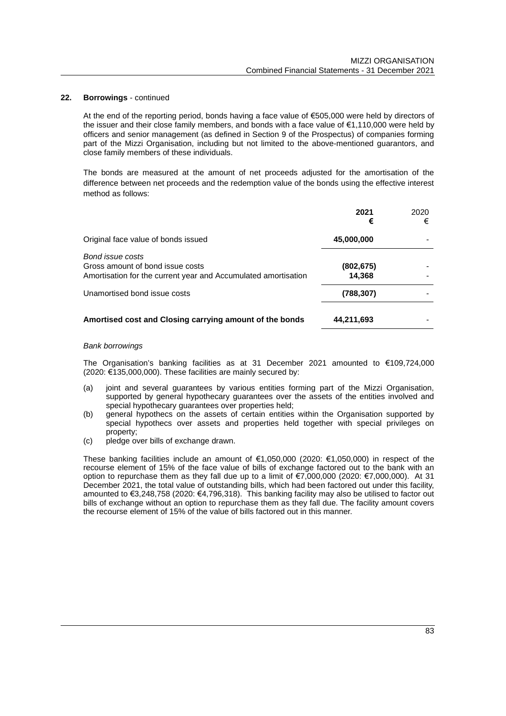At the end of the reporting period, bonds having a face value of €505,000 were held by directors of the issuer and their close family members, and bonds with a face value of €1,110,000 were held by officers and senior management (as defined in Section 9 of the Prospectus) of companies forming part of the Mizzi Organisation, including but not limited to the above-mentioned guarantors, and close family members of these individuals.

The bonds are measured at the amount of net proceeds adjusted for the amortisation of the difference between net proceeds and the redemption value of the bonds using the effective interest method as follows:

|                                                                                                                        | 2021<br>€            | 2020<br>€ |
|------------------------------------------------------------------------------------------------------------------------|----------------------|-----------|
| Original face value of bonds issued                                                                                    | 45,000,000           |           |
| Bond issue costs<br>Gross amount of bond issue costs<br>Amortisation for the current year and Accumulated amortisation | (802, 675)<br>14,368 |           |
| Unamortised bond issue costs                                                                                           | (788,307)            |           |
| Amortised cost and Closing carrying amount of the bonds                                                                | 44,211,693           |           |

#### *Bank borrowings*

The Organisation's banking facilities as at 31 December 2021 amounted to €109,724,000 (2020: €135,000,000). These facilities are mainly secured by:

- (a) joint and several guarantees by various entities forming part of the Mizzi Organisation, supported by general hypothecary guarantees over the assets of the entities involved and special hypothecary guarantees over properties held;
- (b) general hypothecs on the assets of certain entities within the Organisation supported by special hypothecs over assets and properties held together with special privileges on property;
- (c) pledge over bills of exchange drawn.

These banking facilities include an amount of  $\epsilon$ 1,050,000 (2020:  $\epsilon$ 1,050,000) in respect of the recourse element of 15% of the face value of bills of exchange factored out to the bank with an option to repurchase them as they fall due up to a limit of  $\epsilon$ 7,000,000 (2020:  $\epsilon$ 7,000,000). At 31 December 2021, the total value of outstanding bills, which had been factored out under this facility, amounted to €3,248,758 (2020: €4,796,318). This banking facility may also be utilised to factor out bills of exchange without an option to repurchase them as they fall due. The facility amount covers the recourse element of 15% of the value of bills factored out in this manner.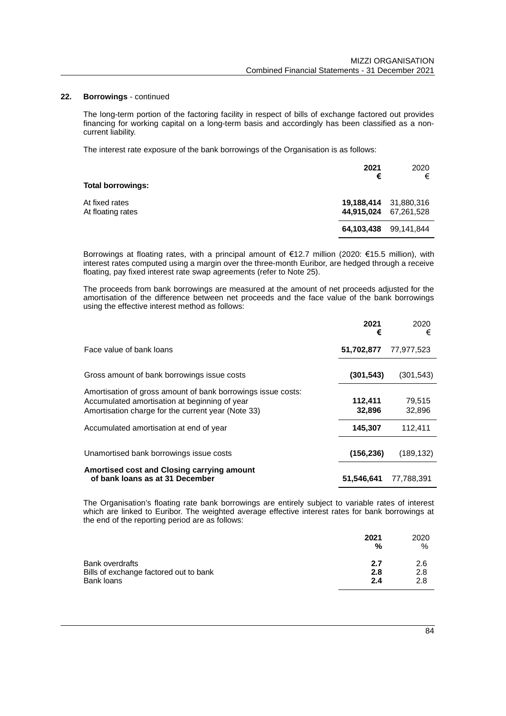The long-term portion of the factoring facility in respect of bills of exchange factored out provides financing for working capital on a long-term basis and accordingly has been classified as a noncurrent liability.

The interest rate exposure of the bank borrowings of the Organisation is as follows:

| <b>Total borrowings:</b>            | 2021<br>€             | 2020<br>€             |
|-------------------------------------|-----------------------|-----------------------|
| At fixed rates<br>At floating rates | 44,915,024 67,261,528 | 19,188,414 31,880,316 |
|                                     | 64,103,438            | 99,141,844            |

Borrowings at floating rates, with a principal amount of €12.7 million (2020: €15.5 million), with interest rates computed using a margin over the three-month Euribor, are hedged through a receive floating, pay fixed interest rate swap agreements (refer to Note 25).

The proceeds from bank borrowings are measured at the amount of net proceeds adjusted for the amortisation of the difference between net proceeds and the face value of the bank borrowings using the effective interest method as follows:

|                                                                                                                                                                     | 2021<br>€         | 2020<br>€        |
|---------------------------------------------------------------------------------------------------------------------------------------------------------------------|-------------------|------------------|
| Face value of bank loans                                                                                                                                            | 51,702,877        | 77.977.523       |
| Gross amount of bank borrowings issue costs                                                                                                                         | (301, 543)        | (301, 543)       |
| Amortisation of gross amount of bank borrowings issue costs:<br>Accumulated amortisation at beginning of year<br>Amortisation charge for the current year (Note 33) | 112,411<br>32,896 | 79.515<br>32.896 |
| Accumulated amortisation at end of year                                                                                                                             | 145,307           | 112,411          |
| Unamortised bank borrowings issue costs                                                                                                                             | (156, 236)        | (189, 132)       |
| Amortised cost and Closing carrying amount<br>of bank loans as at 31 December                                                                                       | 51,546,641        | 77.788.391       |

The Organisation's floating rate bank borrowings are entirely subject to variable rates of interest which are linked to Euribor. The weighted average effective interest rates for bank borrowings at the end of the reporting period are as follows:

|                                        | 2021<br>% | 2020<br>$\%$ |
|----------------------------------------|-----------|--------------|
| Bank overdrafts                        | 2.7       | 2.6          |
| Bills of exchange factored out to bank | 2.8       | 2.8          |
| Bank loans                             | 2.4       | 2.8          |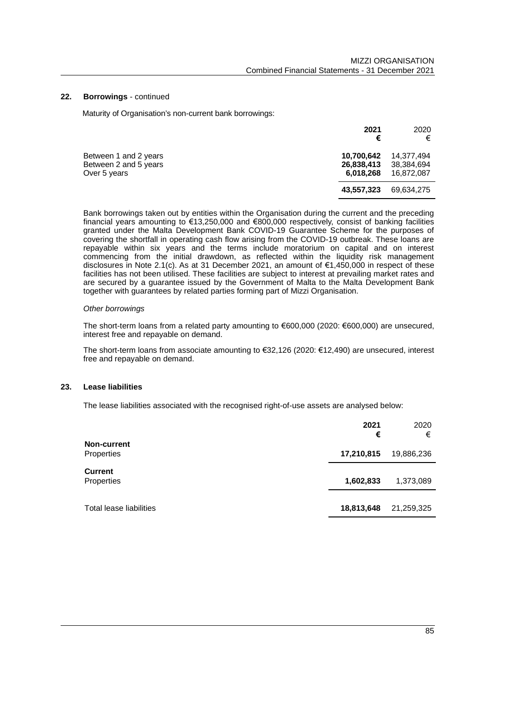Maturity of Organisation's non-current bank borrowings:

|                                                | 2021<br>€                | 2020<br>€                |
|------------------------------------------------|--------------------------|--------------------------|
| Between 1 and 2 years<br>Between 2 and 5 years | 10,700,642<br>26,838,413 | 14,377,494<br>38,384,694 |
| Over 5 years                                   | 6.018.268<br>43,557,323  | 16.872.087<br>69,634,275 |

Bank borrowings taken out by entities within the Organisation during the current and the preceding financial years amounting to €13,250,000 and €800,000 respectively, consist of banking facilities granted under the Malta Development Bank COVID-19 Guarantee Scheme for the purposes of covering the shortfall in operating cash flow arising from the COVID-19 outbreak. These loans are repayable within six years and the terms include moratorium on capital and on interest commencing from the initial drawdown, as reflected within the liquidity risk management disclosures in Note 2.1(c). As at 31 December 2021, an amount of €1,450,000 in respect of these facilities has not been utilised. These facilities are subject to interest at prevailing market rates and are secured by a guarantee issued by the Government of Malta to the Malta Development Bank together with guarantees by related parties forming part of Mizzi Organisation.

#### *Other borrowings*

The short-term loans from a related party amounting to €600,000 (2020: €600,000) are unsecured, interest free and repayable on demand.

The short-term loans from associate amounting to €32,126 (2020: €12,490) are unsecured, interest free and repayable on demand.

#### **23. Lease liabilities**

The lease liabilities associated with the recognised right-of-use assets are analysed below:

|                                  | 2021<br>€  | 2020<br>€  |
|----------------------------------|------------|------------|
| <b>Non-current</b><br>Properties | 17,210,815 | 19,886,236 |
| Current<br>Properties            | 1,602,833  | 1,373,089  |
| Total lease liabilities          | 18,813,648 | 21,259,325 |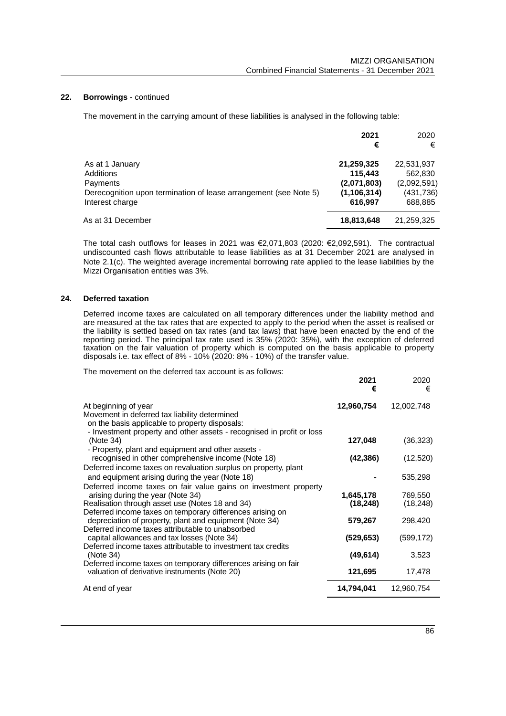The movement in the carrying amount of these liabilities is analysed in the following table:

| 2021<br>€     | 2020<br>€   |
|---------------|-------------|
| 21,259,325    | 22,531,937  |
| 115.443       | 562,830     |
| (2,071,803)   | (2,092,591) |
| (1, 106, 314) | (431, 736)  |
| 616,997       | 688,885     |
| 18,813,648    | 21,259,325  |
|               |             |

The total cash outflows for leases in 2021 was €2,071,803 (2020: €2,092,591). The contractual undiscounted cash flows attributable to lease liabilities as at 31 December 2021 are analysed in Note 2.1(c). The weighted average incremental borrowing rate applied to the lease liabilities by the Mizzi Organisation entities was 3%.

#### **24. Deferred taxation**

Deferred income taxes are calculated on all temporary differences under the liability method and are measured at the tax rates that are expected to apply to the period when the asset is realised or the liability is settled based on tax rates (and tax laws) that have been enacted by the end of the reporting period. The principal tax rate used is 35% (2020: 35%), with the exception of deferred taxation on the fair valuation of property which is computed on the basis applicable to property disposals i.e. tax effect of 8% - 10% (2020: 8% - 10%) of the transfer value.

The movement on the deferred tax account is as follows:

|                                                                                                                    | ZUZ I      | ZUZU<br>€  |
|--------------------------------------------------------------------------------------------------------------------|------------|------------|
| At beginning of year                                                                                               | 12,960,754 | 12,002,748 |
| Movement in deferred tax liability determined<br>on the basis applicable to property disposals:                    |            |            |
| - Investment property and other assets - recognised in profit or loss                                              |            |            |
| (Note 34)                                                                                                          | 127,048    | (36, 323)  |
| - Property, plant and equipment and other assets -                                                                 |            |            |
| recognised in other comprehensive income (Note 18)                                                                 | (42, 386)  | (12,520)   |
| Deferred income taxes on revaluation surplus on property, plant<br>and equipment arising during the year (Note 18) |            | 535,298    |
| Deferred income taxes on fair value gains on investment property                                                   |            |            |
| arising during the year (Note 34)                                                                                  | 1,645,178  | 769,550    |
| Realisation through asset use (Notes 18 and 34)                                                                    | (18, 248)  | (18, 248)  |
| Deferred income taxes on temporary differences arising on                                                          |            |            |
| depreciation of property, plant and equipment (Note 34)<br>Deferred income taxes attributable to unabsorbed        | 579,267    | 298,420    |
| capital allowances and tax losses (Note 34)                                                                        | (529, 653) | (599, 172) |
| Deferred income taxes attributable to investment tax credits                                                       |            |            |
| (Note 34)                                                                                                          | (49, 614)  | 3,523      |
| Deferred income taxes on temporary differences arising on fair<br>valuation of derivative instruments (Note 20)    | 121,695    | 17,478     |
|                                                                                                                    |            |            |
| At end of year                                                                                                     | 14,794,041 | 12,960,754 |
|                                                                                                                    |            |            |

**2021** 2020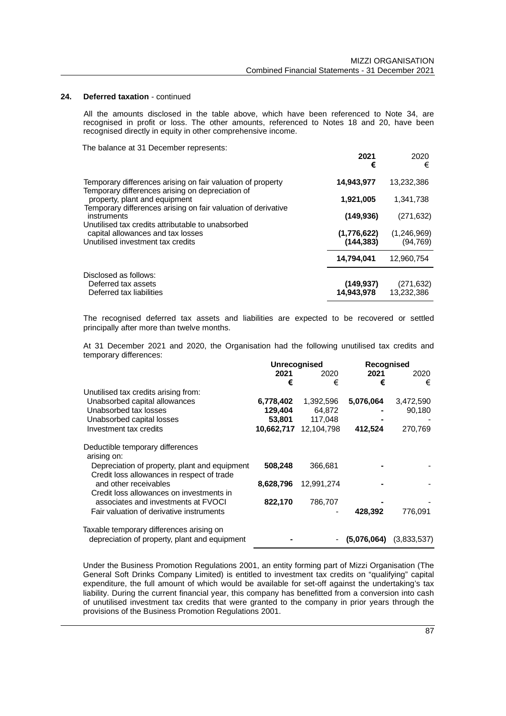**2021** 2020

# **24. Deferred taxation** - continued

All the amounts disclosed in the table above, which have been referenced to Note 34, are recognised in profit or loss. The other amounts, referenced to Notes 18 and 20, have been recognised directly in equity in other comprehensive income.

The balance at 31 December represents:

|                                                                                                                             | €                         | €                       |
|-----------------------------------------------------------------------------------------------------------------------------|---------------------------|-------------------------|
| Temporary differences arising on fair valuation of property<br>Temporary differences arising on depreciation of             | 14,943,977                | 13.232.386              |
| property, plant and equipment                                                                                               | 1,921,005                 | 1,341,738               |
| Temporary differences arising on fair valuation of derivative<br>instruments                                                | (149, 936)                | (271, 632)              |
| Unutilised tax credits attributable to unabsorbed<br>capital allowances and tax losses<br>Unutilised investment tax credits | (1,776,622)<br>(144, 383) | (1,246,969)<br>(94,769) |
|                                                                                                                             | 14,794,041                | 12.960.754              |
| Disclosed as follows:<br>Deferred tax assets<br>Deferred tax liabilities                                                    | (149, 937)<br>14,943,978  | (271,632)<br>13.232.386 |

The recognised deferred tax assets and liabilities are expected to be recovered or settled principally after more than twelve months.

At 31 December 2021 and 2020, the Organisation had the following unutilised tax credits and temporary differences:

| 2021<br>2020<br>€<br>€<br>5,076,064<br>3,472,590<br>1,392,596 | 2020<br>€ |
|---------------------------------------------------------------|-----------|
|                                                               |           |
|                                                               |           |
|                                                               |           |
| 64,872                                                        | 90,180    |
| 117,048                                                       |           |
| 12.104.798<br>412,524<br>270,769                              |           |
|                                                               |           |
| 366,681                                                       |           |
| 12,991,274                                                    |           |
| 786,707                                                       |           |
| 776,091<br>428.392                                            |           |
| (5.076.064)<br>(3,833,537)                                    |           |
|                                                               |           |

Under the Business Promotion Regulations 2001, an entity forming part of Mizzi Organisation (The General Soft Drinks Company Limited) is entitled to investment tax credits on "qualifying" capital expenditure, the full amount of which would be available for set-off against the undertaking's tax liability. During the current financial year, this company has benefitted from a conversion into cash of unutilised investment tax credits that were granted to the company in prior years through the provisions of the Business Promotion Regulations 2001.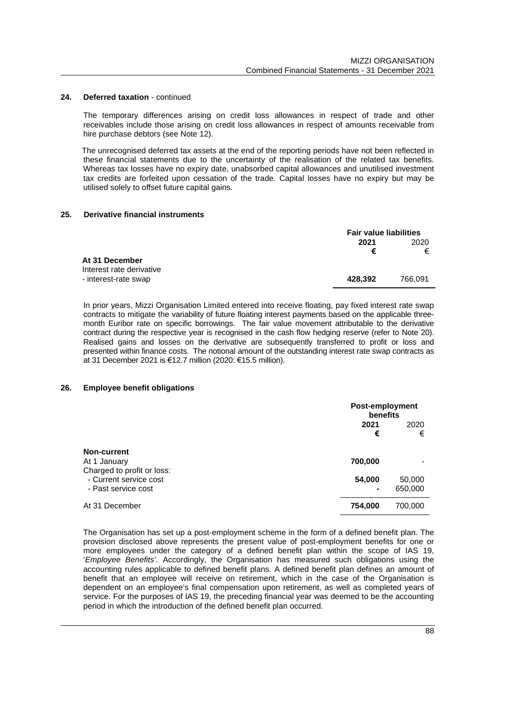#### **24. Deferred taxation** - continued

The temporary differences arising on credit loss allowances in respect of trade and other receivables include those arising on credit loss allowances in respect of amounts receivable from hire purchase debtors (see Note 12).

The unrecognised deferred tax assets at the end of the reporting periods have not been reflected in these financial statements due to the uncertainty of the realisation of the related tax benefits. Whereas tax losses have no expiry date, unabsorbed capital allowances and unutilised investment tax credits are forfeited upon cessation of the trade. Capital losses have no expiry but may be utilised solely to offset future capital gains.

#### **25. Derivative financial instruments**

|                          |         | <b>Fair value liabilities</b> |  |
|--------------------------|---------|-------------------------------|--|
|                          | 2021    | 2020                          |  |
|                          | €       | €                             |  |
| At 31 December           |         |                               |  |
| Interest rate derivative |         |                               |  |
| - interest-rate swap     | 428.392 | 766.091                       |  |

In prior years, Mizzi Organisation Limited entered into receive floating, pay fixed interest rate swap contracts to mitigate the variability of future floating interest payments based on the applicable threemonth Euribor rate on specific borrowings. The fair value movement attributable to the derivative contract during the respective year is recognised in the cash flow hedging reserve (refer to Note 20). Realised gains and losses on the derivative are subsequently transferred to profit or loss and presented within finance costs. The notional amount of the outstanding interest rate swap contracts as at 31 December 2021 is €12.7 million (2020: €15.5 million).

## **26. Employee benefit obligations**

|                                                           | Post-employment<br>benefits |                          |
|-----------------------------------------------------------|-----------------------------|--------------------------|
|                                                           | 2021<br>€                   | 2020<br>€                |
| Non-current<br>At 1 January<br>Charged to profit or loss: | 700,000                     | $\overline{\phantom{0}}$ |
| - Current service cost<br>- Past service cost             | 54,000                      | 50,000<br>650,000        |
| At 31 December                                            | 754,000                     | 700,000                  |

The Organisation has set up a post-employment scheme in the form of a defined benefit plan. The provision disclosed above represents the present value of post-employment benefits for one or more employees under the category of a defined benefit plan within the scope of IAS 19, '*Employee Benefits'*. Accordingly, the Organisation has measured such obligations using the accounting rules applicable to defined benefit plans. A defined benefit plan defines an amount of benefit that an employee will receive on retirement, which in the case of the Organisation is dependent on an employee's final compensation upon retirement, as well as completed years of service. For the purposes of IAS 19, the preceding financial year was deemed to be the accounting period in which the introduction of the defined benefit plan occurred.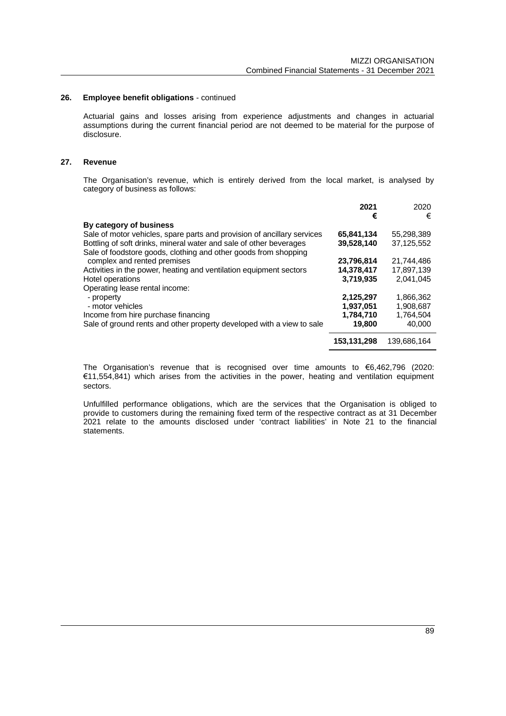## **26. Employee benefit obligations** - continued

Actuarial gains and losses arising from experience adjustments and changes in actuarial assumptions during the current financial period are not deemed to be material for the purpose of disclosure.

## **27. Revenue**

The Organisation's revenue, which is entirely derived from the local market, is analysed by category of business as follows:

|                                                                         | 2021        | 2020        |
|-------------------------------------------------------------------------|-------------|-------------|
|                                                                         | €           | €           |
| By category of business                                                 |             |             |
| Sale of motor vehicles, spare parts and provision of ancillary services | 65.841.134  | 55.298.389  |
| Bottling of soft drinks, mineral water and sale of other beverages      | 39,528,140  | 37,125,552  |
| Sale of foodstore goods, clothing and other goods from shopping         |             |             |
| complex and rented premises                                             | 23,796,814  | 21.744.486  |
| Activities in the power, heating and ventilation equipment sectors      | 14,378,417  | 17.897.139  |
| Hotel operations                                                        | 3,719,935   | 2.041.045   |
| Operating lease rental income:                                          |             |             |
| - property                                                              | 2,125,297   | 1,866,362   |
| - motor vehicles                                                        | 1,937,051   | 1,908,687   |
| Income from hire purchase financing                                     | 1,784,710   | 1.764.504   |
| Sale of ground rents and other property developed with a view to sale   | 19,800      | 40,000      |
|                                                                         | 153,131,298 | 139,686,164 |

The Organisation's revenue that is recognised over time amounts to €6,462,796 (2020: €11,554,841) which arises from the activities in the power, heating and ventilation equipment sectors.

Unfulfilled performance obligations, which are the services that the Organisation is obliged to provide to customers during the remaining fixed term of the respective contract as at 31 December 2021 relate to the amounts disclosed under 'contract liabilities' in Note 21 to the financial statements.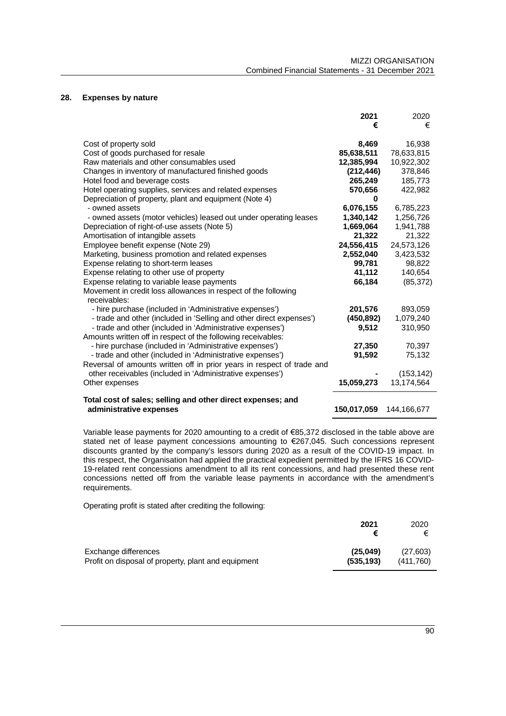# **28. Expenses by nature**

|                                                                                | 2021        | 2020        |
|--------------------------------------------------------------------------------|-------------|-------------|
|                                                                                | €           | €           |
| Cost of property sold                                                          | 8,469       | 16,938      |
| Cost of goods purchased for resale                                             | 85,638,511  | 78,633,815  |
| Raw materials and other consumables used                                       | 12,385,994  | 10,922,302  |
| Changes in inventory of manufactured finished goods                            | (212, 446)  | 378,846     |
| Hotel food and beverage costs                                                  | 265,249     | 185,773     |
| Hotel operating supplies, services and related expenses                        | 570,656     | 422,982     |
| Depreciation of property, plant and equipment (Note 4)                         | Ω           |             |
| - owned assets                                                                 | 6,076,155   | 6,785,223   |
| - owned assets (motor vehicles) leased out under operating leases              | 1,340,142   | 1,256,726   |
| Depreciation of right-of-use assets (Note 5)                                   | 1,669,064   | 1,941,788   |
| Amortisation of intangible assets                                              | 21.322      | 21.322      |
| Employee benefit expense (Note 29)                                             | 24,556,415  | 24,573,126  |
| Marketing, business promotion and related expenses                             | 2,552,040   | 3,423,532   |
| Expense relating to short-term leases                                          | 99,781      | 98,822      |
| Expense relating to other use of property                                      | 41,112      | 140,654     |
| Expense relating to variable lease payments                                    | 66,184      | (85, 372)   |
| Movement in credit loss allowances in respect of the following<br>receivables: |             |             |
| - hire purchase (included in 'Administrative expenses')                        | 201,576     | 893,059     |
| - trade and other (included in 'Selling and other direct expenses')            | (450, 892)  | 1,079,240   |
| - trade and other (included in 'Administrative expenses')                      | 9,512       | 310,950     |
| Amounts written off in respect of the following receivables:                   |             |             |
| - hire purchase (included in 'Administrative expenses')                        | 27,350      | 70,397      |
| - trade and other (included in 'Administrative expenses')                      | 91,592      | 75,132      |
| Reversal of amounts written off in prior years in respect of trade and         |             |             |
| other receivables (included in 'Administrative expenses')                      |             | (153, 142)  |
| Other expenses                                                                 | 15,059,273  | 13,174,564  |
| Total cost of sales; selling and other direct expenses; and                    |             |             |
| administrative expenses                                                        | 150,017,059 | 144,166,677 |

Variable lease payments for 2020 amounting to a credit of €85,372 disclosed in the table above are stated net of lease payment concessions amounting to €267,045. Such concessions represent discounts granted by the company's lessors during 2020 as a result of the COVID-19 impact. In this respect, the Organisation had applied the practical expedient permitted by the IFRS 16 COVID-19-related rent concessions amendment to all its rent concessions, and had presented these rent concessions netted off from the variable lease payments in accordance with the amendment's requirements.

Operating profit is stated after crediting the following:

|                                                     | 2021      | 2020<br>€ |
|-----------------------------------------------------|-----------|-----------|
| Exchange differences                                | (25.049)  | (27,603)  |
| Profit on disposal of property, plant and equipment | (535.193) | (411.760) |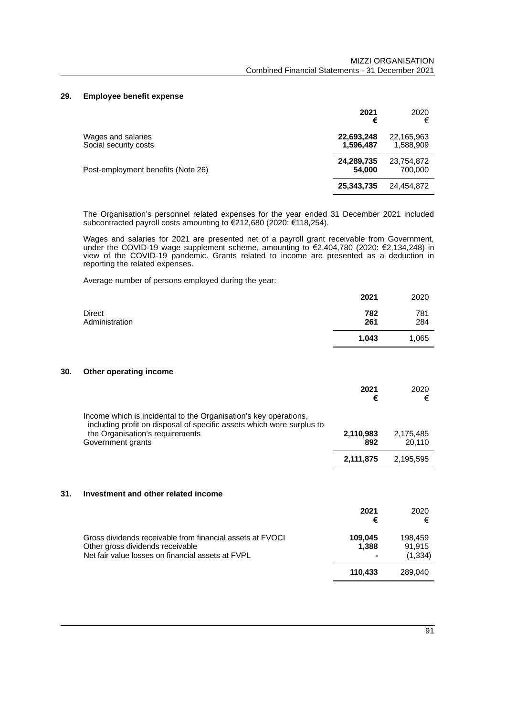# **29. Employee benefit expense**

|                                             | 2021<br>€               | 2020<br>€               |
|---------------------------------------------|-------------------------|-------------------------|
| Wages and salaries<br>Social security costs | 22,693,248<br>1,596,487 | 22,165,963<br>1,588,909 |
| Post-employment benefits (Note 26)          | 24,289,735<br>54.000    | 23,754,872<br>700,000   |
|                                             | 25,343,735              | 24,454,872              |

The Organisation's personnel related expenses for the year ended 31 December 2021 included subcontracted payroll costs amounting to €212,680 (2020: €118,254).

Wages and salaries for 2021 are presented net of a payroll grant receivable from Government, under the COVID-19 wage supplement scheme, amounting to €2,404,780 (2020: €2,134,248) in view of the COVID-19 pandemic. Grants related to income are presented as a deduction in reporting the related expenses.

Average number of persons employed during the year:

|                                 | 2021       | 2020       |
|---------------------------------|------------|------------|
| <b>Direct</b><br>Administration | 782<br>261 | 781<br>284 |
|                                 | 1,043      | 1,065      |

#### **30. Other operating income**

|     |                                                                                                                                                                                                   | 2021<br>€        | 2020<br>€           |
|-----|---------------------------------------------------------------------------------------------------------------------------------------------------------------------------------------------------|------------------|---------------------|
|     | Income which is incidental to the Organisation's key operations,<br>including profit on disposal of specific assets which were surplus to<br>the Organisation's requirements<br>Government grants | 2,110,983<br>892 | 2,175,485<br>20.110 |
|     |                                                                                                                                                                                                   | 2,111,875        | 2,195,595           |
| 31. | Investment and other related income                                                                                                                                                               |                  |                     |

|                                                                                                                                                    | 2021<br>€                          | 2020                          |
|----------------------------------------------------------------------------------------------------------------------------------------------------|------------------------------------|-------------------------------|
| Gross dividends receivable from financial assets at FVOCI<br>Other gross dividends receivable<br>Net fair value losses on financial assets at FVPL | 109.045<br>1.388<br>$\blacksquare$ | 198.459<br>91.915<br>(1, 334) |
|                                                                                                                                                    | 110.433                            | 289.040                       |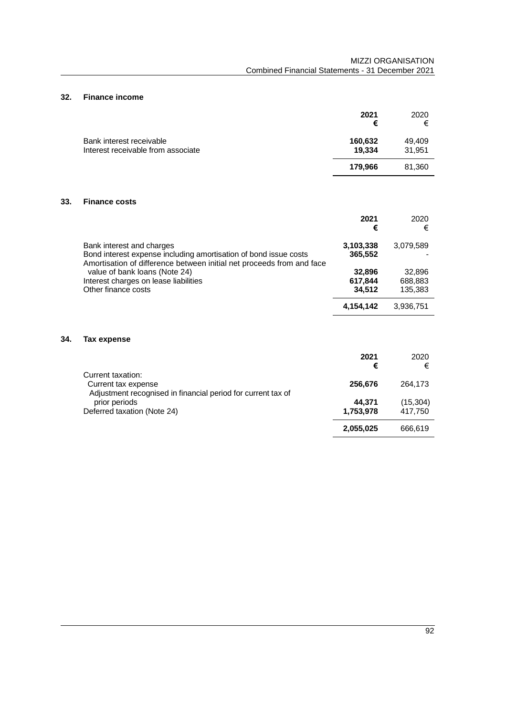# **32. Finance income**

|                                                                                                                                                                        | 2021<br>€                   | 2020<br>€                    |
|------------------------------------------------------------------------------------------------------------------------------------------------------------------------|-----------------------------|------------------------------|
| Bank interest receivable<br>Interest receivable from associate                                                                                                         | 160,632<br>19,334           | 49,409<br>31,951             |
|                                                                                                                                                                        | 179,966                     | 81,360                       |
| <b>Finance costs</b>                                                                                                                                                   | 2021                        | 2020                         |
|                                                                                                                                                                        | €                           | €                            |
| Bank interest and charges<br>Bond interest expense including amortisation of bond issue costs<br>Amortisation of difference between initial net proceeds from and face | 3,103,338<br>365,552        | 3,079,589                    |
| value of bank loans (Note 24)<br>Interest charges on lease liabilities<br>Other finance costs                                                                          | 32,896<br>617,844<br>34,512 | 32,896<br>688,883<br>135,383 |
|                                                                                                                                                                        | 4,154,142                   | 3,936,751                    |
|                                                                                                                                                                        |                             |                              |

# **34. Tax expense**

**33.** 

|                                                                                                          | 2021<br>€           | 2020<br>€            |
|----------------------------------------------------------------------------------------------------------|---------------------|----------------------|
| Current taxation:<br>Current tax expense<br>Adjustment recognised in financial period for current tax of | 256,676             | 264,173              |
| prior periods<br>Deferred taxation (Note 24)                                                             | 44.371<br>1,753,978 | (15, 304)<br>417.750 |
|                                                                                                          | 2,055,025           | 666.619              |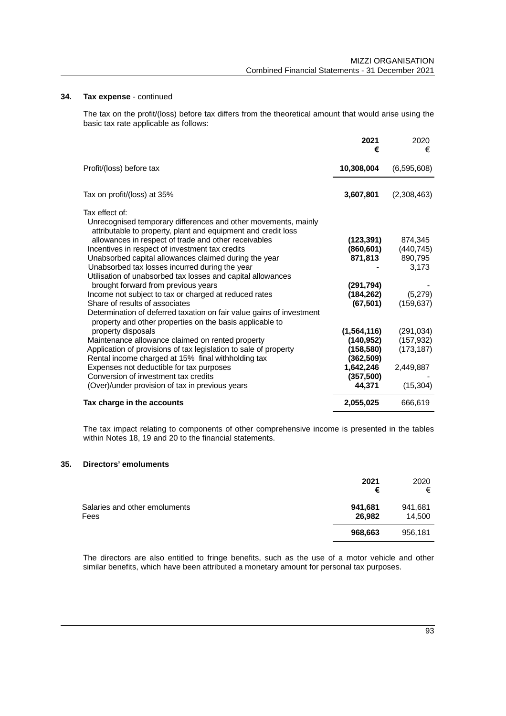# **34. Tax expense** - continued

The tax on the profit/(loss) before tax differs from the theoretical amount that would arise using the basic tax rate applicable as follows:

|                                                                                                                                  | 2021<br>€   | 2020<br>€   |
|----------------------------------------------------------------------------------------------------------------------------------|-------------|-------------|
| Profit/(loss) before tax                                                                                                         | 10,308,004  | (6,595,608) |
| Tax on profit/(loss) at 35%                                                                                                      | 3,607,801   | (2,308,463) |
| Tax effect of:                                                                                                                   |             |             |
| Unrecognised temporary differences and other movements, mainly<br>attributable to property, plant and equipment and credit loss  |             |             |
| allowances in respect of trade and other receivables                                                                             | (123, 391)  | 874,345     |
| Incentives in respect of investment tax credits                                                                                  | (860, 601)  | (440, 745)  |
| Unabsorbed capital allowances claimed during the year                                                                            | 871,813     | 890,795     |
| Unabsorbed tax losses incurred during the year                                                                                   |             | 3,173       |
| Utilisation of unabsorbed tax losses and capital allowances                                                                      |             |             |
| brought forward from previous years                                                                                              | (291,794)   |             |
| Income not subject to tax or charged at reduced rates                                                                            | (184, 262)  | (5,279)     |
| Share of results of associates                                                                                                   | (67, 501)   | (159, 637)  |
| Determination of deferred taxation on fair value gains of investment<br>property and other properties on the basis applicable to |             |             |
| property disposals                                                                                                               | (1,564,116) | (291, 034)  |
| Maintenance allowance claimed on rented property                                                                                 | (140, 952)  | (157, 932)  |
| Application of provisions of tax legislation to sale of property                                                                 | (158, 580)  | (173, 187)  |
| Rental income charged at 15% final withholding tax                                                                               | (362, 509)  |             |
| Expenses not deductible for tax purposes                                                                                         | 1,642,246   | 2,449,887   |
| Conversion of investment tax credits                                                                                             | (357,500)   |             |
| (Over)/under provision of tax in previous years                                                                                  | 44,371      | (15, 304)   |
| Tax charge in the accounts                                                                                                       | 2,055,025   | 666,619     |

The tax impact relating to components of other comprehensive income is presented in the tables within Notes 18, 19 and 20 to the financial statements.

# **35. Directors' emoluments**

|                                       | 2021<br>€         | 2020<br>€         |
|---------------------------------------|-------------------|-------------------|
| Salaries and other emoluments<br>Fees | 941,681<br>26,982 | 941,681<br>14,500 |
|                                       | 968,663           | 956.181           |

The directors are also entitled to fringe benefits, such as the use of a motor vehicle and other similar benefits, which have been attributed a monetary amount for personal tax purposes.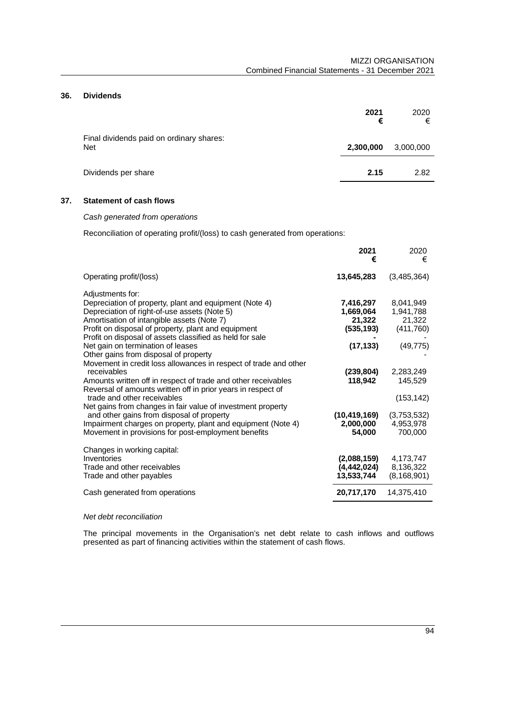# **36. Dividends**

|                                                        | 2021<br>€ | 2020<br>€ |
|--------------------------------------------------------|-----------|-----------|
| Final dividends paid on ordinary shares:<br><b>Net</b> | 2,300,000 | 3,000,000 |
| Dividends per share                                    | 2.15      | 2.82      |

# **37. Statement of cash flows**

# *Cash generated from operations*

Reconciliation of operating profit/(loss) to cash generated from operations:

|                                                                                                                                                                                                                                                                                             | 2021<br>€                                      | 2020<br>€                                     |
|---------------------------------------------------------------------------------------------------------------------------------------------------------------------------------------------------------------------------------------------------------------------------------------------|------------------------------------------------|-----------------------------------------------|
| Operating profit/(loss)                                                                                                                                                                                                                                                                     | 13,645,283                                     | (3,485,364)                                   |
| Adjustments for:<br>Depreciation of property, plant and equipment (Note 4)<br>Depreciation of right-of-use assets (Note 5)<br>Amortisation of intangible assets (Note 7)<br>Profit on disposal of property, plant and equipment<br>Profit on disposal of assets classified as held for sale | 7,416,297<br>1,669,064<br>21,322<br>(535, 193) | 8,041,949<br>1,941,788<br>21,322<br>(411,760) |
| Net gain on termination of leases<br>Other gains from disposal of property<br>Movement in credit loss allowances in respect of trade and other                                                                                                                                              | (17, 133)                                      | (49, 775)                                     |
| receivables<br>Amounts written off in respect of trade and other receivables<br>Reversal of amounts written off in prior years in respect of                                                                                                                                                | (239,804)<br>118,942                           | 2,283,249<br>145,529                          |
| trade and other receivables<br>Net gains from changes in fair value of investment property                                                                                                                                                                                                  |                                                | (153, 142)                                    |
| and other gains from disposal of property<br>Impairment charges on property, plant and equipment (Note 4)<br>Movement in provisions for post-employment benefits                                                                                                                            | (10, 419, 169)<br>2,000,000<br>54,000          | (3,753,532)<br>4,953,978<br>700,000           |
| Changes in working capital:<br>Inventories<br>Trade and other receivables<br>Trade and other payables                                                                                                                                                                                       | (2,088,159)<br>(4, 442, 024)<br>13,533,744     | 4,173,747<br>8,136,322<br>(8, 168, 901)       |
| Cash generated from operations                                                                                                                                                                                                                                                              | 20,717,170                                     | 14,375,410                                    |

# *Net debt reconciliation*

The principal movements in the Organisation's net debt relate to cash inflows and outflows presented as part of financing activities within the statement of cash flows.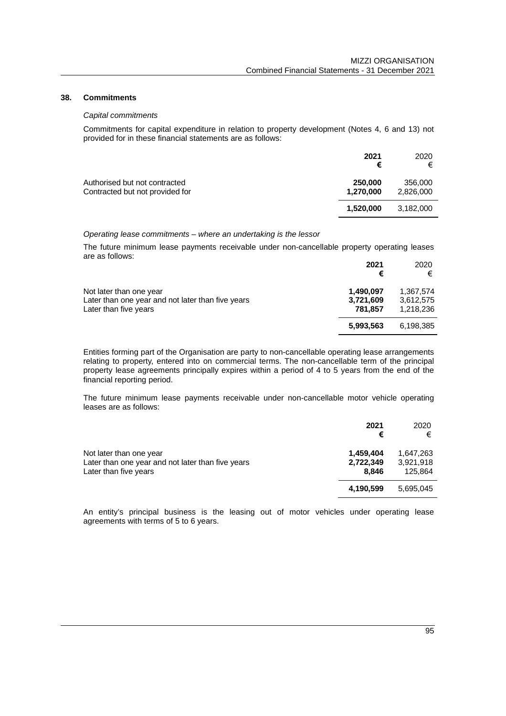# **38. Commitments**

#### *Capital commitments*

Commitments for capital expenditure in relation to property development (Notes 4, 6 and 13) not provided for in these financial statements are as follows:

|                                                                  | 2021<br>€            | 2020<br>€            |
|------------------------------------------------------------------|----------------------|----------------------|
| Authorised but not contracted<br>Contracted but not provided for | 250,000<br>1,270,000 | 356,000<br>2,826,000 |
|                                                                  | 1.520.000            | 3,182,000            |

#### *Operating lease commitments – where an undertaking is the lessor*

The future minimum lease payments receivable under non-cancellable property operating leases are as follows:

|                                                                                                       | 2021<br>€                         | 2020<br>€                           |
|-------------------------------------------------------------------------------------------------------|-----------------------------------|-------------------------------------|
| Not later than one year<br>Later than one year and not later than five years<br>Later than five years | 1,490,097<br>3,721,609<br>781.857 | 1,367,574<br>3,612,575<br>1,218,236 |
|                                                                                                       | 5,993,563                         | 6.198.385                           |

Entities forming part of the Organisation are party to non-cancellable operating lease arrangements relating to property, entered into on commercial terms. The non-cancellable term of the principal property lease agreements principally expires within a period of 4 to 5 years from the end of the financial reporting period.

The future minimum lease payments receivable under non-cancellable motor vehicle operating leases are as follows:

|                                                                                                       | 2021<br>€                       | 2020<br>€                         |
|-------------------------------------------------------------------------------------------------------|---------------------------------|-----------------------------------|
| Not later than one year<br>Later than one year and not later than five years<br>Later than five years | 1,459,404<br>2,722,349<br>8.846 | 1,647,263<br>3,921,918<br>125.864 |
|                                                                                                       | 4,190,599                       | 5,695,045                         |

An entity's principal business is the leasing out of motor vehicles under operating lease agreements with terms of 5 to 6 years.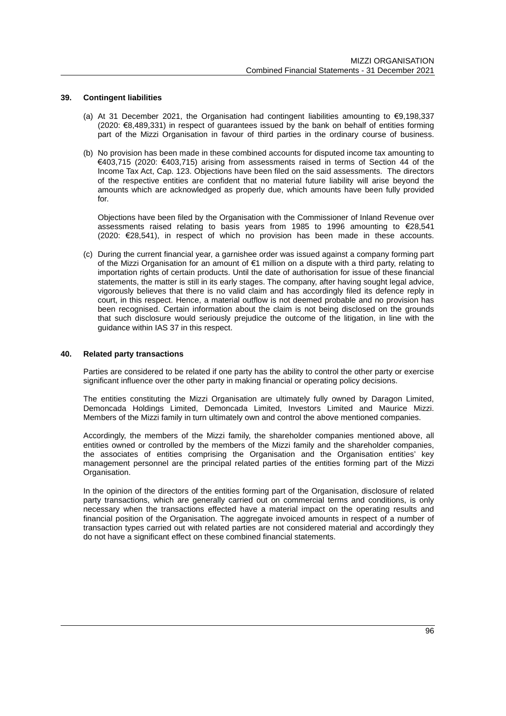## **39. Contingent liabilities**

- (a) At 31 December 2021, the Organisation had contingent liabilities amounting to €9,198,337 (2020: €8,489,331) in respect of guarantees issued by the bank on behalf of entities forming part of the Mizzi Organisation in favour of third parties in the ordinary course of business.
- (b) No provision has been made in these combined accounts for disputed income tax amounting to €403,715 (2020: €403,715) arising from assessments raised in terms of Section 44 of the Income Tax Act, Cap. 123. Objections have been filed on the said assessments. The directors of the respective entities are confident that no material future liability will arise beyond the amounts which are acknowledged as properly due, which amounts have been fully provided for.

Objections have been filed by the Organisation with the Commissioner of Inland Revenue over assessments raised relating to basis years from 1985 to 1996 amounting to €28,541 (2020: €28,541), in respect of which no provision has been made in these accounts.

(c) During the current financial year, a garnishee order was issued against a company forming part of the Mizzi Organisation for an amount of €1 million on a dispute with a third party, relating to importation rights of certain products. Until the date of authorisation for issue of these financial statements, the matter is still in its early stages. The company, after having sought legal advice, vigorously believes that there is no valid claim and has accordingly filed its defence reply in court, in this respect. Hence, a material outflow is not deemed probable and no provision has been recognised. Certain information about the claim is not being disclosed on the grounds that such disclosure would seriously prejudice the outcome of the litigation, in line with the guidance within IAS 37 in this respect.

#### **40. Related party transactions**

Parties are considered to be related if one party has the ability to control the other party or exercise significant influence over the other party in making financial or operating policy decisions.

The entities constituting the Mizzi Organisation are ultimately fully owned by Daragon Limited, Demoncada Holdings Limited, Demoncada Limited, Investors Limited and Maurice Mizzi. Members of the Mizzi family in turn ultimately own and control the above mentioned companies.

Accordingly, the members of the Mizzi family, the shareholder companies mentioned above, all entities owned or controlled by the members of the Mizzi family and the shareholder companies, the associates of entities comprising the Organisation and the Organisation entities' key management personnel are the principal related parties of the entities forming part of the Mizzi Organisation.

In the opinion of the directors of the entities forming part of the Organisation, disclosure of related party transactions, which are generally carried out on commercial terms and conditions, is only necessary when the transactions effected have a material impact on the operating results and financial position of the Organisation. The aggregate invoiced amounts in respect of a number of transaction types carried out with related parties are not considered material and accordingly they do not have a significant effect on these combined financial statements.